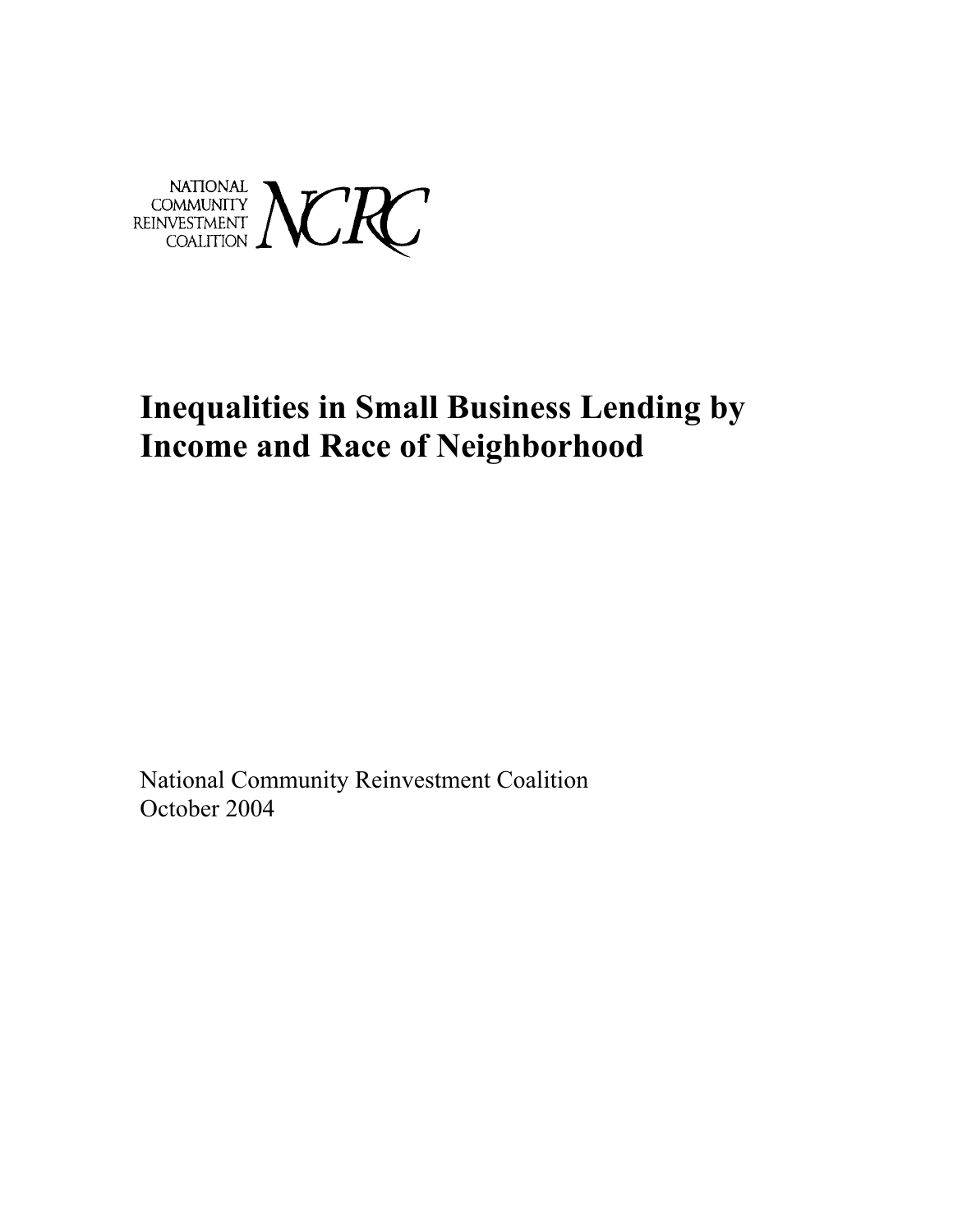

# **Inequalities in Small Business Lending by Income and Race of Neighborhood**

National Community Reinvestment Coalition October 2004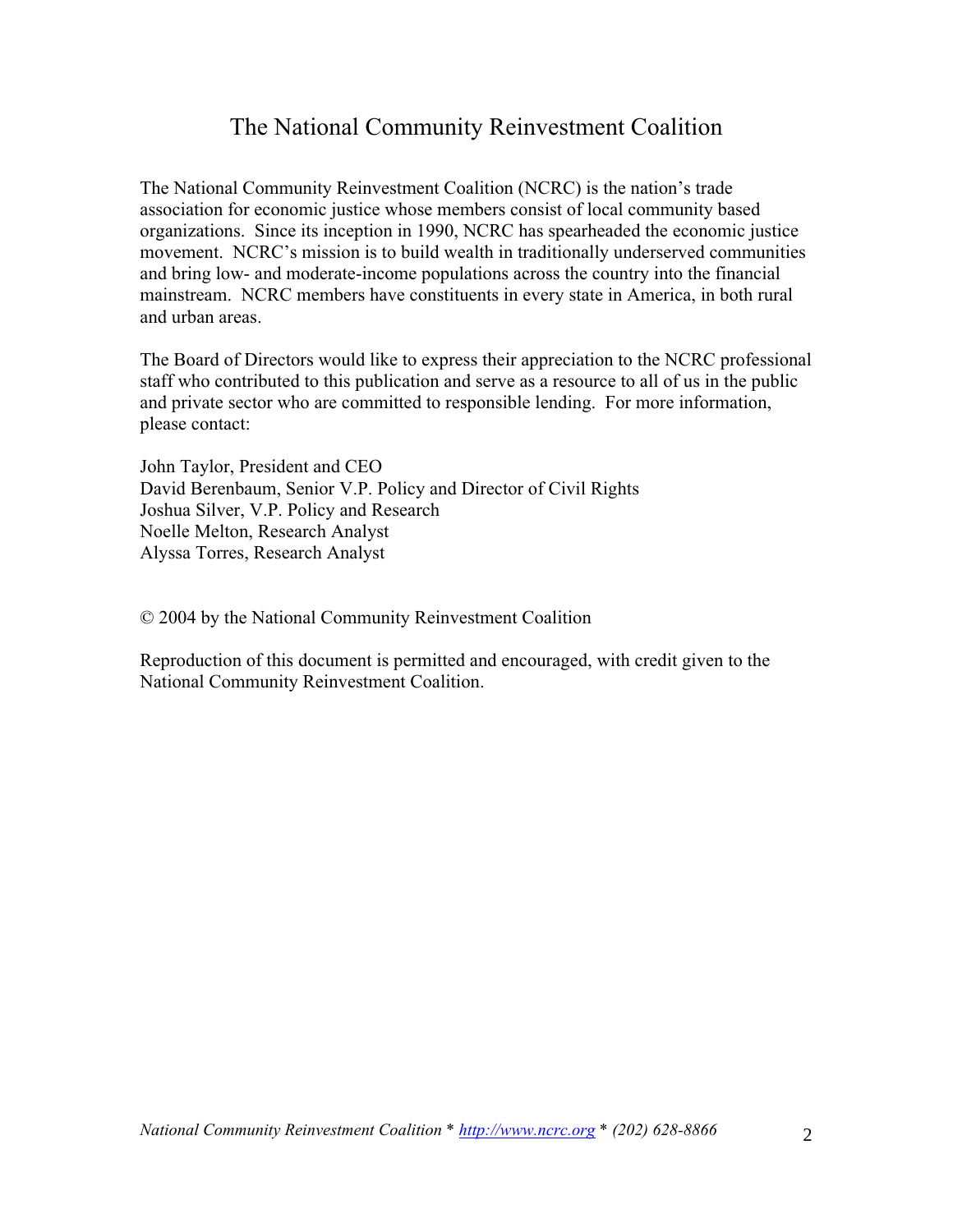## The National Community Reinvestment Coalition

The National Community Reinvestment Coalition (NCRC) is the nation's trade association for economic justice whose members consist of local community based organizations. Since its inception in 1990, NCRC has spearheaded the economic justice movement. NCRC's mission is to build wealth in traditionally underserved communities and bring low- and moderate-income populations across the country into the financial mainstream. NCRC members have constituents in every state in America, in both rural and urban areas.

The Board of Directors would like to express their appreciation to the NCRC professional staff who contributed to this publication and serve as a resource to all of us in the public and private sector who are committed to responsible lending. For more information, please contact:

John Taylor, President and CEO David Berenbaum, Senior V.P. Policy and Director of Civil Rights Joshua Silver, V.P. Policy and Research Noelle Melton, Research Analyst Alyssa Torres, Research Analyst

© 2004 by the National Community Reinvestment Coalition

Reproduction of this document is permitted and encouraged, with credit given to the National Community Reinvestment Coalition.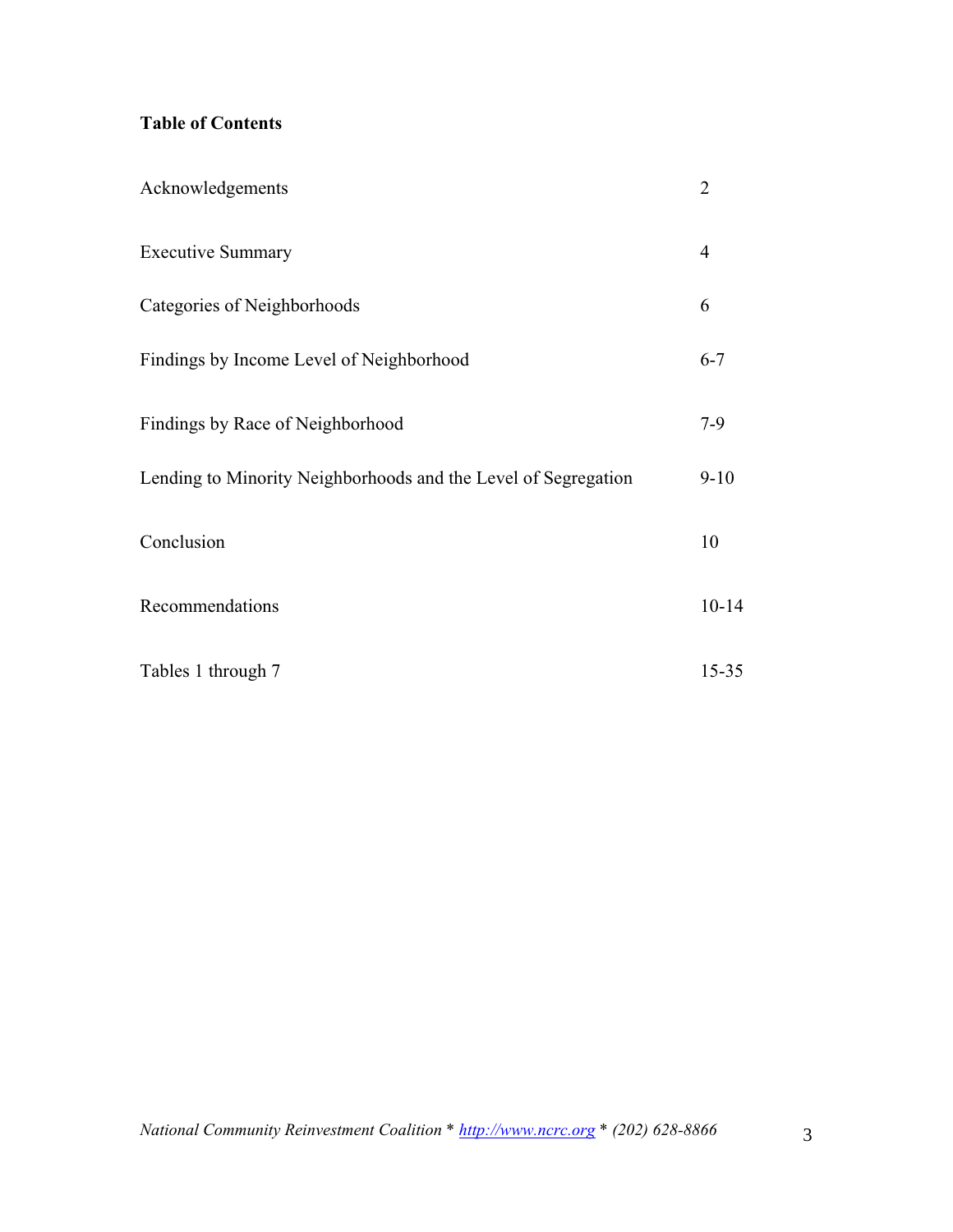### **Table of Contents**

| Acknowledgements                                               | $\overline{2}$ |
|----------------------------------------------------------------|----------------|
| <b>Executive Summary</b>                                       | 4              |
| Categories of Neighborhoods                                    | 6              |
| Findings by Income Level of Neighborhood                       | $6 - 7$        |
| Findings by Race of Neighborhood                               | $7-9$          |
| Lending to Minority Neighborhoods and the Level of Segregation | $9 - 10$       |
| Conclusion                                                     | 10             |
| Recommendations                                                | $10 - 14$      |
| Tables 1 through 7                                             | $15 - 35$      |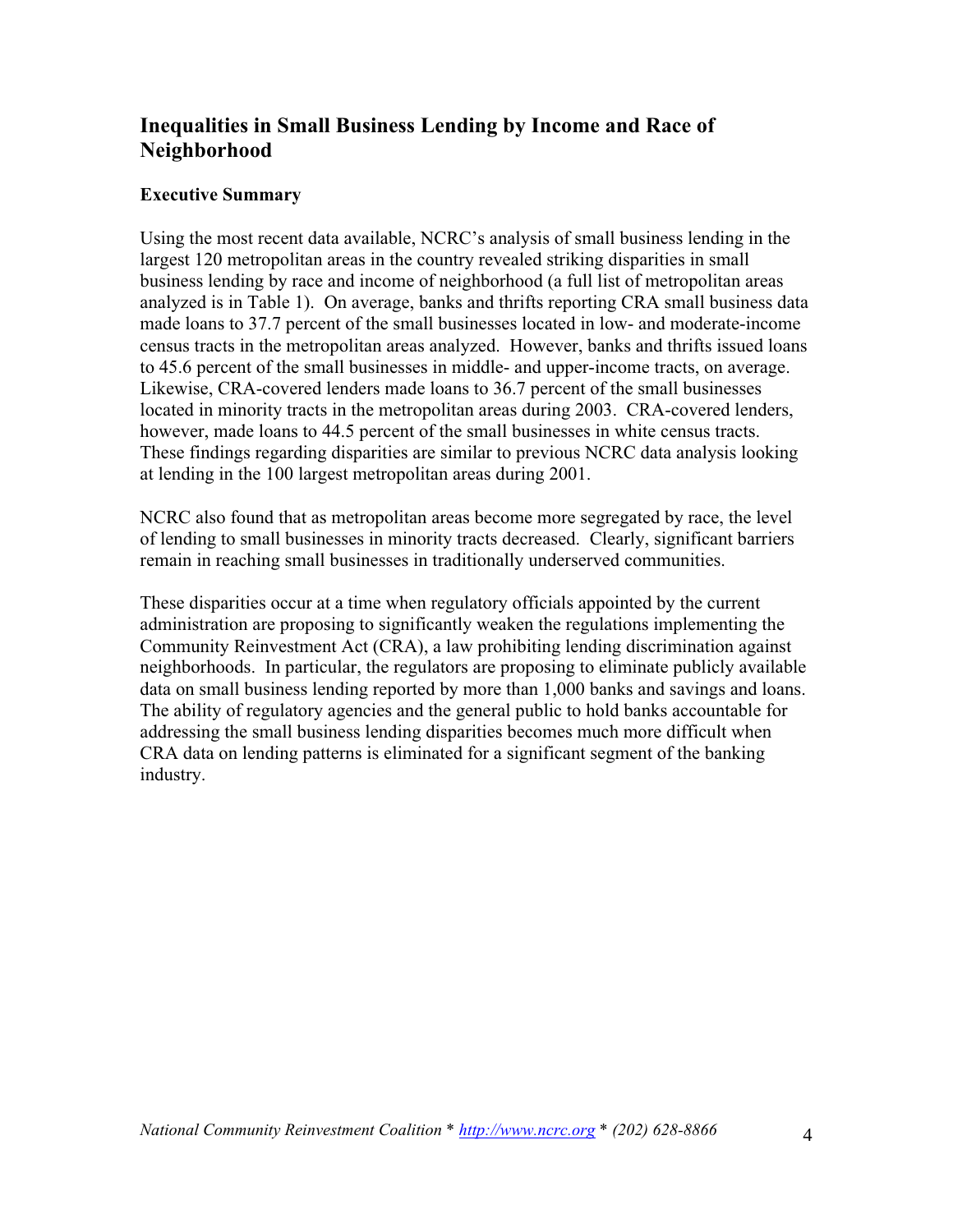### **Inequalities in Small Business Lending by Income and Race of Neighborhood**

#### **Executive Summary**

Using the most recent data available, NCRC's analysis of small business lending in the largest 120 metropolitan areas in the country revealed striking disparities in small business lending by race and income of neighborhood (a full list of metropolitan areas analyzed is in Table 1). On average, banks and thrifts reporting CRA small business data made loans to 37.7 percent of the small businesses located in low- and moderate-income census tracts in the metropolitan areas analyzed. However, banks and thrifts issued loans to 45.6 percent of the small businesses in middle- and upper-income tracts, on average. Likewise, CRA-covered lenders made loans to 36.7 percent of the small businesses located in minority tracts in the metropolitan areas during 2003. CRA-covered lenders, however, made loans to 44.5 percent of the small businesses in white census tracts. These findings regarding disparities are similar to previous NCRC data analysis looking at lending in the 100 largest metropolitan areas during 2001.

NCRC also found that as metropolitan areas become more segregated by race, the level of lending to small businesses in minority tracts decreased. Clearly, significant barriers remain in reaching small businesses in traditionally underserved communities.

These disparities occur at a time when regulatory officials appointed by the current administration are proposing to significantly weaken the regulations implementing the Community Reinvestment Act (CRA), a law prohibiting lending discrimination against neighborhoods. In particular, the regulators are proposing to eliminate publicly available data on small business lending reported by more than 1,000 banks and savings and loans. The ability of regulatory agencies and the general public to hold banks accountable for addressing the small business lending disparities becomes much more difficult when CRA data on lending patterns is eliminated for a significant segment of the banking industry.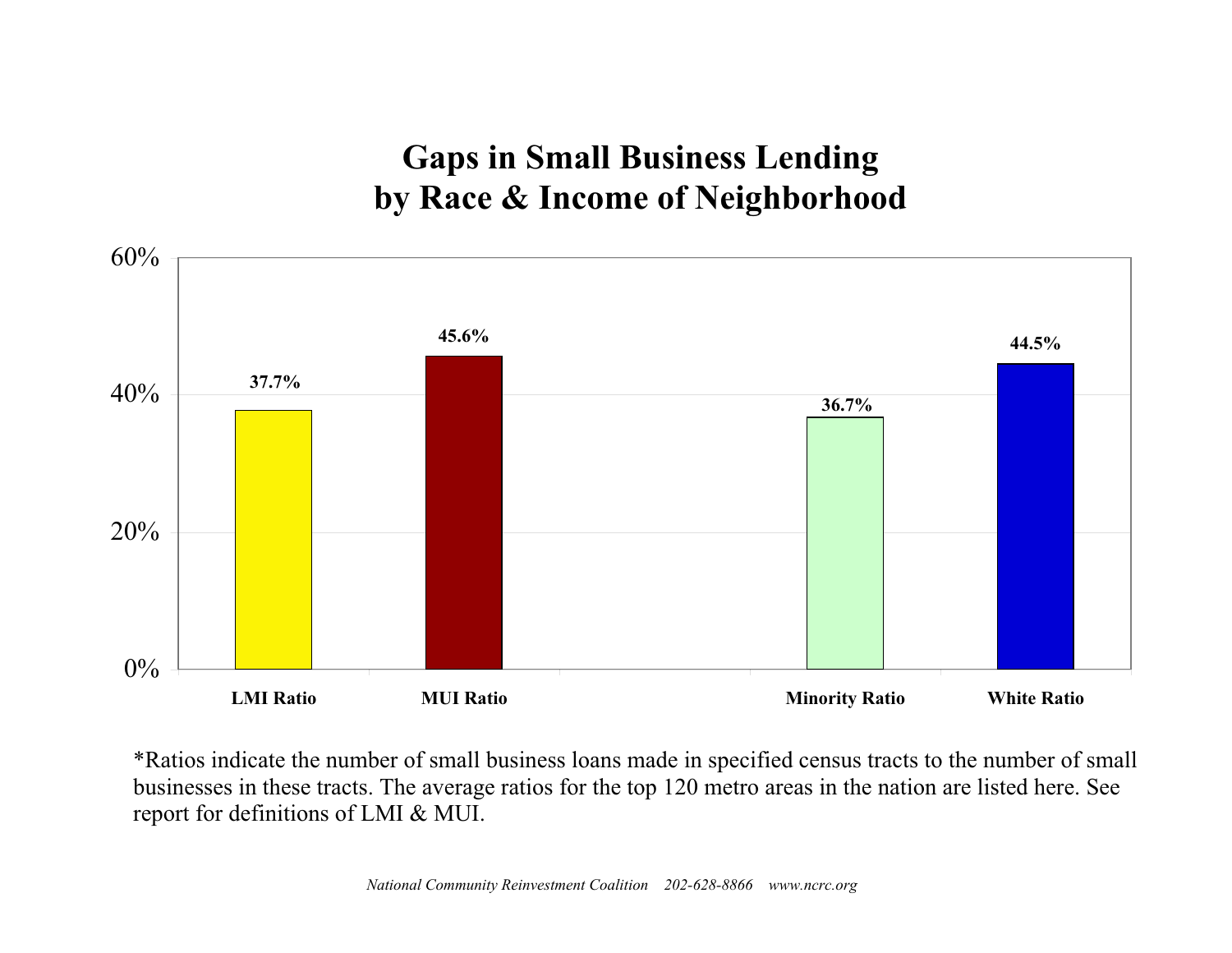# **Gaps in Small Business Lending by Race & Income of Neighborhood**



\*Ratios indicate the number of small business loans made in specified census tracts to the number of small businesses in these tracts. The average ratios for the top 120 metro areas in the nation are listed here. See report for definitions of LMI & MUI.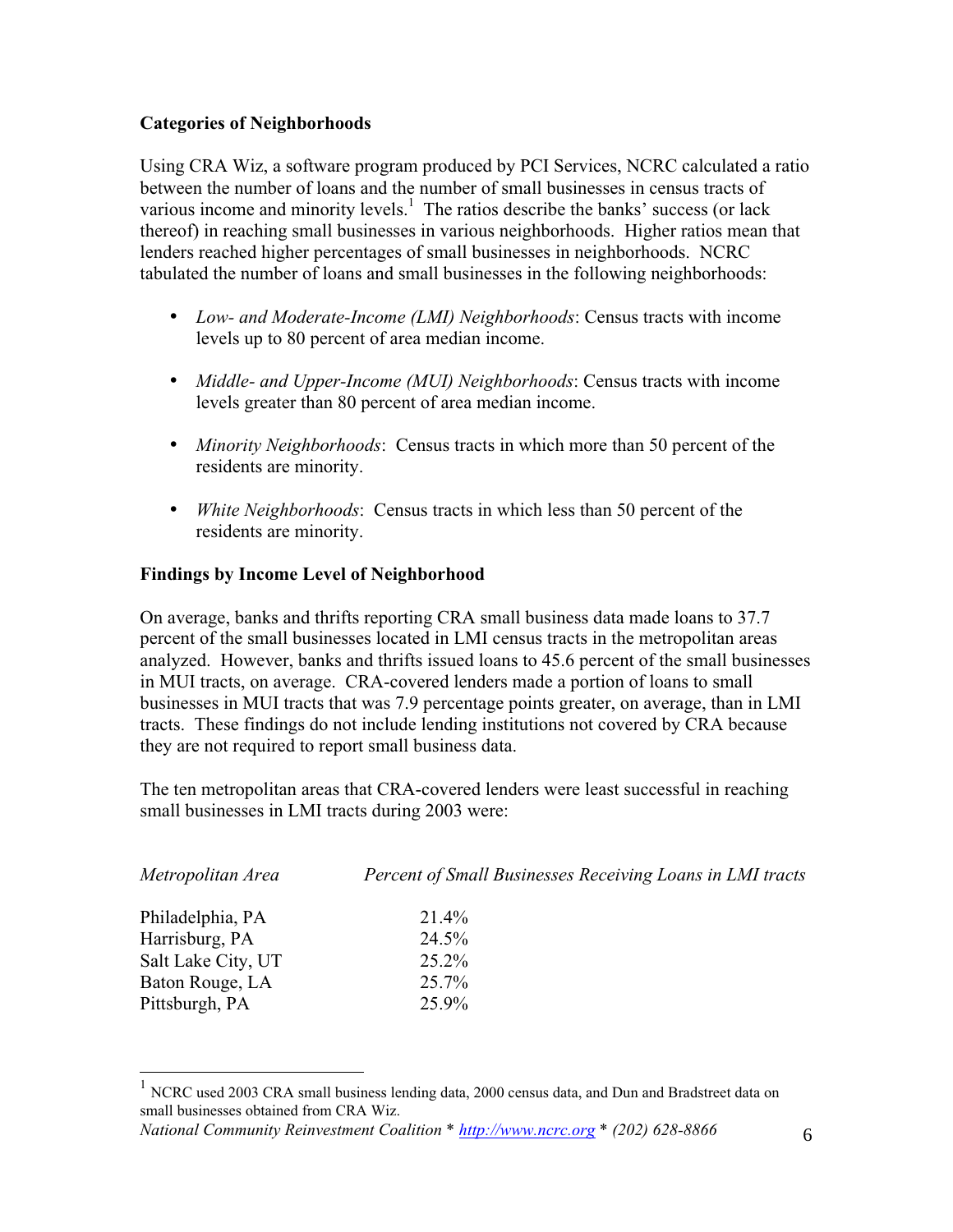#### **Categories of Neighborhoods**

Using CRA Wiz, a software program produced by PCI Services, NCRC calculated a ratio between the number of loans and the number of small businesses in census tracts of various income and minority levels.<sup>1</sup> The ratios describe the banks' success (or lack thereof) in reaching small businesses in various neighborhoods. Higher ratios mean that lenders reached higher percentages of small businesses in neighborhoods. NCRC tabulated the number of loans and small businesses in the following neighborhoods:

- *Low- and Moderate-Income (LMI) Neighborhoods*: Census tracts with income levels up to 80 percent of area median income.
- *Middle- and Upper-Income (MUI) Neighborhoods*: Census tracts with income levels greater than 80 percent of area median income.
- *Minority Neighborhoods*: Census tracts in which more than 50 percent of the residents are minority.
- *White Neighborhoods*: Census tracts in which less than 50 percent of the residents are minority.

### **Findings by Income Level of Neighborhood**

On average, banks and thrifts reporting CRA small business data made loans to 37.7 percent of the small businesses located in LMI census tracts in the metropolitan areas analyzed. However, banks and thrifts issued loans to 45.6 percent of the small businesses in MUI tracts, on average. CRA-covered lenders made a portion of loans to small businesses in MUI tracts that was 7.9 percentage points greater, on average, than in LMI tracts. These findings do not include lending institutions not covered by CRA because they are not required to report small business data.

The ten metropolitan areas that CRA-covered lenders were least successful in reaching small businesses in LMI tracts during 2003 were:

| Metropolitan Area  | Percent of Small Businesses Receiving Loans in LMI tracts |  |  |  |
|--------------------|-----------------------------------------------------------|--|--|--|
| Philadelphia, PA   | $21.4\%$                                                  |  |  |  |
| Harrisburg, PA     | $24.5\%$                                                  |  |  |  |
| Salt Lake City, UT | $25.2\%$                                                  |  |  |  |
| Baton Rouge, LA    | 25.7%                                                     |  |  |  |
| Pittsburgh, PA     | 25.9%                                                     |  |  |  |

<sup>&</sup>lt;sup>1</sup> NCRC used 2003 CRA small business lending data, 2000 census data, and Dun and Bradstreet data on small businesses obtained from CRA Wiz.

*National Community Reinvestment Coalition \* http://www.ncrc.org \* (202) 628-8866* 6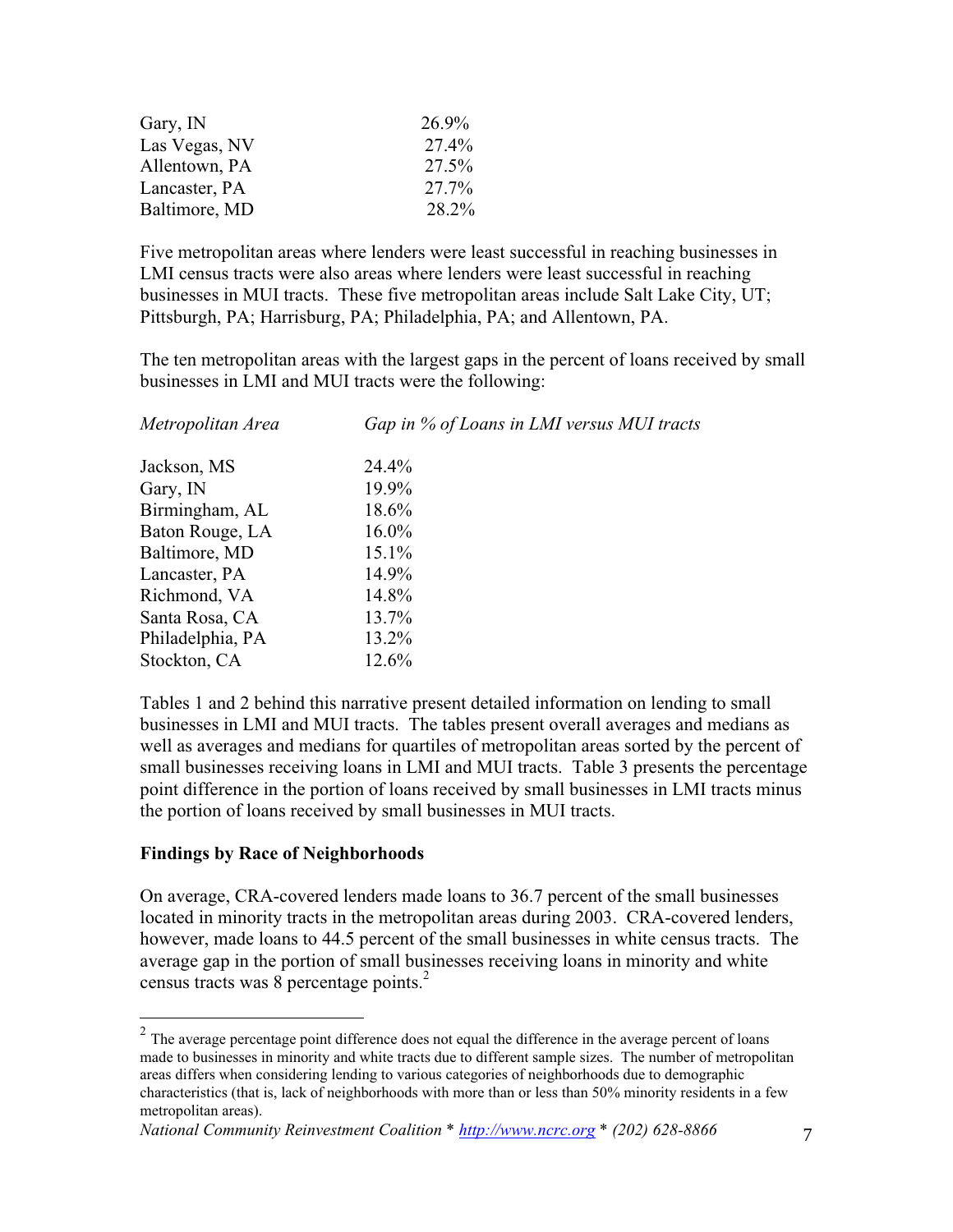| Gary, IN      | 26.9% |
|---------------|-------|
| Las Vegas, NV | 27.4% |
| Allentown, PA | 27.5% |
| Lancaster, PA | 27.7% |
| Baltimore, MD | 28.2% |

Five metropolitan areas where lenders were least successful in reaching businesses in LMI census tracts were also areas where lenders were least successful in reaching businesses in MUI tracts. These five metropolitan areas include Salt Lake City, UT; Pittsburgh, PA; Harrisburg, PA; Philadelphia, PA; and Allentown, PA.

The ten metropolitan areas with the largest gaps in the percent of loans received by small businesses in LMI and MUI tracts were the following:

| Metropolitan Area | Gap in % of Loans in LMI versus MUI tracts |  |  |  |  |
|-------------------|--------------------------------------------|--|--|--|--|
| Jackson, MS       | 24.4%                                      |  |  |  |  |
| Gary, IN          | 19.9%                                      |  |  |  |  |
| Birmingham, AL    | 18.6%                                      |  |  |  |  |
| Baton Rouge, LA   | $16.0\%$                                   |  |  |  |  |
| Baltimore, MD     | $15.1\%$                                   |  |  |  |  |
| Lancaster, PA     | 14.9%                                      |  |  |  |  |
| Richmond, VA      | 14.8%                                      |  |  |  |  |
| Santa Rosa, CA    | 13.7%                                      |  |  |  |  |
| Philadelphia, PA  | 13.2%                                      |  |  |  |  |
| Stockton, CA      | 12.6%                                      |  |  |  |  |

Tables 1 and 2 behind this narrative present detailed information on lending to small businesses in LMI and MUI tracts. The tables present overall averages and medians as well as averages and medians for quartiles of metropolitan areas sorted by the percent of small businesses receiving loans in LMI and MUI tracts. Table 3 presents the percentage point difference in the portion of loans received by small businesses in LMI tracts minus the portion of loans received by small businesses in MUI tracts.

#### **Findings by Race of Neighborhoods**

On average, CRA-covered lenders made loans to 36.7 percent of the small businesses located in minority tracts in the metropolitan areas during 2003. CRA-covered lenders, however, made loans to 44.5 percent of the small businesses in white census tracts. The average gap in the portion of small businesses receiving loans in minority and white census tracts was 8 percentage points.<sup>2</sup>

 $2$  The average percentage point difference does not equal the difference in the average percent of loans made to businesses in minority and white tracts due to different sample sizes. The number of metropolitan areas differs when considering lending to various categories of neighborhoods due to demographic characteristics (that is, lack of neighborhoods with more than or less than 50% minority residents in a few metropolitan areas).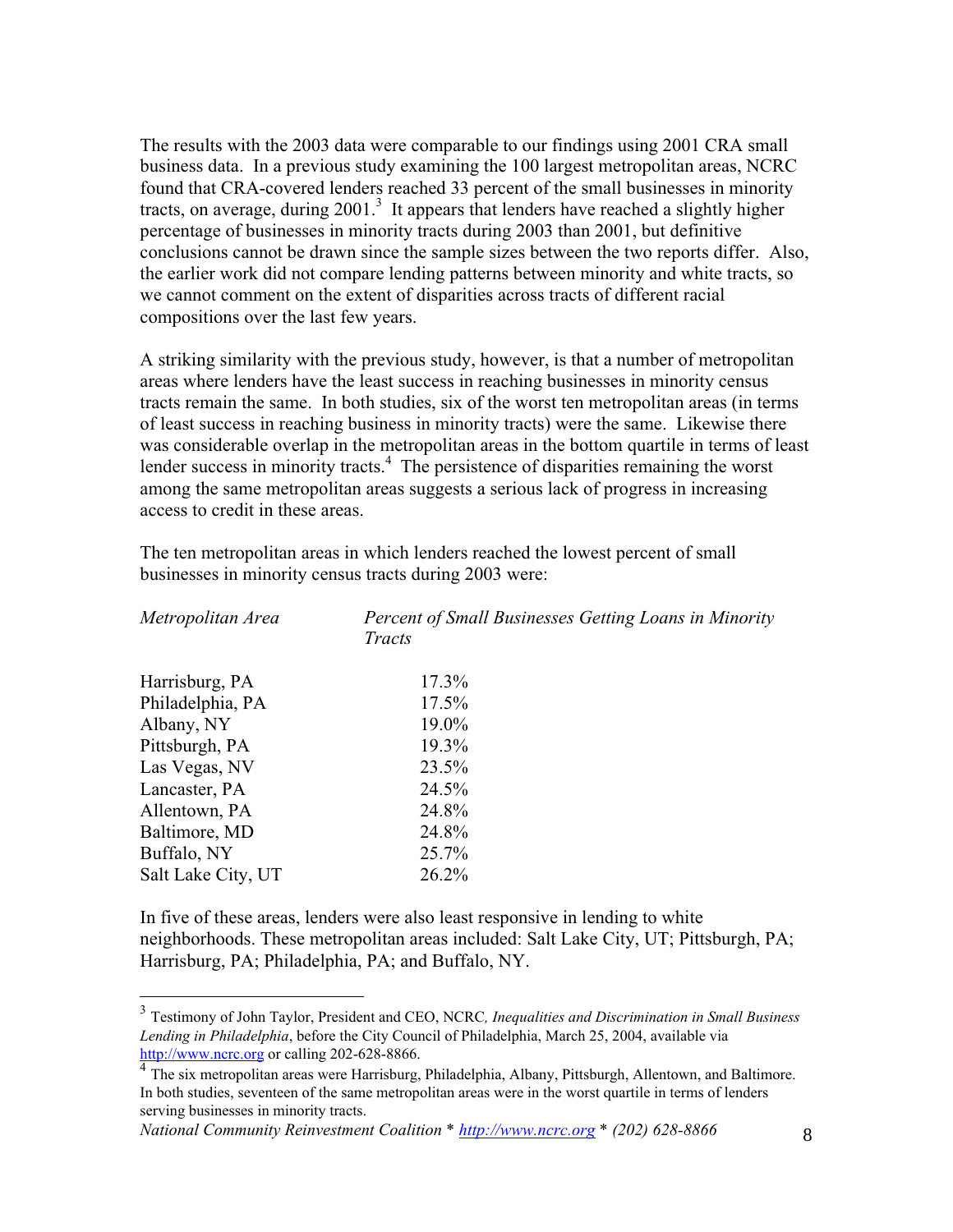The results with the 2003 data were comparable to our findings using 2001 CRA small business data. In a previous study examining the 100 largest metropolitan areas, NCRC found that CRA-covered lenders reached 33 percent of the small businesses in minority tracts, on average, during 2001.<sup>3</sup> It appears that lenders have reached a slightly higher percentage of businesses in minority tracts during 2003 than 2001, but definitive conclusions cannot be drawn since the sample sizes between the two reports differ. Also, the earlier work did not compare lending patterns between minority and white tracts, so we cannot comment on the extent of disparities across tracts of different racial compositions over the last few years.

A striking similarity with the previous study, however, is that a number of metropolitan areas where lenders have the least success in reaching businesses in minority census tracts remain the same. In both studies, six of the worst ten metropolitan areas (in terms of least success in reaching business in minority tracts) were the same. Likewise there was considerable overlap in the metropolitan areas in the bottom quartile in terms of least lender success in minority tracts.<sup>4</sup> The persistence of disparities remaining the worst among the same metropolitan areas suggests a serious lack of progress in increasing access to credit in these areas.

The ten metropolitan areas in which lenders reached the lowest percent of small businesses in minority census tracts during 2003 were:

| Metropolitan Area  | Percent of Small Businesses Getting Loans in Minority<br>Tracts |  |  |  |  |
|--------------------|-----------------------------------------------------------------|--|--|--|--|
| Harrisburg, PA     | 17.3%                                                           |  |  |  |  |
| Philadelphia, PA   | $17.5\%$                                                        |  |  |  |  |
| Albany, NY         | 19.0%                                                           |  |  |  |  |
| Pittsburgh, PA     | 19.3%                                                           |  |  |  |  |
| Las Vegas, NV      | 23.5%                                                           |  |  |  |  |
| Lancaster, PA      | 24.5%                                                           |  |  |  |  |
| Allentown, PA      | 24.8%                                                           |  |  |  |  |
| Baltimore, MD      | 24.8%                                                           |  |  |  |  |
| Buffalo, NY        | 25.7%                                                           |  |  |  |  |
| Salt Lake City, UT | 26.2%                                                           |  |  |  |  |

In five of these areas, lenders were also least responsive in lending to white neighborhoods. These metropolitan areas included: Salt Lake City, UT; Pittsburgh, PA; Harrisburg, PA; Philadelphia, PA; and Buffalo, NY.

<sup>3</sup> Testimony of John Taylor, President and CEO, NCRC*, Inequalities and Discrimination in Small Business Lending in Philadelphia*, before the City Council of Philadelphia, March 25, 2004, available via http://www.ncrc.org or calling 202-628-8866.

<sup>&</sup>lt;sup>4</sup> The six metropolitan areas were Harrisburg, Philadelphia, Albany, Pittsburgh, Allentown, and Baltimore. In both studies, seventeen of the same metropolitan areas were in the worst quartile in terms of lenders serving businesses in minority tracts.

*National Community Reinvestment Coalition \* http://www.ncrc.org \* (202) 628-8866* 8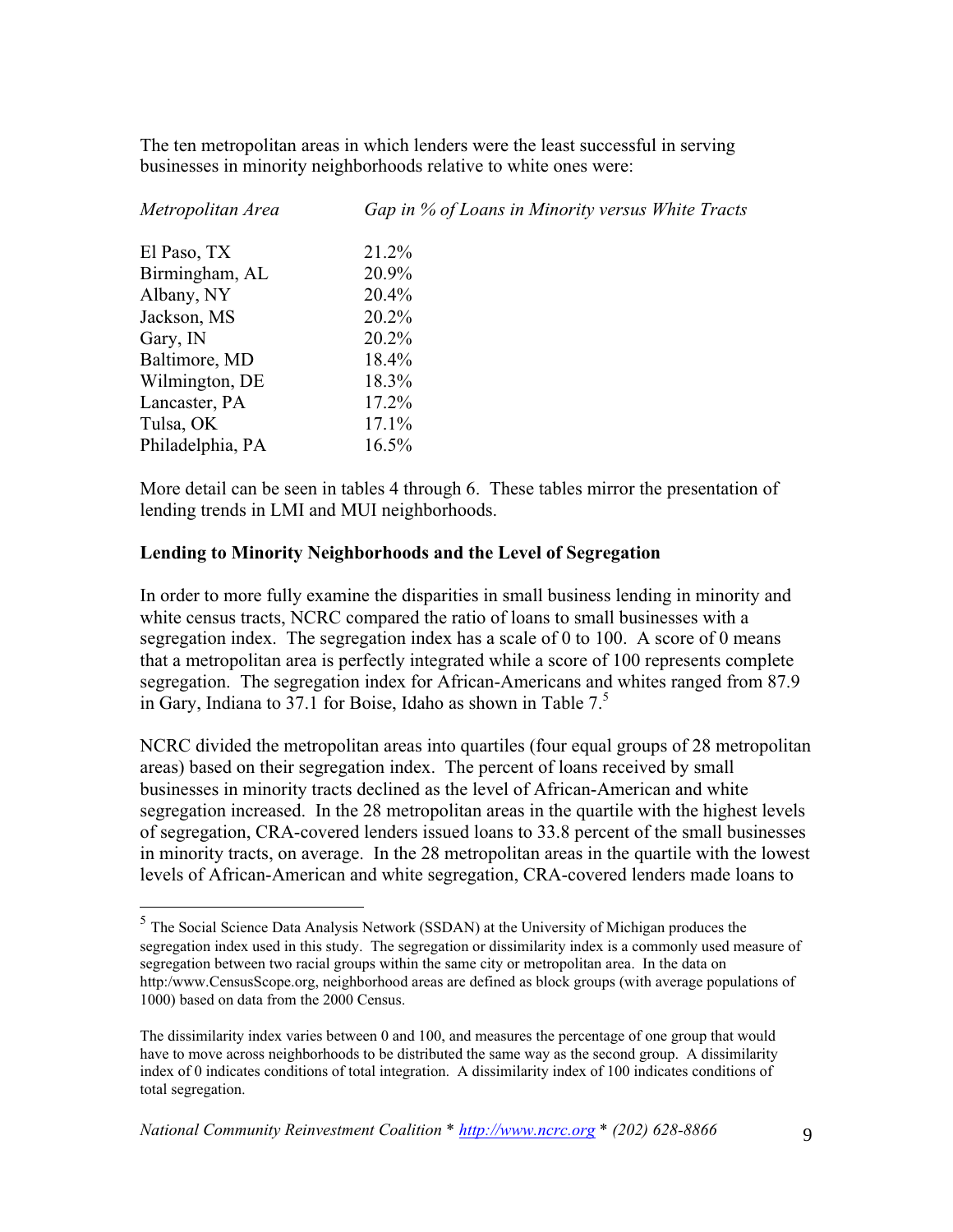The ten metropolitan areas in which lenders were the least successful in serving businesses in minority neighborhoods relative to white ones were:

| Metropolitan Area | Gap in % of Loans in Minority versus White Tracts |
|-------------------|---------------------------------------------------|
| El Paso, TX       | 21.2%                                             |
| Birmingham, AL    | 20.9%                                             |
| Albany, NY        | 20.4%                                             |
| Jackson, MS       | $20.2\%$                                          |
| Gary, IN          | $20.2\%$                                          |
| Baltimore, MD     | 18.4%                                             |
| Wilmington, DE    | 18.3%                                             |
| Lancaster, PA     | $17.2\%$                                          |
| Tulsa, OK         | $17.1\%$                                          |
| Philadelphia, PA  | 16.5%                                             |

More detail can be seen in tables 4 through 6. These tables mirror the presentation of lending trends in LMI and MUI neighborhoods.

#### **Lending to Minority Neighborhoods and the Level of Segregation**

In order to more fully examine the disparities in small business lending in minority and white census tracts, NCRC compared the ratio of loans to small businesses with a segregation index. The segregation index has a scale of 0 to 100. A score of 0 means that a metropolitan area is perfectly integrated while a score of 100 represents complete segregation. The segregation index for African-Americans and whites ranged from 87.9 in Gary, Indiana to 37.1 for Boise, Idaho as shown in Table 7.<sup>5</sup>

NCRC divided the metropolitan areas into quartiles (four equal groups of 28 metropolitan areas) based on their segregation index. The percent of loans received by small businesses in minority tracts declined as the level of African-American and white segregation increased. In the 28 metropolitan areas in the quartile with the highest levels of segregation, CRA-covered lenders issued loans to 33.8 percent of the small businesses in minority tracts, on average. In the 28 metropolitan areas in the quartile with the lowest levels of African-American and white segregation, CRA-covered lenders made loans to

<sup>5</sup> The Social Science Data Analysis Network (SSDAN) at the University of Michigan produces the segregation index used in this study. The segregation or dissimilarity index is a commonly used measure of segregation between two racial groups within the same city or metropolitan area. In the data on http:/www.CensusScope.org, neighborhood areas are defined as block groups (with average populations of 1000) based on data from the 2000 Census.

The dissimilarity index varies between 0 and 100, and measures the percentage of one group that would have to move across neighborhoods to be distributed the same way as the second group. A dissimilarity index of 0 indicates conditions of total integration. A dissimilarity index of 100 indicates conditions of total segregation.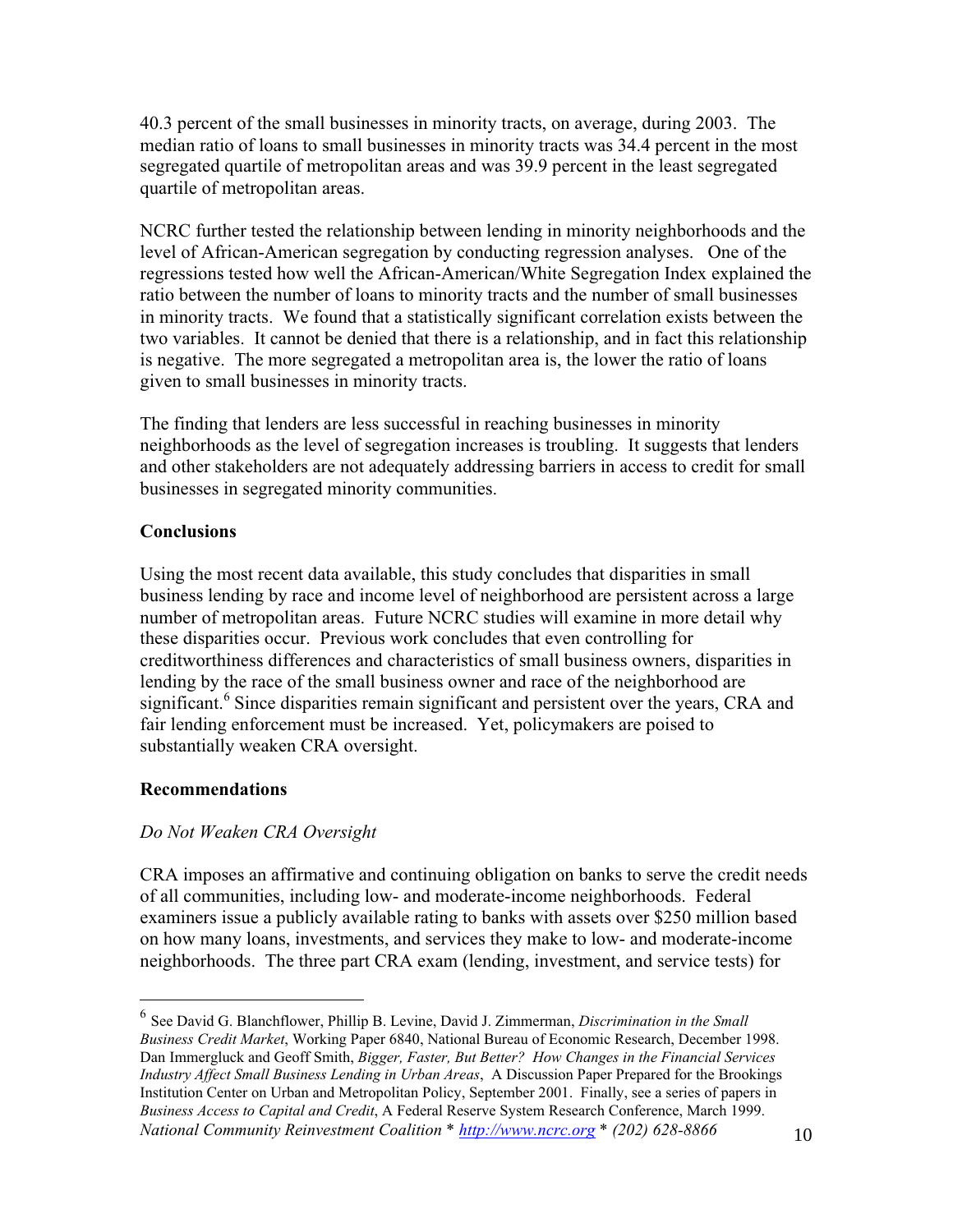40.3 percent of the small businesses in minority tracts, on average, during 2003. The median ratio of loans to small businesses in minority tracts was 34.4 percent in the most segregated quartile of metropolitan areas and was 39.9 percent in the least segregated quartile of metropolitan areas.

NCRC further tested the relationship between lending in minority neighborhoods and the level of African-American segregation by conducting regression analyses. One of the regressions tested how well the African-American/White Segregation Index explained the ratio between the number of loans to minority tracts and the number of small businesses in minority tracts. We found that a statistically significant correlation exists between the two variables. It cannot be denied that there is a relationship, and in fact this relationship is negative. The more segregated a metropolitan area is, the lower the ratio of loans given to small businesses in minority tracts.

The finding that lenders are less successful in reaching businesses in minority neighborhoods as the level of segregation increases is troubling. It suggests that lenders and other stakeholders are not adequately addressing barriers in access to credit for small businesses in segregated minority communities.

#### **Conclusions**

Using the most recent data available, this study concludes that disparities in small business lending by race and income level of neighborhood are persistent across a large number of metropolitan areas. Future NCRC studies will examine in more detail why these disparities occur. Previous work concludes that even controlling for creditworthiness differences and characteristics of small business owners, disparities in lending by the race of the small business owner and race of the neighborhood are significant.<sup>6</sup> Since disparities remain significant and persistent over the years, CRA and fair lending enforcement must be increased. Yet, policymakers are poised to substantially weaken CRA oversight.

#### **Recommendations**

#### *Do Not Weaken CRA Oversight*

CRA imposes an affirmative and continuing obligation on banks to serve the credit needs of all communities, including low- and moderate-income neighborhoods. Federal examiners issue a publicly available rating to banks with assets over \$250 million based on how many loans, investments, and services they make to low- and moderate-income neighborhoods. The three part CRA exam (lending, investment, and service tests) for

*National Community Reinvestment Coalition \* http://www.ncrc.org \* (202) 628-8866* 10 <sup>6</sup> See David G. Blanchflower, Phillip B. Levine, David J. Zimmerman, *Discrimination in the Small Business Credit Market*, Working Paper 6840, National Bureau of Economic Research, December 1998. Dan Immergluck and Geoff Smith, *Bigger, Faster, But Better? How Changes in the Financial Services Industry Affect Small Business Lending in Urban Areas*, A Discussion Paper Prepared for the Brookings Institution Center on Urban and Metropolitan Policy, September 2001. Finally, see a series of papers in *Business Access to Capital and Credit*, A Federal Reserve System Research Conference, March 1999.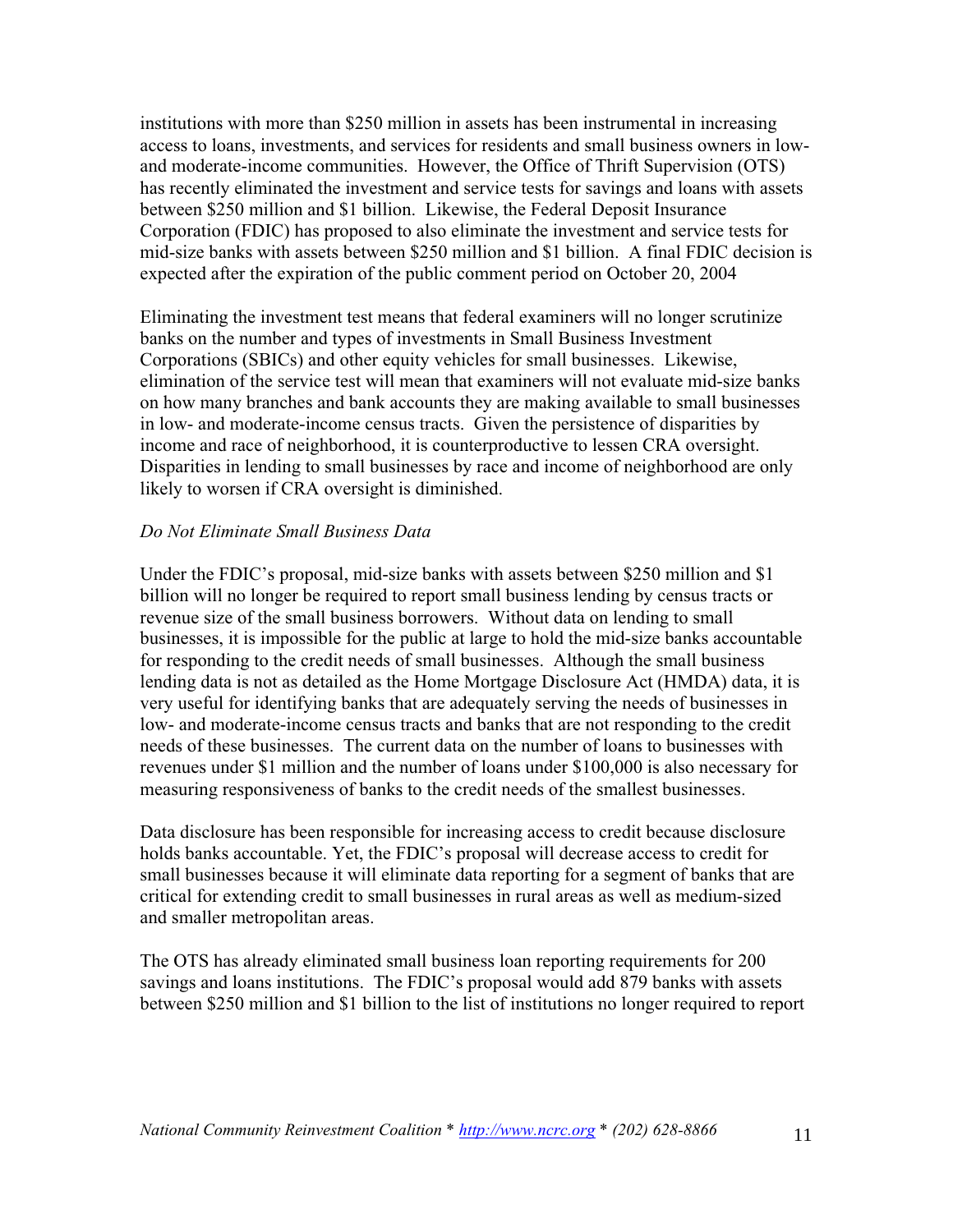institutions with more than \$250 million in assets has been instrumental in increasing access to loans, investments, and services for residents and small business owners in lowand moderate-income communities. However, the Office of Thrift Supervision (OTS) has recently eliminated the investment and service tests for savings and loans with assets between \$250 million and \$1 billion. Likewise, the Federal Deposit Insurance Corporation (FDIC) has proposed to also eliminate the investment and service tests for mid-size banks with assets between \$250 million and \$1 billion. A final FDIC decision is expected after the expiration of the public comment period on October 20, 2004

Eliminating the investment test means that federal examiners will no longer scrutinize banks on the number and types of investments in Small Business Investment Corporations (SBICs) and other equity vehicles for small businesses. Likewise, elimination of the service test will mean that examiners will not evaluate mid-size banks on how many branches and bank accounts they are making available to small businesses in low- and moderate-income census tracts. Given the persistence of disparities by income and race of neighborhood, it is counterproductive to lessen CRA oversight. Disparities in lending to small businesses by race and income of neighborhood are only likely to worsen if CRA oversight is diminished.

#### *Do Not Eliminate Small Business Data*

Under the FDIC's proposal, mid-size banks with assets between \$250 million and \$1 billion will no longer be required to report small business lending by census tracts or revenue size of the small business borrowers. Without data on lending to small businesses, it is impossible for the public at large to hold the mid-size banks accountable for responding to the credit needs of small businesses. Although the small business lending data is not as detailed as the Home Mortgage Disclosure Act (HMDA) data, it is very useful for identifying banks that are adequately serving the needs of businesses in low- and moderate-income census tracts and banks that are not responding to the credit needs of these businesses. The current data on the number of loans to businesses with revenues under \$1 million and the number of loans under \$100,000 is also necessary for measuring responsiveness of banks to the credit needs of the smallest businesses.

Data disclosure has been responsible for increasing access to credit because disclosure holds banks accountable. Yet, the FDIC's proposal will decrease access to credit for small businesses because it will eliminate data reporting for a segment of banks that are critical for extending credit to small businesses in rural areas as well as medium-sized and smaller metropolitan areas.

The OTS has already eliminated small business loan reporting requirements for 200 savings and loans institutions. The FDIC's proposal would add 879 banks with assets between \$250 million and \$1 billion to the list of institutions no longer required to report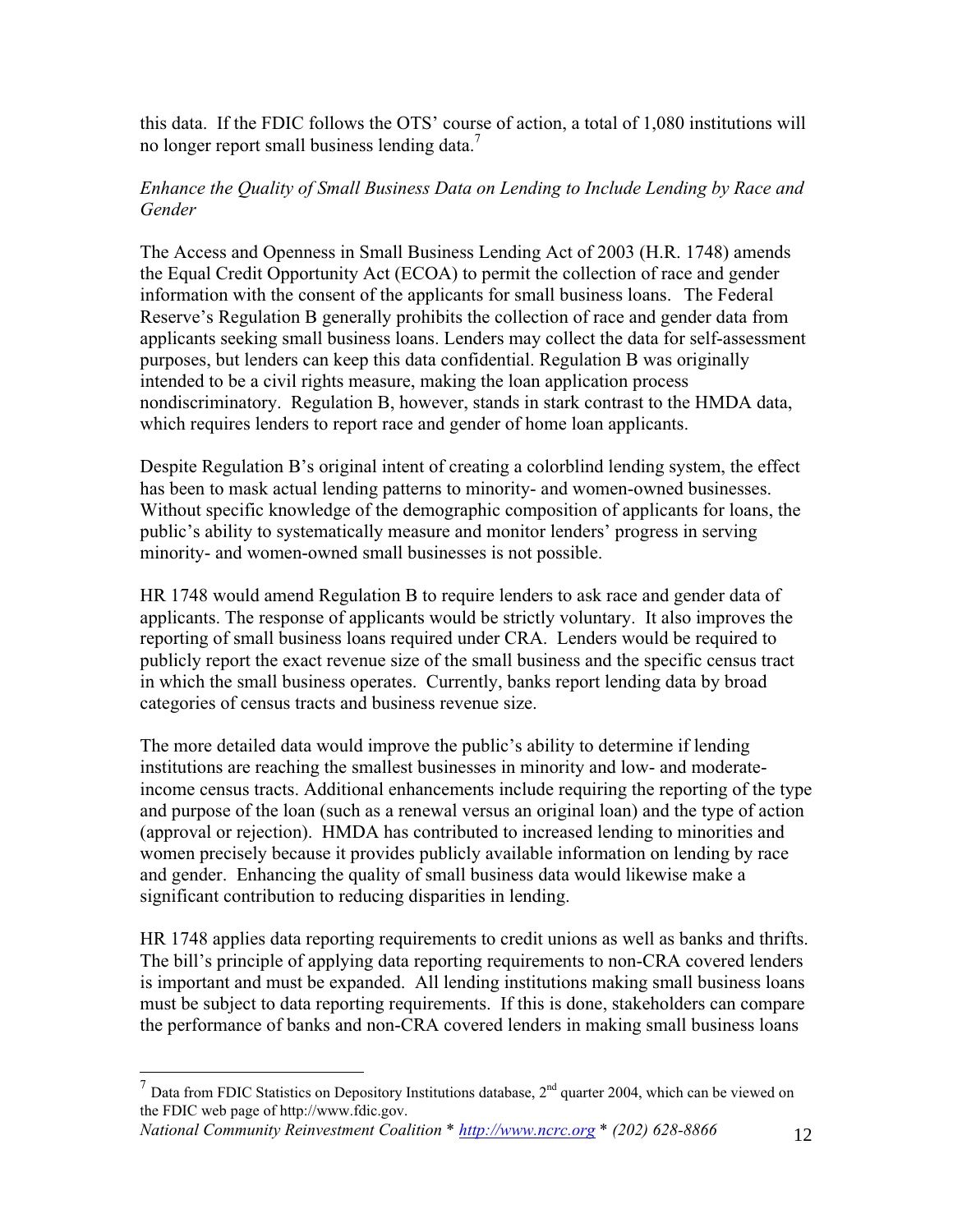this data. If the FDIC follows the OTS' course of action, a total of 1,080 institutions will no longer report small business lending data.<sup>7</sup>

#### *Enhance the Quality of Small Business Data on Lending to Include Lending by Race and Gender*

The Access and Openness in Small Business Lending Act of 2003 (H.R. 1748) amends the Equal Credit Opportunity Act (ECOA) to permit the collection of race and gender information with the consent of the applicants for small business loans. The Federal Reserve's Regulation B generally prohibits the collection of race and gender data from applicants seeking small business loans. Lenders may collect the data for self-assessment purposes, but lenders can keep this data confidential. Regulation B was originally intended to be a civil rights measure, making the loan application process nondiscriminatory. Regulation B, however, stands in stark contrast to the HMDA data, which requires lenders to report race and gender of home loan applicants.

Despite Regulation B's original intent of creating a colorblind lending system, the effect has been to mask actual lending patterns to minority- and women-owned businesses. Without specific knowledge of the demographic composition of applicants for loans, the public's ability to systematically measure and monitor lenders' progress in serving minority- and women-owned small businesses is not possible.

HR 1748 would amend Regulation B to require lenders to ask race and gender data of applicants. The response of applicants would be strictly voluntary. It also improves the reporting of small business loans required under CRA. Lenders would be required to publicly report the exact revenue size of the small business and the specific census tract in which the small business operates. Currently, banks report lending data by broad categories of census tracts and business revenue size.

The more detailed data would improve the public's ability to determine if lending institutions are reaching the smallest businesses in minority and low- and moderateincome census tracts. Additional enhancements include requiring the reporting of the type and purpose of the loan (such as a renewal versus an original loan) and the type of action (approval or rejection). HMDA has contributed to increased lending to minorities and women precisely because it provides publicly available information on lending by race and gender. Enhancing the quality of small business data would likewise make a significant contribution to reducing disparities in lending.

HR 1748 applies data reporting requirements to credit unions as well as banks and thrifts. The bill's principle of applying data reporting requirements to non-CRA covered lenders is important and must be expanded. All lending institutions making small business loans must be subject to data reporting requirements. If this is done, stakeholders can compare the performance of banks and non-CRA covered lenders in making small business loans

*National Community Reinvestment Coalition \* http://www.ncrc.org \* (202) 628-8866* 12

<sup>&</sup>lt;sup>7</sup> Data from FDIC Statistics on Depository Institutions database,  $2<sup>nd</sup>$  quarter 2004, which can be viewed on the FDIC web page of http://www.fdic.gov.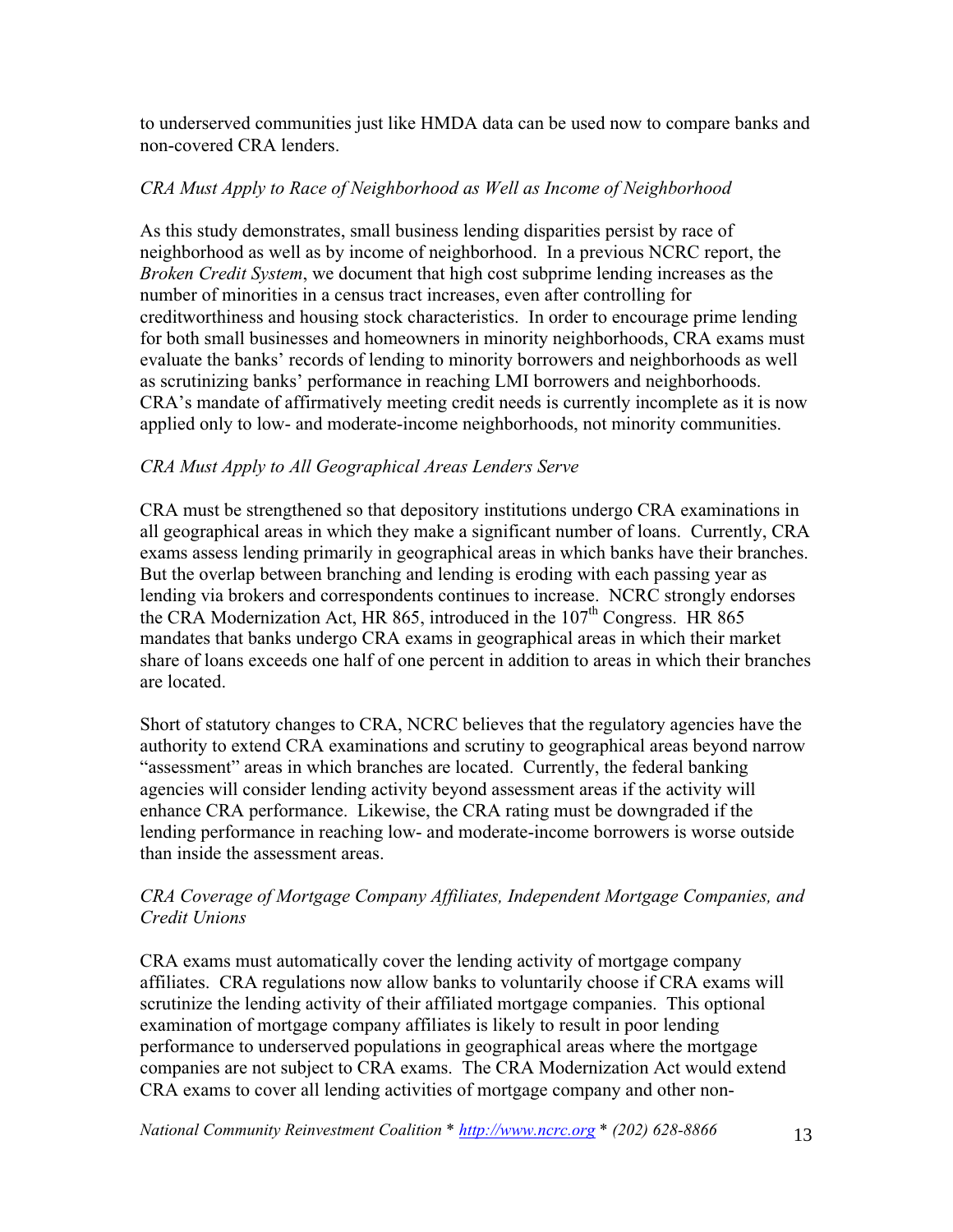to underserved communities just like HMDA data can be used now to compare banks and non-covered CRA lenders.

#### *CRA Must Apply to Race of Neighborhood as Well as Income of Neighborhood*

As this study demonstrates, small business lending disparities persist by race of neighborhood as well as by income of neighborhood. In a previous NCRC report, the *Broken Credit System*, we document that high cost subprime lending increases as the number of minorities in a census tract increases, even after controlling for creditworthiness and housing stock characteristics. In order to encourage prime lending for both small businesses and homeowners in minority neighborhoods, CRA exams must evaluate the banks' records of lending to minority borrowers and neighborhoods as well as scrutinizing banks' performance in reaching LMI borrowers and neighborhoods. CRA's mandate of affirmatively meeting credit needs is currently incomplete as it is now applied only to low- and moderate-income neighborhoods, not minority communities.

#### *CRA Must Apply to All Geographical Areas Lenders Serve*

CRA must be strengthened so that depository institutions undergo CRA examinations in all geographical areas in which they make a significant number of loans. Currently, CRA exams assess lending primarily in geographical areas in which banks have their branches. But the overlap between branching and lending is eroding with each passing year as lending via brokers and correspondents continues to increase. NCRC strongly endorses the CRA Modernization Act, HR 865, introduced in the  $107<sup>th</sup>$  Congress. HR 865 mandates that banks undergo CRA exams in geographical areas in which their market share of loans exceeds one half of one percent in addition to areas in which their branches are located.

Short of statutory changes to CRA, NCRC believes that the regulatory agencies have the authority to extend CRA examinations and scrutiny to geographical areas beyond narrow "assessment" areas in which branches are located. Currently, the federal banking agencies will consider lending activity beyond assessment areas if the activity will enhance CRA performance. Likewise, the CRA rating must be downgraded if the lending performance in reaching low- and moderate-income borrowers is worse outside than inside the assessment areas.

#### *CRA Coverage of Mortgage Company Affiliates, Independent Mortgage Companies, and Credit Unions*

CRA exams must automatically cover the lending activity of mortgage company affiliates. CRA regulations now allow banks to voluntarily choose if CRA exams will scrutinize the lending activity of their affiliated mortgage companies. This optional examination of mortgage company affiliates is likely to result in poor lending performance to underserved populations in geographical areas where the mortgage companies are not subject to CRA exams. The CRA Modernization Act would extend CRA exams to cover all lending activities of mortgage company and other non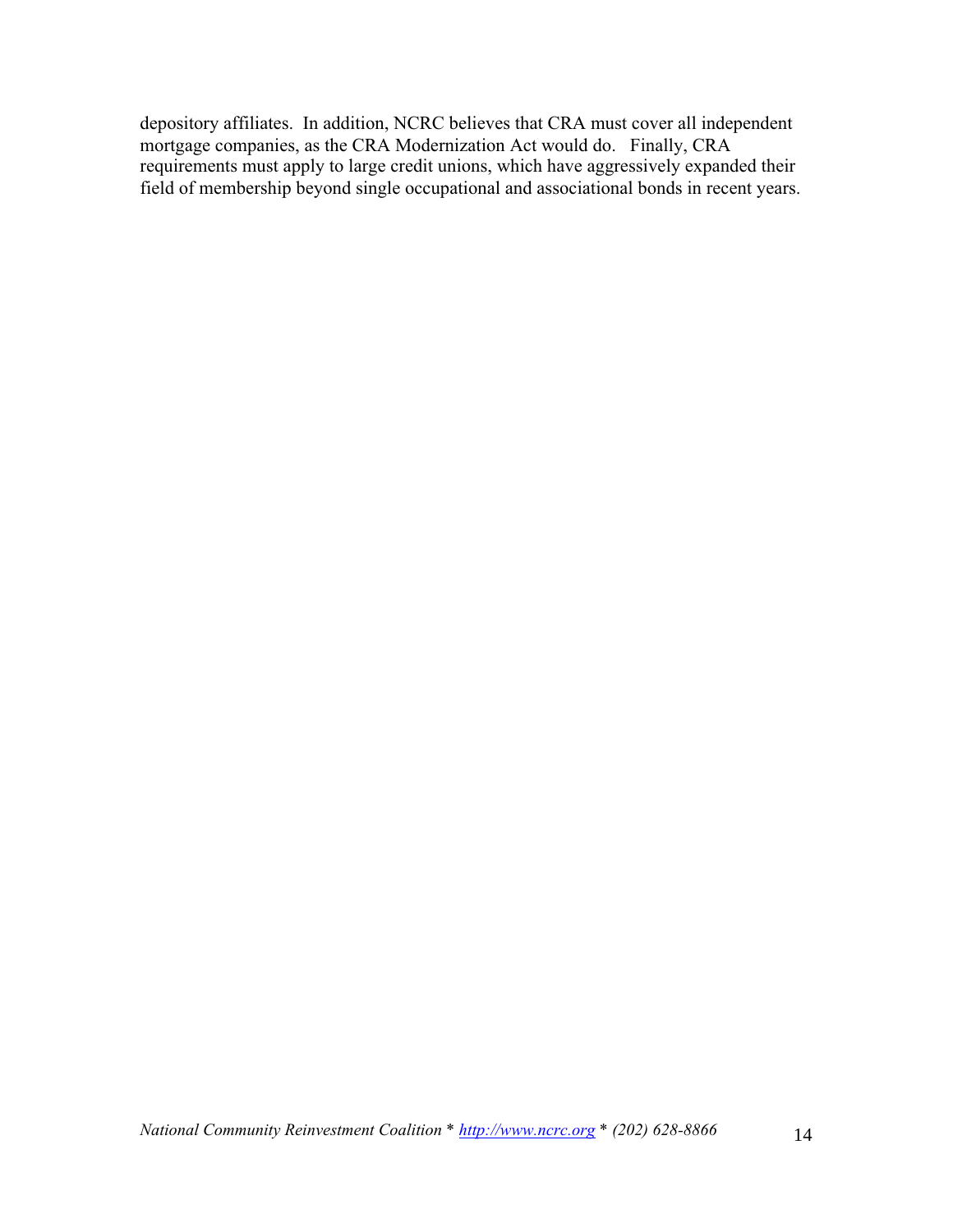depository affiliates. In addition, NCRC believes that CRA must cover all independent mortgage companies, as the CRA Modernization Act would do. Finally, CRA requirements must apply to large credit unions, which have aggressively expanded their field of membership beyond single occupational and associational bonds in recent years.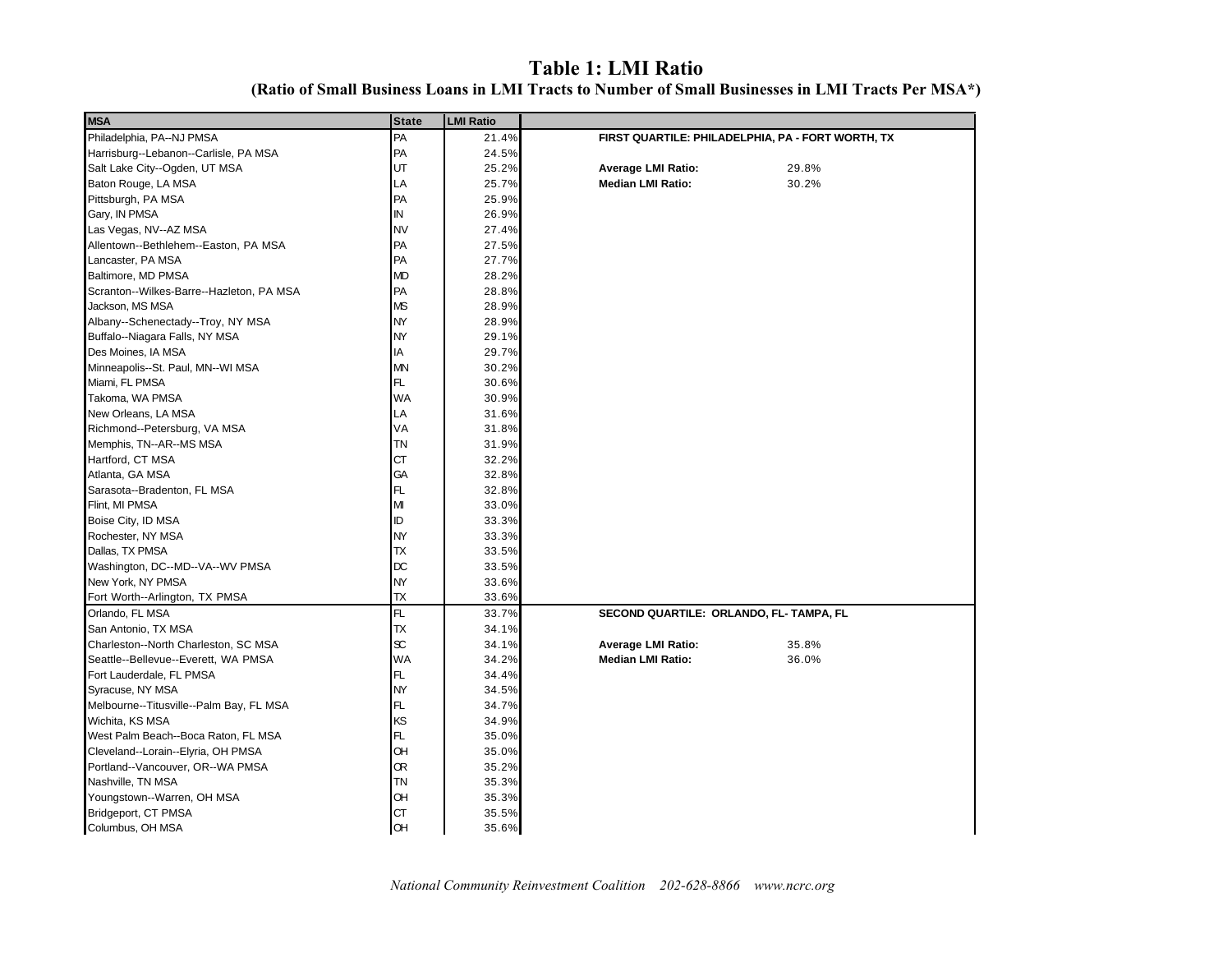#### **Table 1: LMI Ratio (Ratio of Small Business Loans in LMI Tracts to Number of Small Businesses in LMI Tracts Per MSA\*)**

| <b>MSA</b>                               | <b>State</b> | <b>LMI Ratio</b> |                                                   |
|------------------------------------------|--------------|------------------|---------------------------------------------------|
| Philadelphia, PA--NJ PMSA                | PA           | 21.4%            | FIRST QUARTILE: PHILADELPHIA, PA - FORT WORTH, TX |
| Harrisburg--Lebanon--Carlisle, PA MSA    | PA           | 24.5%            |                                                   |
| Salt Lake City--Ogden, UT MSA            | UT           | 25.2%            | <b>Average LMI Ratio:</b><br>29.8%                |
| Baton Rouge, LA MSA                      | LA           | 25.7%            | 30.2%<br><b>Median LMI Ratio:</b>                 |
| Pittsburgh, PA MSA                       | PA           | 25.9%            |                                                   |
| Gary, IN PMSA                            | ${\sf IN}$   | 26.9%            |                                                   |
| Las Vegas, NV--AZ MSA                    | <b>NV</b>    | 27.4%            |                                                   |
| Allentown--Bethlehem--Easton, PA MSA     | PA           | 27.5%            |                                                   |
| Lancaster, PA MSA                        | PA           | 27.7%            |                                                   |
| Baltimore, MD PMSA                       | <b>MD</b>    | 28.2%            |                                                   |
| Scranton--Wilkes-Barre--Hazleton, PA MSA | PA           | 28.8%            |                                                   |
| Jackson, MS MSA                          | <b>MS</b>    | 28.9%            |                                                   |
| Albany--Schenectady--Troy, NY MSA        | <b>NY</b>    | 28.9%            |                                                   |
| Buffalo--Niagara Falls, NY MSA           | <b>NY</b>    | 29.1%            |                                                   |
| Des Moines, IA MSA                       | IA           | 29.7%            |                                                   |
| Minneapolis--St. Paul, MN--WI MSA        | <b>MN</b>    | 30.2%            |                                                   |
| Miami, FL PMSA                           | FL.          | 30.6%            |                                                   |
| Takoma, WA PMSA                          | <b>WA</b>    | 30.9%            |                                                   |
| New Orleans, LA MSA                      | LA           | 31.6%            |                                                   |
| Richmond--Petersburg, VA MSA             | VA           | 31.8%            |                                                   |
| Memphis, TN--AR--MS MSA                  | <b>TN</b>    | 31.9%            |                                                   |
| Hartford, CT MSA                         | <b>CT</b>    | 32.2%            |                                                   |
| Atlanta, GA MSA                          | GA           | 32.8%            |                                                   |
| Sarasota--Bradenton, FL MSA              | FL.          | 32.8%            |                                                   |
| Flint, MI PMSA                           | M            | 33.0%            |                                                   |
| Boise City, ID MSA                       | ID           | 33.3%            |                                                   |
| Rochester, NY MSA                        | <b>NY</b>    | 33.3%            |                                                   |
| Dallas, TX PMSA                          | <b>TX</b>    | 33.5%            |                                                   |
| Washington, DC--MD--VA--WV PMSA          | DC           | 33.5%            |                                                   |
| New York, NY PMSA                        | NY           | 33.6%            |                                                   |
| Fort Worth--Arlington, TX PMSA           | ${\sf TX}$   | 33.6%            |                                                   |
| Orlando, FL MSA                          | FL           | 33.7%            | SECOND QUARTILE: ORLANDO, FL- TAMPA, FL           |
| San Antonio, TX MSA                      | <b>TX</b>    | 34.1%            |                                                   |
| Charleston--North Charleston, SC MSA     | SC.          | 34.1%            | Average LMI Ratio:<br>35.8%                       |
| Seattle--Bellevue--Everett, WA PMSA      | <b>WA</b>    | 34.2%            | <b>Median LMI Ratio:</b><br>36.0%                 |
| Fort Lauderdale, FL PMSA                 | FL.          | 34.4%            |                                                   |
| Syracuse, NY MSA                         | NY           | 34.5%            |                                                   |
| Melbourne--Titusville--Palm Bay, FL MSA  | FL.          | 34.7%            |                                                   |
| Wichita, KS MSA                          | KS           | 34.9%            |                                                   |
| West Palm Beach--Boca Raton, FL MSA      | FL.          | 35.0%            |                                                   |
| Cleveland--Lorain--Elyria, OH PMSA       | <b>OH</b>    | 35.0%            |                                                   |
| Portland--Vancouver, OR--WA PMSA         | Œ            | 35.2%            |                                                   |
| Nashville, TN MSA                        | <b>TN</b>    | 35.3%            |                                                   |
| Youngstown--Warren, OH MSA               | Œ            | 35.3%            |                                                   |
| Bridgeport, CT PMSA                      | <b>CT</b>    | 35.5%            |                                                   |
| Columbus, OH MSA                         | OH           | 35.6%            |                                                   |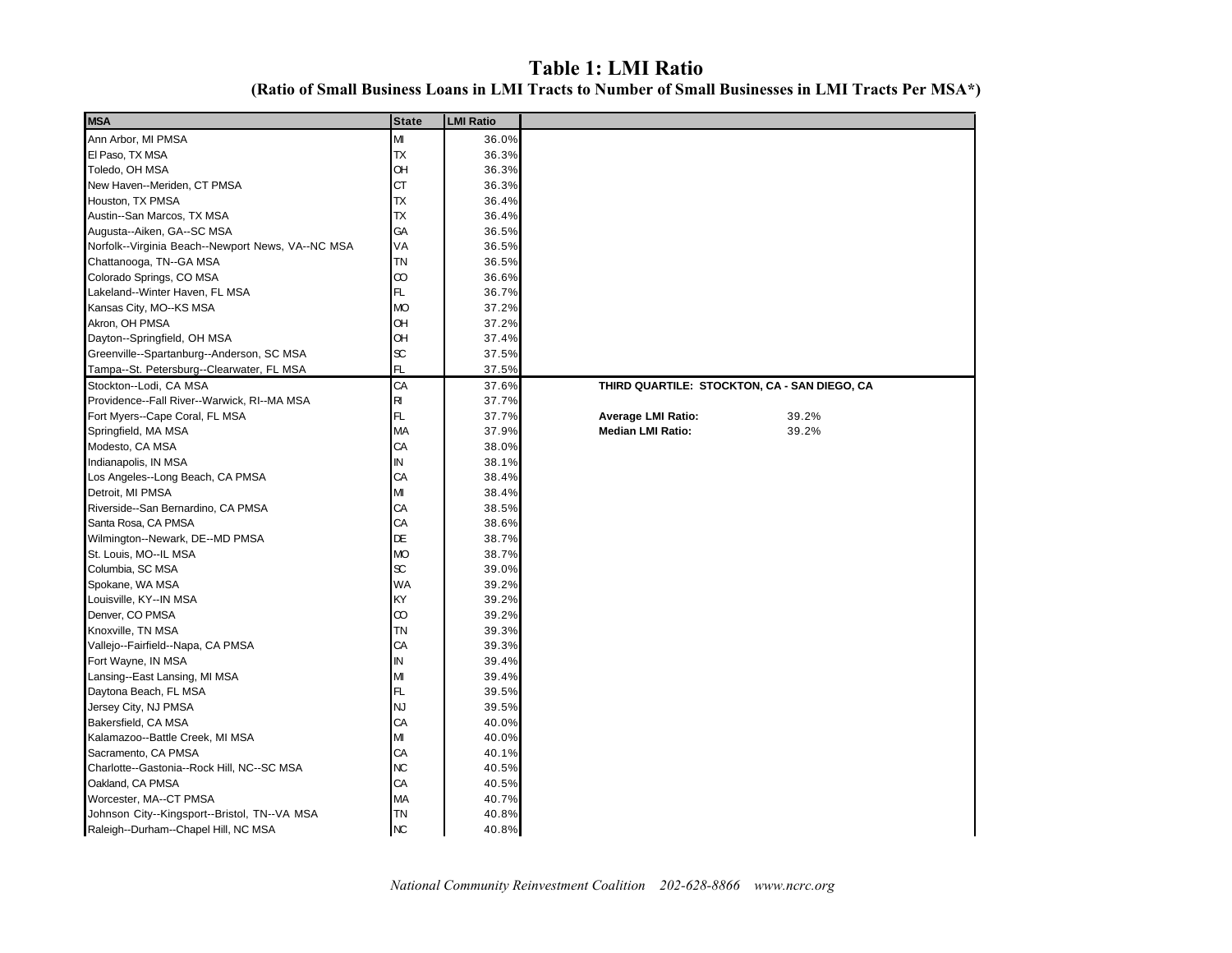#### **Table 1: LMI Ratio (Ratio of Small Business Loans in LMI Tracts to Number of Small Businesses in LMI Tracts Per MSA\*)**

| <b>MSA</b>                                        | <b>State</b> | <b>LMI Ratio</b> |                                              |       |
|---------------------------------------------------|--------------|------------------|----------------------------------------------|-------|
| Ann Arbor, MI PMSA                                | M            | 36.0%            |                                              |       |
| El Paso, TX MSA                                   | <b>TX</b>    | 36.3%            |                                              |       |
| Toledo, OH MSA                                    | OH           | 36.3%            |                                              |       |
| New Haven--Meriden, CT PMSA                       | <b>CT</b>    | 36.3%            |                                              |       |
| Houston, TX PMSA                                  | <b>TX</b>    | 36.4%            |                                              |       |
| Austin--San Marcos, TX MSA                        | <b>TX</b>    | 36.4%            |                                              |       |
| Augusta--Aiken, GA--SC MSA                        | GA           | 36.5%            |                                              |       |
| Norfolk--Virginia Beach--Newport News, VA--NC MSA | VA           | 36.5%            |                                              |       |
| Chattanooga, TN--GA MSA                           | <b>TN</b>    | 36.5%            |                                              |       |
| Colorado Springs, CO MSA                          | $\infty$     | 36.6%            |                                              |       |
| Lakeland--Winter Haven, FL MSA                    | FL.          | 36.7%            |                                              |       |
| Kansas City, MO--KS MSA                           | <b>MO</b>    | 37.2%            |                                              |       |
| Akron, OH PMSA                                    | OH           | 37.2%            |                                              |       |
| Dayton--Springfield, OH MSA                       | OH           | 37.4%            |                                              |       |
| Greenville--Spartanburg--Anderson, SC MSA         | $\infty$     | 37.5%            |                                              |       |
| Tampa--St. Petersburg--Clearwater, FL MSA         | FL           | 37.5%            |                                              |       |
| Stockton--Lodi, CA MSA                            | CA           | 37.6%            | THIRD QUARTILE: STOCKTON, CA - SAN DIEGO, CA |       |
| Providence--Fall River--Warwick, RI--MA MSA       | R            | 37.7%            |                                              |       |
| Fort Myers--Cape Coral, FL MSA                    | FL.          | 37.7%            | <b>Average LMI Ratio:</b>                    | 39.2% |
| Springfield, MA MSA                               | <b>MA</b>    | 37.9%            | <b>Median LMI Ratio:</b>                     | 39.2% |
| Modesto, CA MSA                                   | CA           | 38.0%            |                                              |       |
| Indianapolis, IN MSA                              | IN           | 38.1%            |                                              |       |
| Los Angeles--Long Beach, CA PMSA                  | CA           | 38.4%            |                                              |       |
| Detroit, MI PMSA                                  | M            | 38.4%            |                                              |       |
| Riverside--San Bernardino, CA PMSA                | CA           | 38.5%            |                                              |       |
| Santa Rosa, CA PMSA                               | CA           | 38.6%            |                                              |       |
| Wilmington--Newark, DE--MD PMSA                   | DE           | 38.7%            |                                              |       |
| St. Louis, MO--IL MSA                             | <b>MO</b>    | 38.7%            |                                              |       |
| Columbia, SC MSA                                  | $\infty$     | 39.0%            |                                              |       |
| Spokane, WA MSA                                   | <b>WA</b>    | 39.2%            |                                              |       |
| Louisville, KY--IN MSA                            | KY           | 39.2%            |                                              |       |
| Denver, CO PMSA                                   | $\infty$     | 39.2%            |                                              |       |
| Knoxville, TN MSA                                 | <b>TN</b>    | 39.3%            |                                              |       |
| Vallejo--Fairfield--Napa, CA PMSA                 | CA           | 39.3%            |                                              |       |
| Fort Wayne, IN MSA                                | IN           | 39.4%            |                                              |       |
| Lansing--East Lansing, MI MSA                     | M            | 39.4%            |                                              |       |
| Daytona Beach, FL MSA                             | FL           | 39.5%            |                                              |       |
| Jersey City, NJ PMSA                              | <b>NJ</b>    | 39.5%            |                                              |       |
| Bakersfield, CA MSA                               | CA           | 40.0%            |                                              |       |
| Kalamazoo--Battle Creek, MI MSA                   | M            | 40.0%            |                                              |       |
| Sacramento, CA PMSA                               | CA           | 40.1%            |                                              |       |
| Charlotte--Gastonia--Rock Hill, NC--SC MSA        | <b>NC</b>    | 40.5%            |                                              |       |
| Oakland, CA PMSA                                  | CA           | 40.5%            |                                              |       |
| Worcester, MA--CT PMSA                            | <b>MA</b>    | 40.7%            |                                              |       |
| Johnson City--Kingsport--Bristol, TN--VA MSA      | <b>TN</b>    | 40.8%            |                                              |       |
| Raleigh--Durham--Chapel Hill, NC MSA              | <b>NC</b>    | 40.8%            |                                              |       |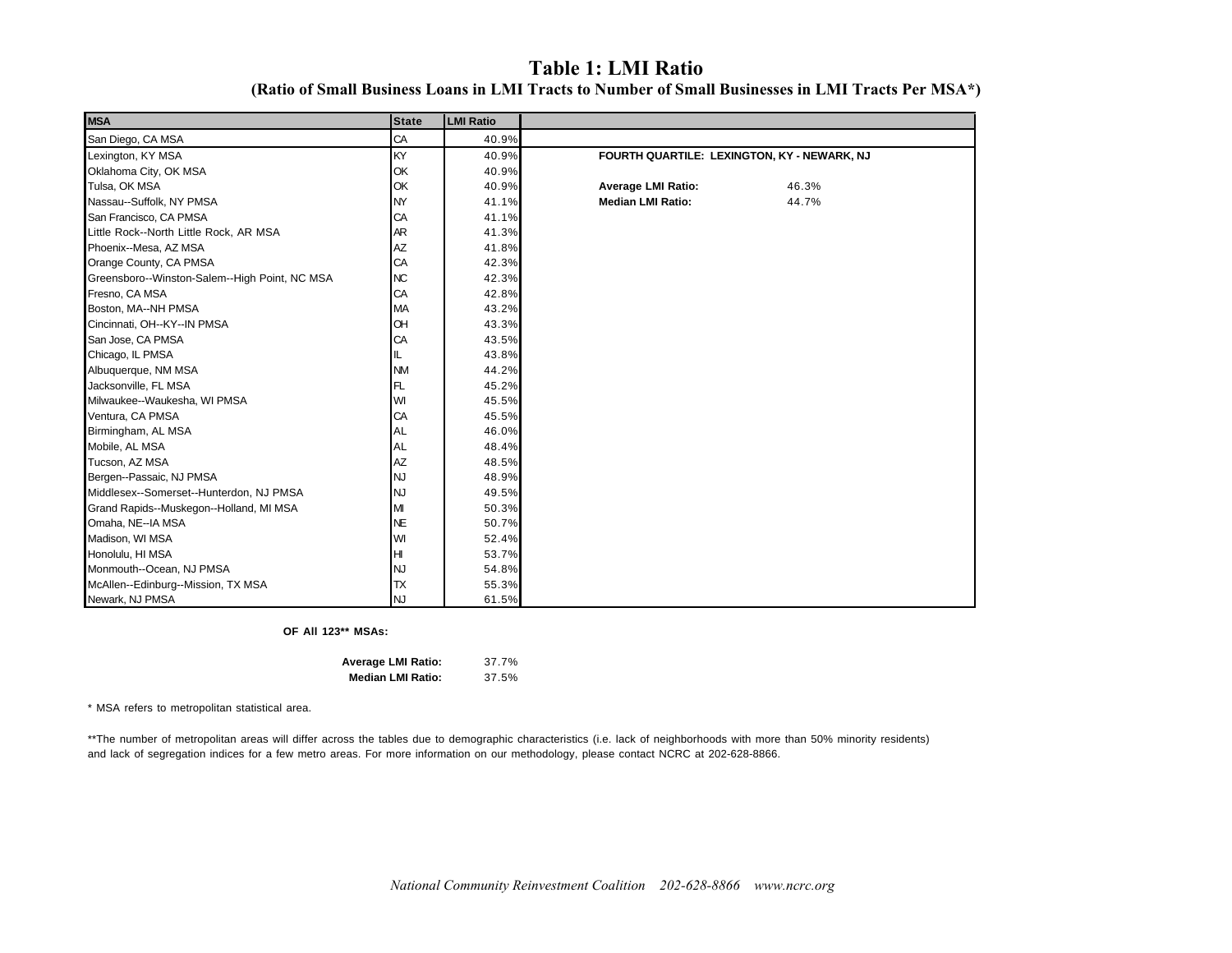### **Table 1: LMI Ratio**

**(Ratio of Small Business Loans in LMI Tracts to Number of Small Businesses in LMI Tracts Per MSA\*)**

| <b>MSA</b>                                    | <b>State</b> | <b>LMI Ratio</b> |                                             |       |
|-----------------------------------------------|--------------|------------------|---------------------------------------------|-------|
| San Diego, CA MSA                             | CA           | 40.9%            |                                             |       |
| Lexington, KY MSA                             | KY           | 40.9%            | FOURTH QUARTILE: LEXINGTON, KY - NEWARK, NJ |       |
| Oklahoma City, OK MSA                         | OK           | 40.9%            |                                             |       |
| Tulsa, OK MSA                                 | OK           | 40.9%            | <b>Average LMI Ratio:</b>                   | 46.3% |
| Nassau--Suffolk, NY PMSA                      | NY           | 41.1%            | <b>Median LMI Ratio:</b>                    | 44.7% |
| San Francisco, CA PMSA                        | CA           | 41.1%            |                                             |       |
| Little Rock--North Little Rock, AR MSA        | AR           | 41.3%            |                                             |       |
| Phoenix--Mesa, AZ MSA                         | AZ           | 41.8%            |                                             |       |
| Orange County, CA PMSA                        | CA           | 42.3%            |                                             |       |
| Greensboro--Winston-Salem--High Point, NC MSA | NC.          | 42.3%            |                                             |       |
| Fresno, CA MSA                                | CA           | 42.8%            |                                             |       |
| Boston, MA--NH PMSA                           | MA           | 43.2%            |                                             |       |
| Cincinnati, OH--KY--IN PMSA                   | <b>OH</b>    | 43.3%            |                                             |       |
| San Jose, CA PMSA                             | CA           | 43.5%            |                                             |       |
| Chicago, IL PMSA                              | IL.          | 43.8%            |                                             |       |
| Albuquerque, NM MSA                           | <b>NM</b>    | 44.2%            |                                             |       |
| Jacksonville, FL MSA                          | FL.          | 45.2%            |                                             |       |
| Milwaukee--Waukesha, WI PMSA                  | WI           | 45.5%            |                                             |       |
| Ventura, CA PMSA                              | CA           | 45.5%            |                                             |       |
| Birmingham, AL MSA                            | <b>AL</b>    | 46.0%            |                                             |       |
| Mobile, AL MSA                                | <b>AL</b>    | 48.4%            |                                             |       |
| Tucson, AZ MSA                                | <b>AZ</b>    | 48.5%            |                                             |       |
| Bergen--Passaic, NJ PMSA                      | <b>NJ</b>    | 48.9%            |                                             |       |
| Middlesex--Somerset--Hunterdon, NJ PMSA       | <b>NJ</b>    | 49.5%            |                                             |       |
| Grand Rapids--Muskegon--Holland, MI MSA       | М            | 50.3%            |                                             |       |
| Omaha, NE--IA MSA                             | <b>NE</b>    | 50.7%            |                                             |       |
| Madison, WI MSA                               | WI           | 52.4%            |                                             |       |
| Honolulu, HI MSA                              | н            | 53.7%            |                                             |       |
| Monmouth--Ocean, NJ PMSA                      | <b>NJ</b>    | 54.8%            |                                             |       |
| McAllen--Edinburg--Mission, TX MSA            | <b>TX</b>    | 55.3%            |                                             |       |
| Newark, NJ PMSA                               | <b>NJ</b>    | 61.5%            |                                             |       |

#### **OF All 123\*\* MSAs:**

| <b>Average LMI Ratio:</b> | 37.7% |
|---------------------------|-------|
| <b>Median LMI Ratio:</b>  | 37.5% |

\* MSA refers to metropolitan statistical area.

\*\*The number of metropolitan areas will differ across the tables due to demographic characteristics (i.e. lack of neighborhoods with more than 50% minority residents) and lack of segregation indices for a few metro areas. For more information on our methodology, please contact NCRC at 202-628-8866.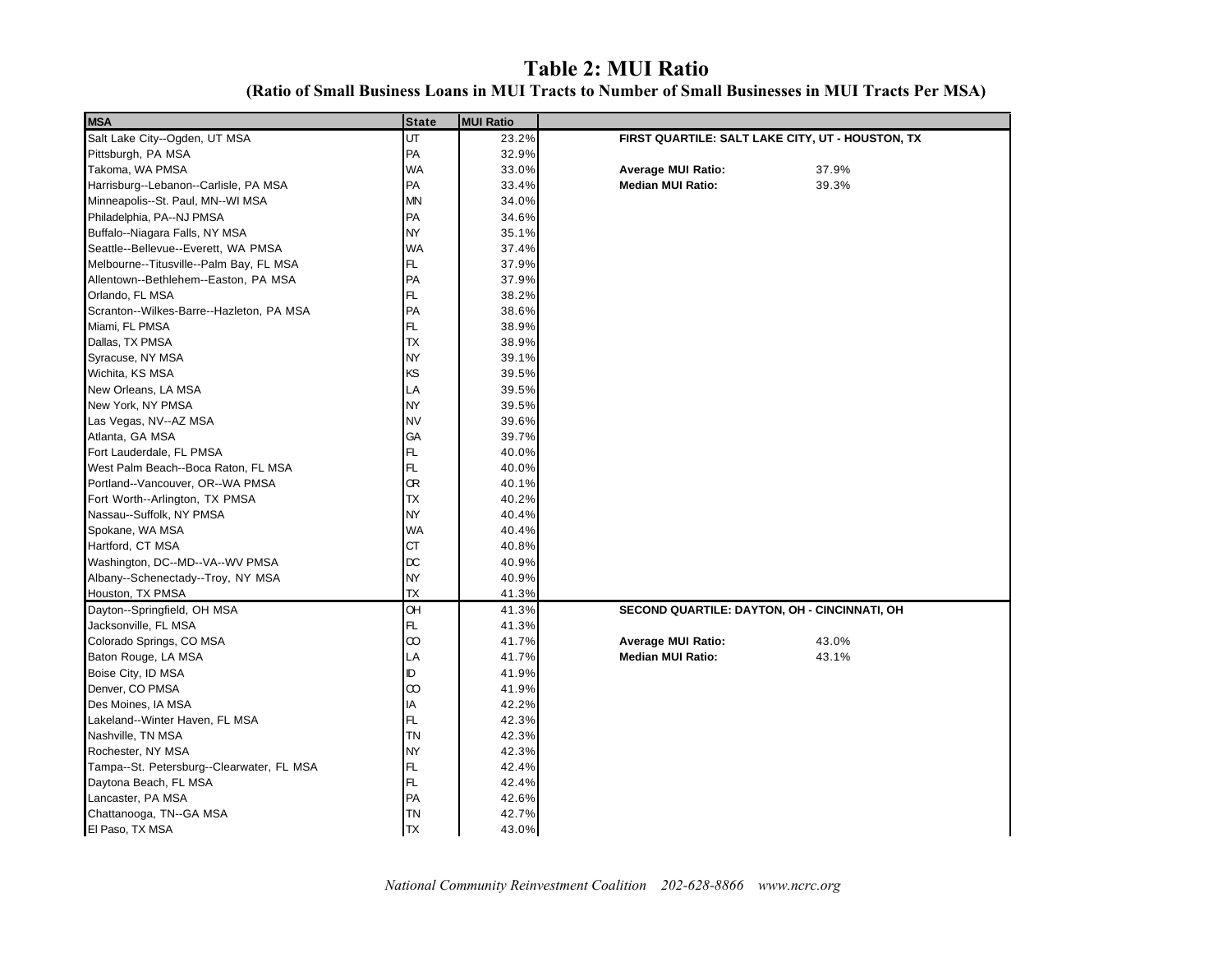## **Table 2: MUI Ratio**

| <b>MSA</b>                                | <b>State</b> | <b>MUI Ratio</b> |                                                  |       |
|-------------------------------------------|--------------|------------------|--------------------------------------------------|-------|
| Salt Lake City--Ogden, UT MSA             | UT           | 23.2%            | FIRST QUARTILE: SALT LAKE CITY, UT - HOUSTON, TX |       |
| Pittsburgh, PA MSA                        | PA           | 32.9%            |                                                  |       |
| Takoma, WA PMSA                           | <b>WA</b>    | 33.0%            | <b>Average MUI Ratio:</b>                        | 37.9% |
| Harrisburg--Lebanon--Carlisle, PA MSA     | PA           | 33.4%            | <b>Median MUI Ratio:</b>                         | 39.3% |
| Minneapolis--St. Paul, MN--WI MSA         | <b>MN</b>    | 34.0%            |                                                  |       |
| Philadelphia, PA--NJ PMSA                 | PA           | 34.6%            |                                                  |       |
| Buffalo--Niagara Falls, NY MSA            | <b>NY</b>    | 35.1%            |                                                  |       |
| Seattle--Bellevue--Everett, WA PMSA       | <b>WA</b>    | 37.4%            |                                                  |       |
| Melbourne--Titusville--Palm Bay, FL MSA   | FL.          | 37.9%            |                                                  |       |
| Allentown--Bethlehem--Easton, PA MSA      | PA           | 37.9%            |                                                  |       |
| Orlando, FL MSA                           | FL.          | 38.2%            |                                                  |       |
| Scranton--Wilkes-Barre--Hazleton, PA MSA  | PA           | 38.6%            |                                                  |       |
| Miami, FL PMSA                            | FL           | 38.9%            |                                                  |       |
| Dallas, TX PMSA                           | <b>TX</b>    | 38.9%            |                                                  |       |
| Syracuse, NY MSA                          | <b>NY</b>    | 39.1%            |                                                  |       |
| Wichita, KS MSA                           | KS           | 39.5%            |                                                  |       |
| New Orleans, LA MSA                       | LA           | 39.5%            |                                                  |       |
| New York, NY PMSA                         | <b>NY</b>    | 39.5%            |                                                  |       |
| Las Vegas, NV--AZ MSA                     | <b>NV</b>    | 39.6%            |                                                  |       |
| Atlanta, GA MSA                           | GA           | 39.7%            |                                                  |       |
| Fort Lauderdale, FL PMSA                  | FL.          | 40.0%            |                                                  |       |
| West Palm Beach--Boca Raton, FL MSA       | FL           | 40.0%            |                                                  |       |
| Portland--Vancouver, OR--WA PMSA          | <b>OR</b>    | 40.1%            |                                                  |       |
| Fort Worth--Arlington, TX PMSA            | <b>TX</b>    | 40.2%            |                                                  |       |
| Nassau--Suffolk, NY PMSA                  | <b>NY</b>    | 40.4%            |                                                  |       |
| Spokane, WA MSA                           | <b>WA</b>    | 40.4%            |                                                  |       |
| Hartford, CT MSA                          | <b>CT</b>    | 40.8%            |                                                  |       |
| Washington, DC--MD--VA--WV PMSA           | $\alpha$     | 40.9%            |                                                  |       |
| Albany--Schenectady--Troy, NY MSA         | <b>NY</b>    | 40.9%            |                                                  |       |
| Houston, TX PMSA                          | <b>TX</b>    | 41.3%            |                                                  |       |
| Dayton--Springfield, OH MSA               | <b>OH</b>    | 41.3%            | SECOND QUARTILE: DAYTON, OH - CINCINNATI, OH     |       |
| Jacksonville, FL MSA                      | FL           | 41.3%            |                                                  |       |
| Colorado Springs, CO MSA                  | $\infty$     | 41.7%            | <b>Average MUI Ratio:</b>                        | 43.0% |
| Baton Rouge, LA MSA                       | LA           | 41.7%            | <b>Median MUI Ratio:</b>                         | 43.1% |
| Boise City, ID MSA                        | ID           | 41.9%            |                                                  |       |
| Denver, CO PMSA                           | $\infty$     | 41.9%            |                                                  |       |
| Des Moines, IA MSA                        | ΙA           | 42.2%            |                                                  |       |
| Lakeland--Winter Haven, FL MSA            | FL           | 42.3%            |                                                  |       |
| Nashville, TN MSA                         | <b>TN</b>    | 42.3%            |                                                  |       |
| Rochester, NY MSA                         | <b>NY</b>    | 42.3%            |                                                  |       |
| Tampa--St. Petersburg--Clearwater, FL MSA | FL           | 42.4%            |                                                  |       |
| Daytona Beach, FL MSA                     | FL           | 42.4%            |                                                  |       |
| Lancaster, PA MSA                         | PA           | 42.6%            |                                                  |       |
| Chattanooga, TN--GA MSA                   | <b>TN</b>    | 42.7%            |                                                  |       |
| El Paso, TX MSA                           | <b>ITX</b>   | 43.0%            |                                                  |       |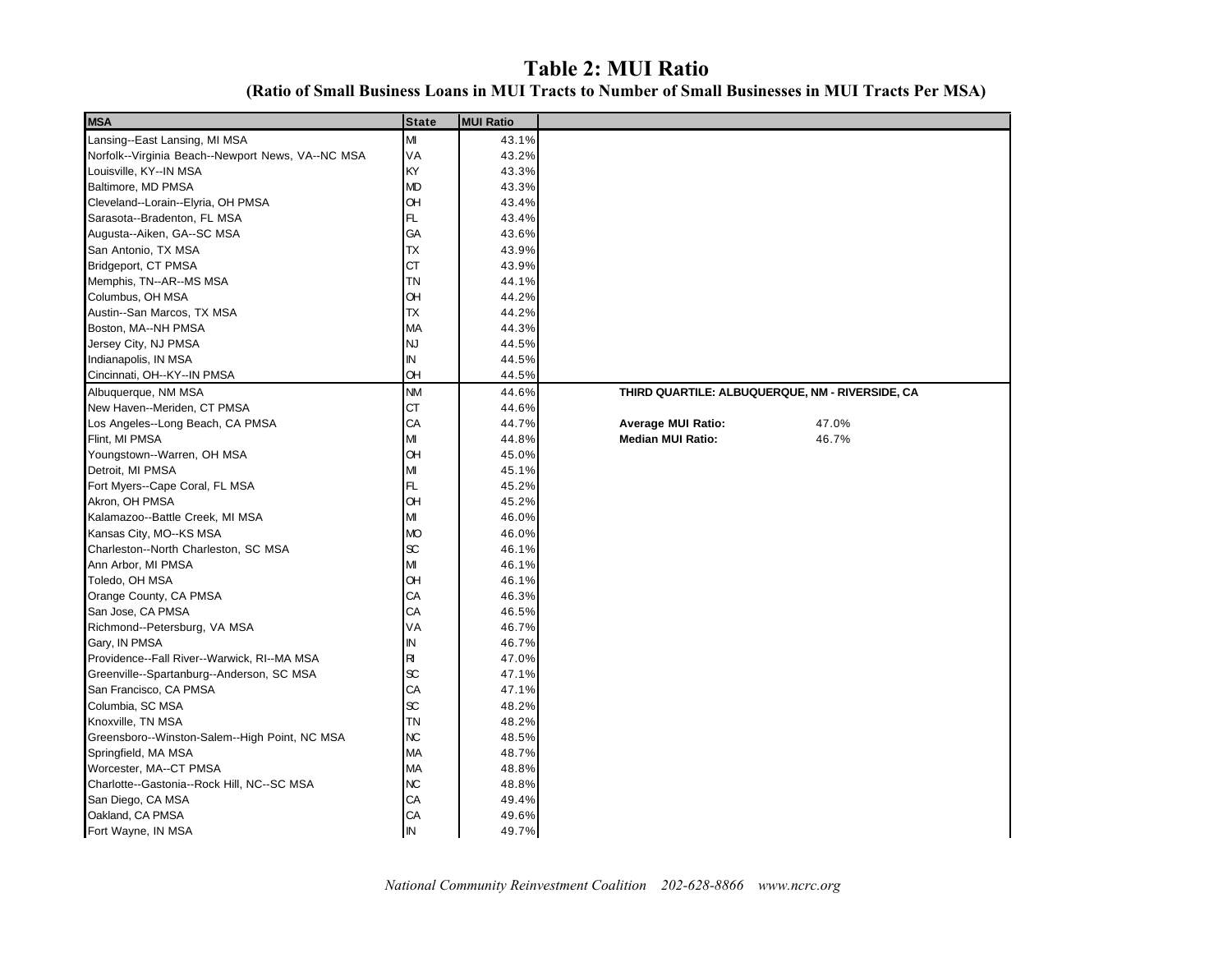### **Table 2: MUI Ratio (Ratio of Small Business Loans in MUI Tracts to Number of Small Businesses in MUI Tracts Per MSA)**

| <b>MSA</b>                                        | <b>State</b> | <b>MUI Ratio</b> |                                                 |       |
|---------------------------------------------------|--------------|------------------|-------------------------------------------------|-------|
| Lansing--East Lansing, MI MSA                     | M            | 43.1%            |                                                 |       |
| Norfolk--Virginia Beach--Newport News, VA--NC MSA | VA           | 43.2%            |                                                 |       |
| Louisville, KY--IN MSA                            | KY           | 43.3%            |                                                 |       |
| Baltimore, MD PMSA                                | <b>MD</b>    | 43.3%            |                                                 |       |
| Cleveland--Lorain--Elyria, OH PMSA                | <b>OH</b>    | 43.4%            |                                                 |       |
| Sarasota--Bradenton, FL MSA                       | FL.          | 43.4%            |                                                 |       |
| Augusta--Aiken, GA--SC MSA                        | GA           | 43.6%            |                                                 |       |
| San Antonio, TX MSA                               | ТX           | 43.9%            |                                                 |       |
| Bridgeport, CT PMSA                               | СT           | 43.9%            |                                                 |       |
| Memphis, TN--AR--MS MSA                           | ΤN           | 44.1%            |                                                 |       |
| Columbus, OH MSA                                  | Œ            | 44.2%            |                                                 |       |
| Austin--San Marcos, TX MSA                        | ТX           | 44.2%            |                                                 |       |
| Boston, MA--NH PMSA                               | <b>MA</b>    | 44.3%            |                                                 |       |
| Jersey City, NJ PMSA                              | <b>NJ</b>    | 44.5%            |                                                 |       |
| Indianapolis, IN MSA                              | IN           | 44.5%            |                                                 |       |
| Cincinnati, OH--KY--IN PMSA                       | Œ            | 44.5%            |                                                 |       |
| Albuquerque, NM MSA                               | <b>NM</b>    | 44.6%            | THIRD QUARTILE: ALBUQUERQUE, NM - RIVERSIDE, CA |       |
| New Haven--Meriden, CT PMSA                       | <b>CT</b>    | 44.6%            |                                                 |       |
| Los Angeles--Long Beach, CA PMSA                  | CA           | 44.7%            | <b>Average MUI Ratio:</b>                       | 47.0% |
| Flint, MI PMSA                                    | M            | 44.8%            | <b>Median MUI Ratio:</b>                        | 46.7% |
| Youngstown--Warren, OH MSA                        | <b>OH</b>    | 45.0%            |                                                 |       |
| Detroit, MI PMSA                                  | M            | 45.1%            |                                                 |       |
| Fort Myers--Cape Coral, FL MSA                    | FL           | 45.2%            |                                                 |       |
| Akron, OH PMSA                                    | <b>OH</b>    | 45.2%            |                                                 |       |
| Kalamazoo--Battle Creek, MI MSA                   | M            | 46.0%            |                                                 |       |
| Kansas City, MO--KS MSA                           | <b>MO</b>    | 46.0%            |                                                 |       |
| Charleston--North Charleston, SC MSA              | æ            | 46.1%            |                                                 |       |
| Ann Arbor, MI PMSA                                | М            | 46.1%            |                                                 |       |
| Toledo, OH MSA                                    | Œ            | 46.1%            |                                                 |       |
| Orange County, CA PMSA                            | CA           | 46.3%            |                                                 |       |
| San Jose, CA PMSA                                 | СA           | 46.5%            |                                                 |       |
| Richmond--Petersburg, VA MSA                      | VA           | 46.7%            |                                                 |       |
| Gary, IN PMSA                                     | IN           | 46.7%            |                                                 |       |
| Providence--Fall River--Warwick, RI--MA MSA       | RI           | 47.0%            |                                                 |       |
| Greenville--Spartanburg--Anderson, SC MSA         | $\infty$     | 47.1%            |                                                 |       |
| San Francisco, CA PMSA                            | СA           | 47.1%            |                                                 |       |
| Columbia, SC MSA                                  | $\infty$     | 48.2%            |                                                 |       |
| Knoxville, TN MSA                                 | TN           | 48.2%            |                                                 |       |
| Greensboro--Winston-Salem--High Point, NC MSA     | <b>NC</b>    | 48.5%            |                                                 |       |
| Springfield, MA MSA                               | MA           | 48.7%            |                                                 |       |
| Worcester, MA--CT PMSA                            | MA           | 48.8%            |                                                 |       |
| Charlotte--Gastonia--Rock Hill, NC--SC MSA        | <b>NC</b>    | 48.8%            |                                                 |       |
| San Diego, CA MSA                                 | CA           | 49.4%            |                                                 |       |
| Oakland, CA PMSA                                  | CA           | 49.6%            |                                                 |       |
| Fort Wayne, IN MSA                                | IN           | 49.7%            |                                                 |       |
|                                                   |              |                  |                                                 |       |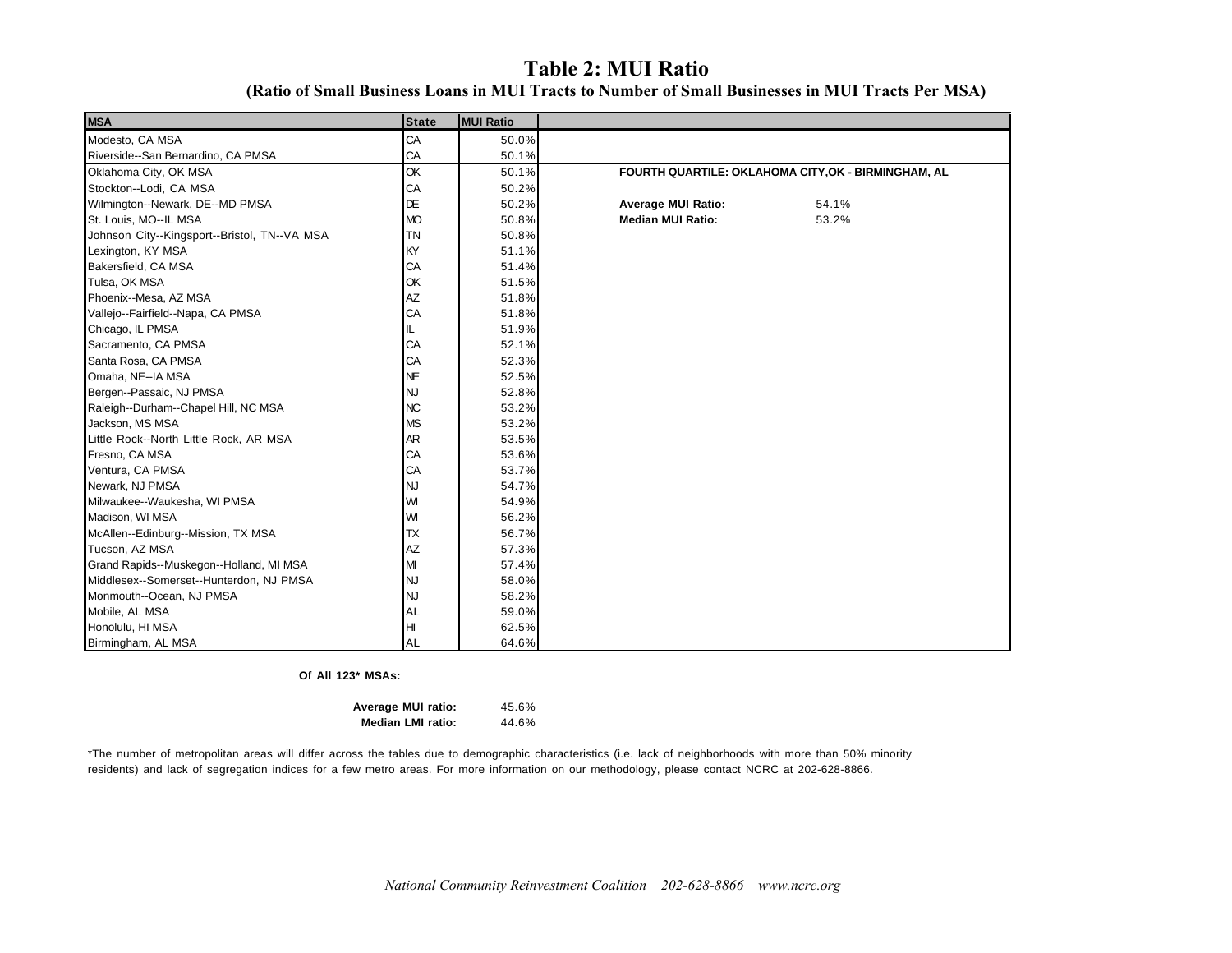### **Table 2: MUI Ratio**

| <b>MSA</b>                                   | <b>State</b> | <b>MUI Ratio</b> |                                                     |
|----------------------------------------------|--------------|------------------|-----------------------------------------------------|
| Modesto, CA MSA                              | CA           | 50.0%            |                                                     |
| Riverside--San Bernardino, CA PMSA           | CA           | 50.1%            |                                                     |
| Oklahoma City, OK MSA                        | OK           | 50.1%            | FOURTH QUARTILE: OKLAHOMA CITY, OK - BIRMINGHAM, AL |
| Stockton--Lodi, CA MSA                       | CA           | 50.2%            |                                                     |
| Wilmington--Newark, DE--MD PMSA              | DE           | 50.2%            | 54.1%<br><b>Average MUI Ratio:</b>                  |
| St. Louis, MO--IL MSA                        | <b>MO</b>    | 50.8%            | <b>Median MUI Ratio:</b><br>53.2%                   |
| Johnson City--Kingsport--Bristol, TN--VA MSA | <b>TN</b>    | 50.8%            |                                                     |
| Lexington, KY MSA                            | KY           | 51.1%            |                                                     |
| Bakersfield, CA MSA                          | CA           | 51.4%            |                                                     |
| Tulsa, OK MSA                                | OK           | 51.5%            |                                                     |
| Phoenix--Mesa, AZ MSA                        | AZ           | 51.8%            |                                                     |
| Vallejo--Fairfield--Napa, CA PMSA            | CA           | 51.8%            |                                                     |
| Chicago, IL PMSA                             | IL.          | 51.9%            |                                                     |
| Sacramento, CA PMSA                          | CA           | 52.1%            |                                                     |
| Santa Rosa, CA PMSA                          | CA           | 52.3%            |                                                     |
| Omaha, NE--IA MSA                            | <b>NE</b>    | 52.5%            |                                                     |
| Bergen--Passaic, NJ PMSA                     | <b>NJ</b>    | 52.8%            |                                                     |
| Raleigh--Durham--Chapel Hill, NC MSA         | <b>NC</b>    | 53.2%            |                                                     |
| Jackson, MS MSA                              | <b>MS</b>    | 53.2%            |                                                     |
| Little Rock--North Little Rock, AR MSA       | AR           | 53.5%            |                                                     |
| Fresno, CA MSA                               | CA           | 53.6%            |                                                     |
| Ventura, CA PMSA                             | CA           | 53.7%            |                                                     |
| Newark, NJ PMSA                              | <b>NJ</b>    | 54.7%            |                                                     |
| Milwaukee--Waukesha, WI PMSA                 | WI           | 54.9%            |                                                     |
| Madison, WI MSA                              | WI           | 56.2%            |                                                     |
| McAllen--Edinburg--Mission, TX MSA           | <b>TX</b>    | 56.7%            |                                                     |
| Tucson, AZ MSA                               | AZ           | 57.3%            |                                                     |
| Grand Rapids--Muskegon--Holland, MI MSA      | MI           | 57.4%            |                                                     |
| Middlesex--Somerset--Hunterdon, NJ PMSA      | <b>NJ</b>    | 58.0%            |                                                     |
| Monmouth--Ocean, NJ PMSA                     | <b>NJ</b>    | 58.2%            |                                                     |
| Mobile, AL MSA                               | <b>AL</b>    | 59.0%            |                                                     |
| Honolulu, HI MSA                             | H            | 62.5%            |                                                     |
| Birmingham, AL MSA                           | AL           | 64.6%            |                                                     |

**Of All 123\* MSAs:**

45.6% 44.6% **Average MUI ratio: Median LMI ratio:**

\*The number of metropolitan areas will differ across the tables due to demographic characteristics (i.e. lack of neighborhoods with more than 50% minority residents) and lack of segregation indices for a few metro areas. For more information on our methodology, please contact NCRC at 202-628-8866.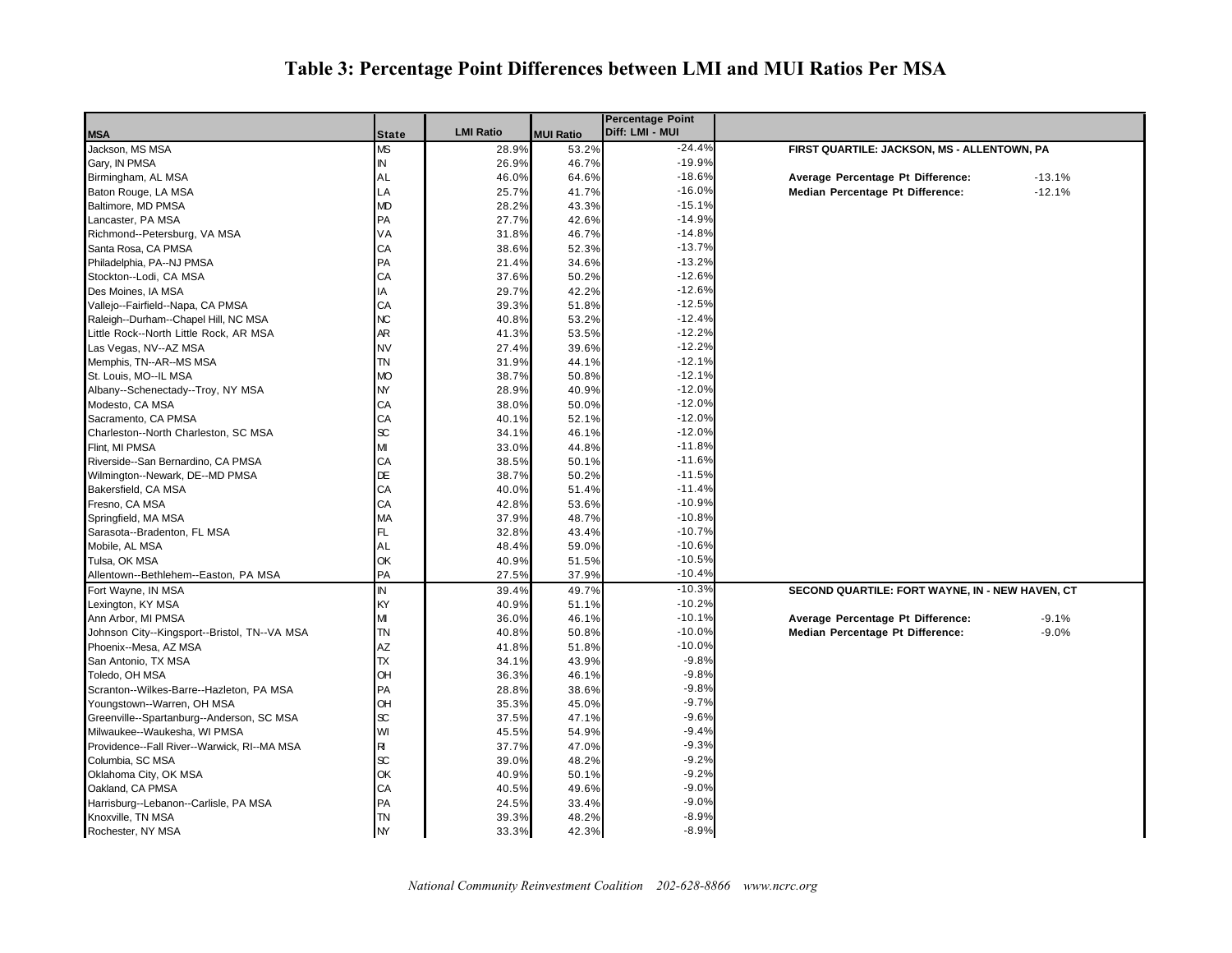## **Table 3: Percentage Point Differences between LMI and MUI Ratios Per MSA**

|                                              |              |                  |                  | <b>Percentage Point</b> |                                                 |
|----------------------------------------------|--------------|------------------|------------------|-------------------------|-------------------------------------------------|
| <b>MSA</b>                                   | <b>State</b> | <b>LMI Ratio</b> | <b>MUI Ratio</b> | Diff: LMI - MUI         |                                                 |
| Jackson, MS MSA                              | ΜS           | 28.9%            | 53.2%            | $-24.4%$                | FIRST QUARTILE: JACKSON, MS - ALLENTOWN, PA     |
| Gary, IN PMSA                                | IN           | 26.9%            | 46.7%            | $-19.9%$                |                                                 |
| Birmingham, AL MSA                           | AL           | 46.0%            | 64.6%            | $-18.6%$                | Average Percentage Pt Difference:<br>$-13.1%$   |
| Baton Rouge, LA MSA                          | LA           | 25.7%            | 41.7%            | $-16.0%$                | $-12.1%$<br>Median Percentage Pt Difference:    |
| Baltimore, MD PMSA                           | MD           | 28.2%            | 43.3%            | $-15.1%$                |                                                 |
| Lancaster, PA MSA                            | <b>PA</b>    | 27.7%            | 42.6%            | $-14.9%$                |                                                 |
| Richmond--Petersburg, VA MSA                 | VA           | 31.8%            | 46.7%            | $-14.8%$                |                                                 |
| Santa Rosa, CA PMSA                          | CA           | 38.6%            | 52.3%            | $-13.7%$                |                                                 |
| Philadelphia, PA--NJ PMSA                    | PA           | 21.4%            | 34.6%            | $-13.2%$                |                                                 |
| Stockton--Lodi, CA MSA                       | CA           | 37.6%            | 50.2%            | $-12.6%$                |                                                 |
| Des Moines, IA MSA                           | IA           | 29.7%            | 42.2%            | $-12.6%$                |                                                 |
| Vallejo--Fairfield--Napa, CA PMSA            | CA           | 39.3%            | 51.8%            | $-12.5%$                |                                                 |
| Raleigh--Durham--Chapel Hill, NC MSA         | NC.          | 40.8%            | 53.2%            | $-12.4%$                |                                                 |
| Little Rock--North Little Rock, AR MSA       | AR           | 41.3%            | 53.5%            | $-12.2%$                |                                                 |
| Las Vegas, NV--AZ MSA                        | NV           | 27.4%            | 39.6%            | $-12.2%$                |                                                 |
| Memphis, TN--AR--MS MSA                      | TN           | 31.9%            | 44.1%            | $-12.1%$                |                                                 |
| St. Louis, MO--IL MSA                        | <b>MO</b>    | 38.7%            | 50.8%            | $-12.1%$                |                                                 |
| Albany--Schenectady--Troy, NY MSA            | NY           | 28.9%            | 40.9%            | $-12.0%$                |                                                 |
| Modesto, CA MSA                              | CA           | 38.0%            | 50.0%            | $-12.0%$                |                                                 |
| Sacramento, CA PMSA                          | CA           | 40.1%            | 52.1%            | $-12.0%$                |                                                 |
| Charleston--North Charleston, SC MSA         | æ            | 34.1%            | 46.1%            | $-12.0%$                |                                                 |
| Flint, MI PMSA                               | м            | 33.0%            | 44.8%            | $-11.8%$                |                                                 |
| Riverside--San Bernardino, CA PMSA           | CA           | 38.5%            | 50.1%            | $-11.6%$                |                                                 |
| Wilmington--Newark, DE--MD PMSA              | DE           | 38.7%            | 50.2%            | $-11.5%$                |                                                 |
| Bakersfield, CA MSA                          | СA           | 40.0%            | 51.4%            | $-11.4%$                |                                                 |
| Fresno, CA MSA                               | СA           | 42.8%            | 53.6%            | $-10.9%$                |                                                 |
| Springfield, MA MSA                          | МA           | 37.9%            | 48.7%            | $-10.8%$                |                                                 |
| Sarasota--Bradenton, FL MSA                  | FL.          | 32.8%            | 43.4%            | $-10.7%$                |                                                 |
| Mobile, AL MSA                               | AL           | 48.4%            | 59.0%            | $-10.6%$                |                                                 |
| Tulsa, OK MSA                                | OK           | 40.9%            | 51.5%            | $-10.5%$                |                                                 |
| Allentown--Bethlehem--Easton, PA MSA         | PA           | 27.5%            | 37.9%            | $-10.49$                |                                                 |
| Fort Wayne, IN MSA                           | IN           | 39.4%            | 49.7%            | $-10.3%$                | SECOND QUARTILE: FORT WAYNE, IN - NEW HAVEN, CT |
| Lexington, KY MSA                            | KY           | 40.9%            | 51.1%            | $-10.2%$                |                                                 |
| Ann Arbor, MI PMSA                           | М            | 36.0%            | 46.1%            | $-10.1%$                | Average Percentage Pt Difference:<br>$-9.1%$    |
| Johnson City--Kingsport--Bristol, TN--VA MSA | TN           | 40.8%            | 50.8%            | $-10.0%$                | Median Percentage Pt Difference:<br>$-9.0%$     |
| Phoenix--Mesa, AZ MSA                        | AZ           | 41.8%            | 51.8%            | $-10.0%$                |                                                 |
| San Antonio, TX MSA                          | TX           | 34.1%            | 43.9%            | $-9.8%$                 |                                                 |
| Toledo, OH MSA                               | OН           | 36.3%            | 46.1%            | $-9.8%$                 |                                                 |
| Scranton--Wilkes-Barre--Hazleton, PA MSA     | PA           | 28.8%            | 38.6%            | $-9.8%$                 |                                                 |
| Youngstown--Warren, OH MSA                   | OH           | 35.3%            | 45.0%            | $-9.7%$                 |                                                 |
| Greenville--Spartanburg--Anderson, SC MSA    | æ            | 37.5%            | 47.1%            | $-9.6%$                 |                                                 |
| Milwaukee--Waukesha, WI PMSA                 | WI           | 45.5%            | 54.9%            | $-9.4%$                 |                                                 |
| Providence--Fall River--Warwick, RI--MA MSA  | RI           | 37.7%            | 47.0%            | $-9.3%$                 |                                                 |
| Columbia, SC MSA                             | æ            | 39.0%            | 48.2%            | $-9.2%$                 |                                                 |
| Oklahoma City, OK MSA                        | OK           | 40.9%            | 50.1%            | $-9.2%$                 |                                                 |
| Oakland, CA PMSA                             | CA           | 40.5%            | 49.6%            | $-9.0%$                 |                                                 |
| Harrisburg--Lebanon--Carlisle, PA MSA        | PA           | 24.5%            | 33.4%            | $-9.0%$                 |                                                 |
| Knoxville, TN MSA                            | TN           | 39.3%            | 48.2%            | $-8.9%$                 |                                                 |
| Rochester, NY MSA                            | <b>NY</b>    | 33.3%            | 42.3%            | $-8.9%$                 |                                                 |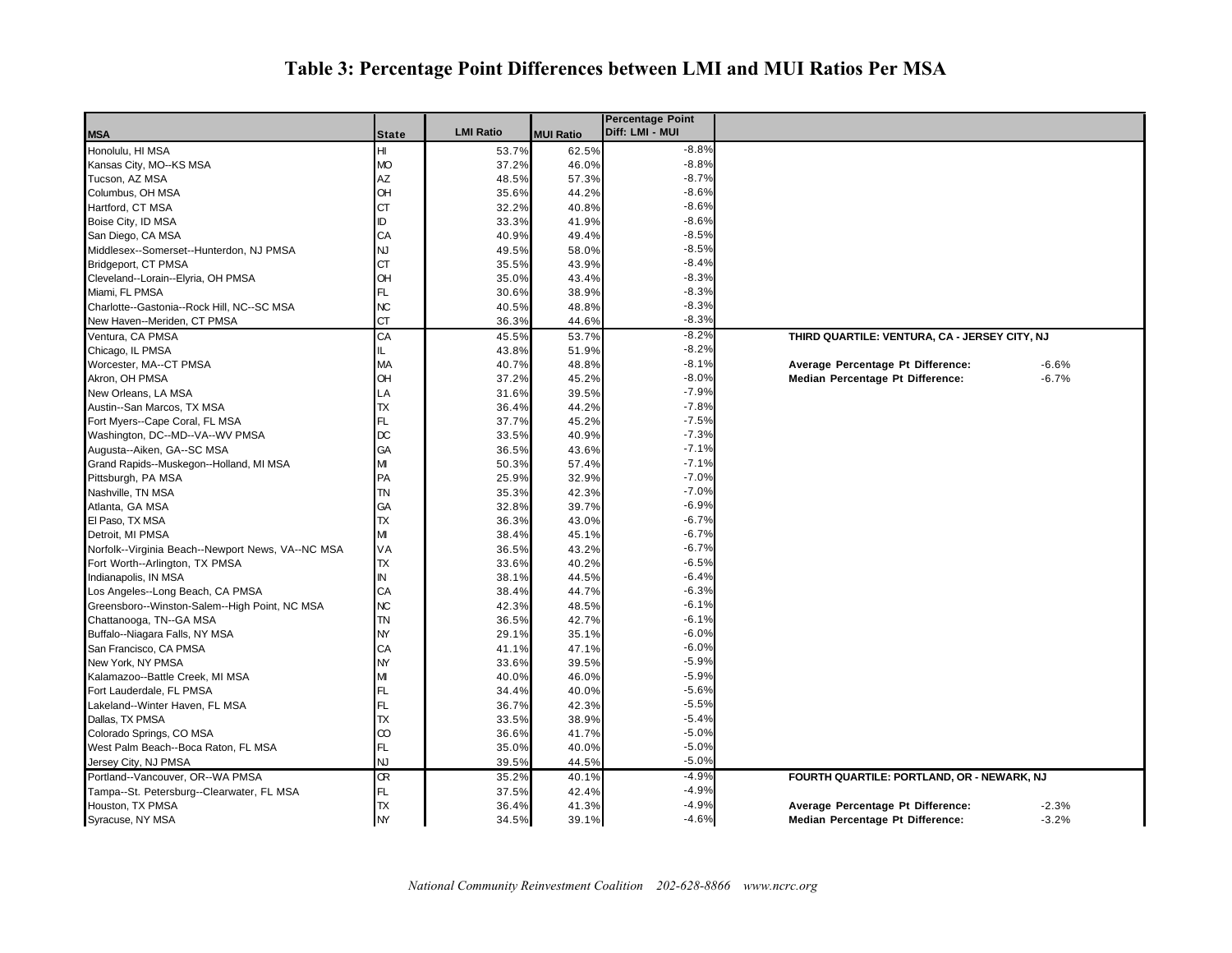## **Table 3: Percentage Point Differences between LMI and MUI Ratios Per MSA**

|                                                   |               |                  |                  | <b>Percentage Point</b> |                                               |         |
|---------------------------------------------------|---------------|------------------|------------------|-------------------------|-----------------------------------------------|---------|
| <b>MSA</b>                                        | State         | <b>LMI Ratio</b> | <b>MUI Ratio</b> | Diff: LMI - MUI         |                                               |         |
| Honolulu, HI MSA                                  | HI            | 53.7%            | 62.5%            | $-8.8%$                 |                                               |         |
| Kansas City, MO--KS MSA                           | <b>MO</b>     | 37.2%            | 46.0%            | $-8.8%$                 |                                               |         |
| Tucson, AZ MSA                                    | AZ            | 48.5%            | 57.3%            | $-8.7%$                 |                                               |         |
| Columbus, OH MSA                                  | <b>OH</b>     | 35.6%            | 44.2%            | $-8.6%$                 |                                               |         |
| Hartford, CT MSA                                  | СT            | 32.2%            | 40.8%            | $-8.6%$                 |                                               |         |
| Boise City, ID MSA                                | ID            | 33.3%            | 41.9%            | $-8.6%$                 |                                               |         |
| San Diego, CA MSA                                 | CA            | 40.9%            | 49.4%            | $-8.5%$                 |                                               |         |
| Middlesex--Somerset--Hunterdon, NJ PMSA           | NJ            | 49.5%            | 58.0%            | $-8.5%$                 |                                               |         |
| Bridgeport, CT PMSA                               | <b>CT</b>     | 35.5%            | 43.9%            | $-8.4%$                 |                                               |         |
| Cleveland--Lorain--Elyria, OH PMSA                | Œ             | 35.0%            | 43.4%            | $-8.3%$                 |                                               |         |
| Miami, FL PMSA                                    | FL.           | 30.6%            | 38.9%            | $-8.3%$                 |                                               |         |
| Charlotte--Gastonia--Rock Hill, NC--SC MSA        | NC            | 40.5%            | 48.8%            | $-8.3%$                 |                                               |         |
| New Haven--Meriden, CT PMSA                       | СT            | 36.3%            | 44.6%            | $-8.3%$                 |                                               |         |
| Ventura, CA PMSA                                  | CA            | 45.5%            | 53.7%            | $-8.2%$                 | THIRD QUARTILE: VENTURA, CA - JERSEY CITY, NJ |         |
| Chicago, IL PMSA                                  | IL            | 43.8%            | 51.9%            | $-8.2%$                 |                                               |         |
| Worcester, MA--CT PMSA                            | MA            | 40.7%            | 48.8%            | $-8.1%$                 | Average Percentage Pt Difference:             | $-6.6%$ |
| Akron, OH PMSA                                    | OH            | 37.2%            | 45.2%            | $-8.0%$                 | Median Percentage Pt Difference:              | $-6.7%$ |
| New Orleans, LA MSA                               | LA            | 31.6%            | 39.5%            | $-7.9%$                 |                                               |         |
| Austin--San Marcos, TX MSA                        | TX            | 36.4%            | 44.2%            | $-7.8%$                 |                                               |         |
| Fort Myers--Cape Coral, FL MSA                    | FL.           | 37.7%            | 45.2%            | $-7.5%$                 |                                               |         |
| Washington, DC--MD--VA--WV PMSA                   | DC            | 33.5%            | 40.9%            | $-7.3%$                 |                                               |         |
| Augusta--Aiken, GA--SC MSA                        | GA            | 36.5%            | 43.6%            | $-7.1%$                 |                                               |         |
| Grand Rapids--Muskegon--Holland, MI MSA           | МІ            | 50.3%            | 57.4%            | $-7.1%$                 |                                               |         |
| Pittsburgh, PA MSA                                | PA            | 25.9%            | 32.9%            | $-7.0%$                 |                                               |         |
| Nashville, TN MSA                                 | TN            | 35.3%            | 42.3%            | $-7.0%$                 |                                               |         |
| Atlanta, GA MSA                                   | GA            | 32.8%            | 39.7%            | $-6.9%$                 |                                               |         |
| El Paso, TX MSA                                   | TX            | 36.3%            | 43.0%            | $-6.7%$                 |                                               |         |
| Detroit, MI PMSA                                  | M             | 38.4%            | 45.1%            | $-6.7%$                 |                                               |         |
| Norfolk--Virginia Beach--Newport News, VA--NC MSA | VA            | 36.5%            | 43.2%            | $-6.7%$                 |                                               |         |
| Fort Worth--Arlington, TX PMSA                    | <b>TX</b>     | 33.6%            | 40.2%            | $-6.5%$                 |                                               |         |
| Indianapolis, IN MSA                              | $\mathsf{IN}$ | 38.1%            | 44.5%            | $-6.4%$                 |                                               |         |
| Los Angeles--Long Beach, CA PMSA                  | CA            | 38.4%            | 44.7%            | $-6.3%$                 |                                               |         |
| Greensboro--Winston-Salem--High Point, NC MSA     | NC            | 42.3%            | 48.5%            | $-6.1%$                 |                                               |         |
| Chattanooga, TN--GA MSA                           | <b>TN</b>     | 36.5%            | 42.7%            | $-6.1%$                 |                                               |         |
| Buffalo--Niagara Falls, NY MSA                    | <b>NY</b>     | 29.1%            | 35.1%            | $-6.0%$                 |                                               |         |
| San Francisco, CA PMSA                            | CA            | 41.1%            | 47.1%            | $-6.0%$                 |                                               |         |
| New York, NY PMSA                                 | <b>NY</b>     | 33.6%            | 39.5%            | $-5.9%$                 |                                               |         |
| Kalamazoo--Battle Creek, MI MSA                   | M             | 40.0%            | 46.0%            | $-5.9%$                 |                                               |         |
| Fort Lauderdale, FL PMSA                          | FL            | 34.4%            | 40.0%            | $-5.6%$                 |                                               |         |
| Lakeland--Winter Haven, FL MSA                    | FL            | 36.7%            | 42.3%            | $-5.5%$                 |                                               |         |
| Dallas, TX PMSA                                   | TX            | 33.5%            | 38.9%            | $-5.4%$                 |                                               |         |
| Colorado Springs, CO MSA                          | $\infty$      | 36.6%            | 41.7%            | $-5.0%$                 |                                               |         |
| West Palm Beach--Boca Raton, FL MSA               | FL            | 35.0%            | 40.0%            | $-5.0%$                 |                                               |         |
| Jersey City, NJ PMSA                              | NJ            | 39.5%            | 44.5%            | $-5.0%$                 |                                               |         |
| Portland--Vancouver, OR--WA PMSA                  | Œ             |                  |                  | $-4.9%$                 |                                               |         |
|                                                   |               | 35.2%            | 40.1%            | $-4.9%$                 | FOURTH QUARTILE: PORTLAND, OR - NEWARK, NJ    |         |
| Tampa--St. Petersburg--Clearwater, FL MSA         | FL<br>TX      | 37.5%            | 42.4%            | $-4.9%$                 |                                               | $-2.3%$ |
| Houston, TX PMSA                                  |               | 36.4%            | 41.3%            |                         | Average Percentage Pt Difference:             |         |
| Syracuse, NY MSA                                  | <b>NY</b>     | 34.5%            | 39.1%            | $-4.6%$                 | Median Percentage Pt Difference:              | $-3.2%$ |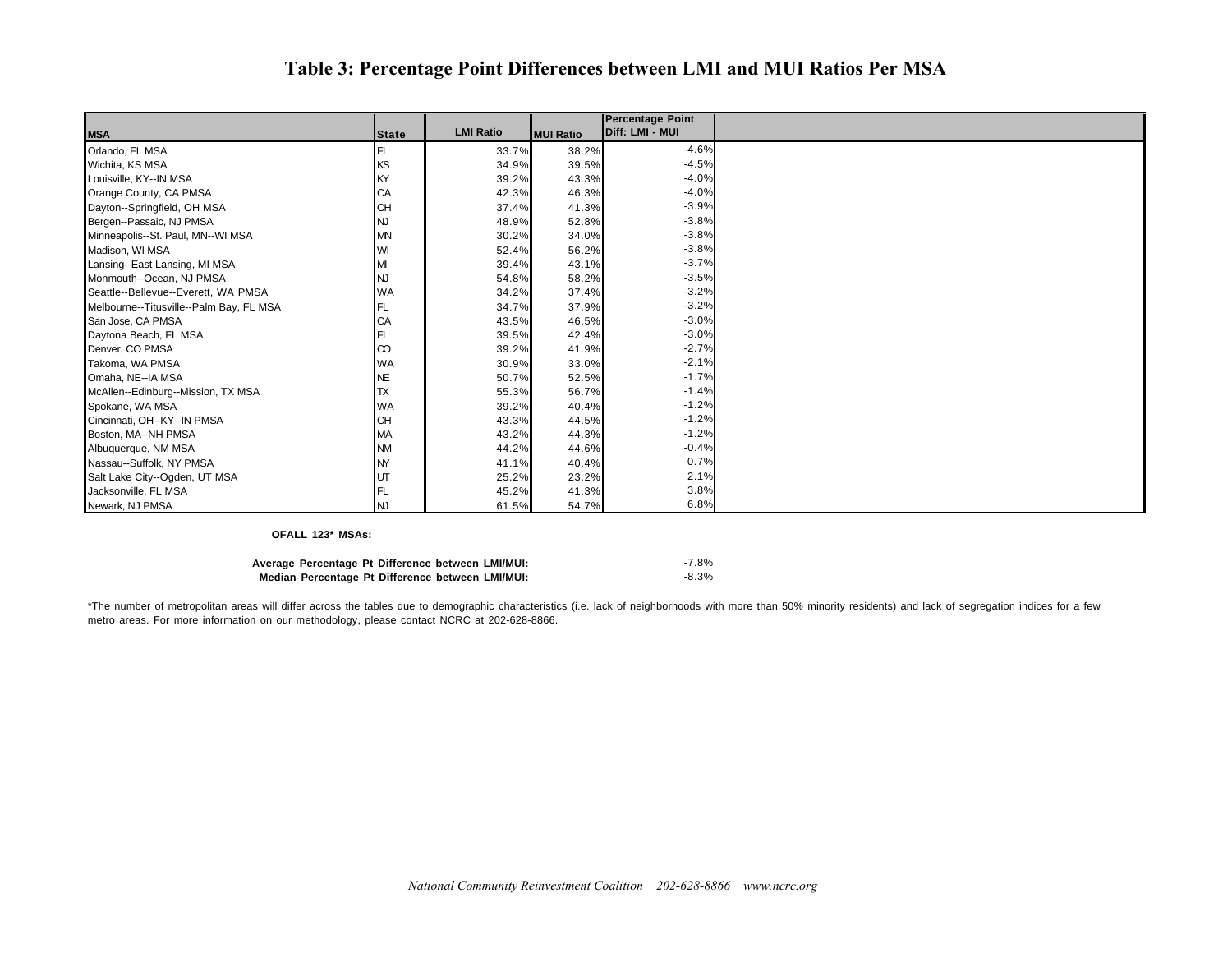### **Table 3: Percentage Point Differences between LMI and MUI Ratios Per MSA**

|                                         |              |                  |                  | <b>Percentage Point</b> |
|-----------------------------------------|--------------|------------------|------------------|-------------------------|
| <b>MSA</b>                              | <b>State</b> | <b>LMI Ratio</b> | <b>MUI Ratio</b> | Diff: LMI - MUI         |
| Orlando, FL MSA                         | FL.          | 33.7%            | 38.2%            | $-4.6%$                 |
| Wichita, KS MSA                         | KS           | 34.9%            | 39.5%            | $-4.5%$                 |
| Louisville, KY--IN MSA                  | <b>IKY</b>   | 39.2%            | 43.3%            | $-4.0%$                 |
| Orange County, CA PMSA                  | CA           | 42.3%            | 46.3%            | $-4.0%$                 |
| Dayton--Springfield, OH MSA             | <b>OH</b>    | 37.4%            | 41.3%            | $-3.9%$                 |
| Bergen--Passaic, NJ PMSA                | <b>NJ</b>    | 48.9%            | 52.8%            | $-3.8%$                 |
| Minneapolis--St. Paul, MN--WI MSA       | <b>MN</b>    | 30.2%            | 34.0%            | $-3.8%$                 |
| Madison, WI MSA                         | WI           | 52.4%            | 56.2%            | $-3.8%$                 |
| Lansing--East Lansing, MI MSA           | M            | 39.4%            | 43.1%            | $-3.7%$                 |
| Monmouth--Ocean, NJ PMSA                | <b>INJ</b>   | 54.8%            | 58.2%            | $-3.5%$                 |
| Seattle--Bellevue--Everett, WA PMSA     | <b>WA</b>    | 34.2%            | 37.4%            | $-3.2%$                 |
| Melbourne--Titusville--Palm Bay, FL MSA | FL           | 34.7%            | 37.9%            | $-3.2%$                 |
| San Jose, CA PMSA                       | CA           | 43.5%            | 46.5%            | $-3.0%$                 |
| Daytona Beach, FL MSA                   | IFL.         | 39.5%            | 42.4%            | $-3.0%$                 |
| Denver, CO PMSA                         | $\infty$     | 39.2%            | 41.9%            | $-2.7%$                 |
| Takoma, WA PMSA                         | <b>WA</b>    | 30.9%            | 33.0%            | $-2.1%$                 |
| Omaha, NE--IA MSA                       | <b>NE</b>    | 50.7%            | 52.5%            | $-1.7%$                 |
| McAllen--Edinburg--Mission, TX MSA      | TX           | 55.3%            | 56.7%            | $-1.4%$                 |
| Spokane, WA MSA                         | <b>WA</b>    | 39.2%            | 40.4%            | $-1.2%$                 |
| Cincinnati, OH--KY--IN PMSA             | <b>OH</b>    | 43.3%            | 44.5%            | $-1.2%$                 |
| Boston, MA--NH PMSA                     | <b>MA</b>    | 43.2%            | 44.3%            | $-1.2%$                 |
| Albuquerque, NM MSA                     | <b>NM</b>    | 44.2%            | 44.6%            | $-0.4%$                 |
| Nassau--Suffolk, NY PMSA                | <b>NY</b>    | 41.1%            | 40.4%            | 0.7%                    |
| Salt Lake City--Ogden, UT MSA           | <b>UT</b>    | 25.2%            | 23.2%            | 2.1%                    |
| Jacksonville, FL MSA                    | FL           | 45.2%            | 41.3%            | 3.8%                    |
| Newark, NJ PMSA                         | INJ          | 61.5%            | 54.7%            | 6.8%                    |

**OFALL 123\* MSAs:**

| Average Percentage Pt Difference between LMI/MUI: | $-7.8%$  |
|---------------------------------------------------|----------|
| Median Percentage Pt Difference between LMI/MUI:  | $-8.3\%$ |

\*The number of metropolitan areas will differ across the tables due to demographic characteristics (i.e. lack of neighborhoods with more than 50% minority residents) and lack of segregation indices for a few metro areas. For more information on our methodology, please contact NCRC at 202-628-8866.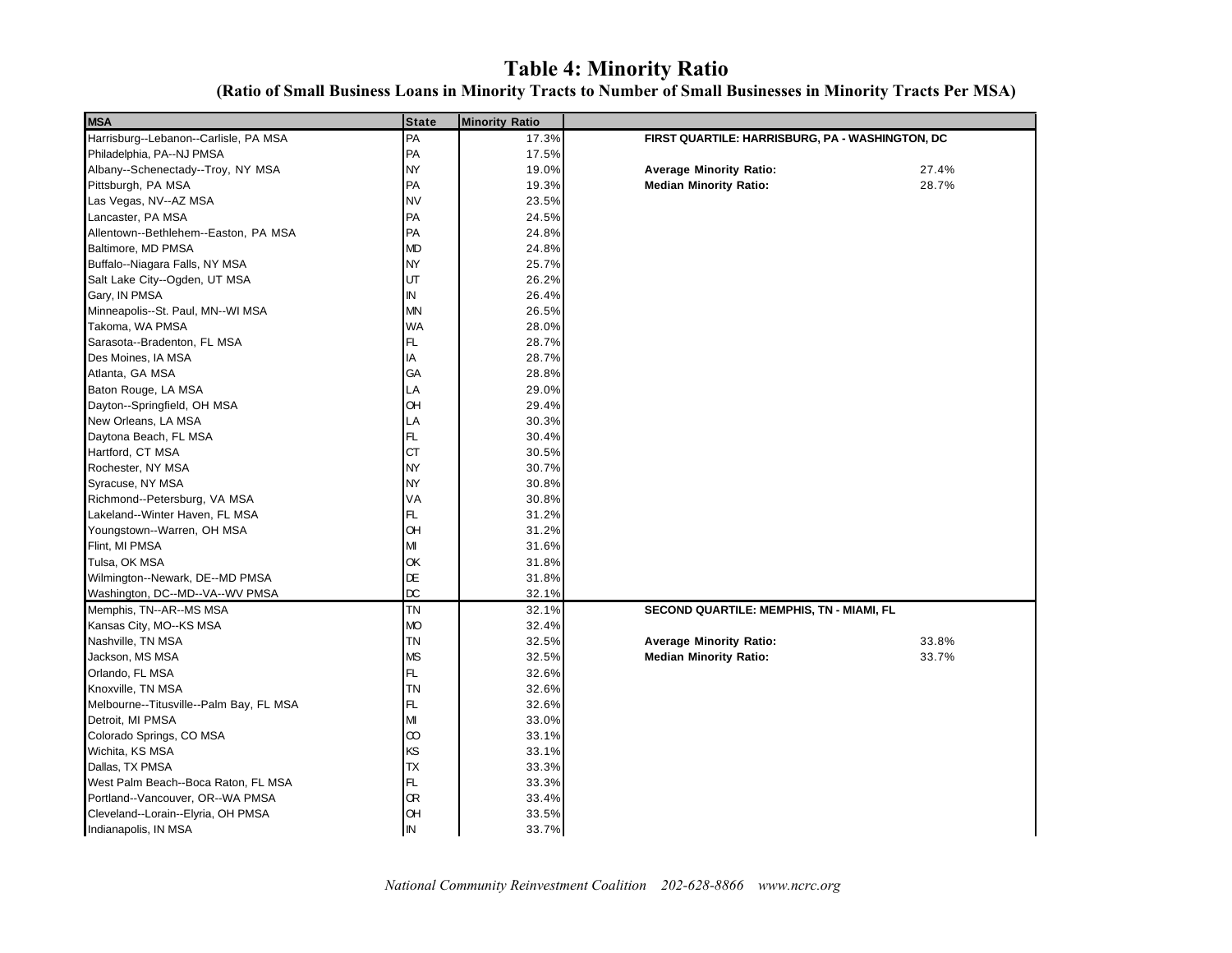## **Table 4: Minority Ratio**

| (Ratio of Small Business Loans in Minority Tracts to Number of Small Businesses in Minority Tracts Per MSA) |  |  |  |  |  |
|-------------------------------------------------------------------------------------------------------------|--|--|--|--|--|
|                                                                                                             |  |  |  |  |  |

| <b>MSA</b>                              | <b>State</b>            | <b>Minority Ratio</b> |                                                 |       |  |
|-----------------------------------------|-------------------------|-----------------------|-------------------------------------------------|-------|--|
| Harrisburg--Lebanon--Carlisle, PA MSA   | PA                      | 17.3%                 | FIRST QUARTILE: HARRISBURG, PA - WASHINGTON, DC |       |  |
| Philadelphia, PA--NJ PMSA               | PA                      | 17.5%                 |                                                 |       |  |
| Albany--Schenectady--Troy, NY MSA       | NY                      | 19.0%                 | <b>Average Minority Ratio:</b>                  | 27.4% |  |
| Pittsburgh, PA MSA                      | PA                      | 19.3%                 | <b>Median Minority Ratio:</b>                   | 28.7% |  |
| Las Vegas, NV--AZ MSA                   | <b>NV</b>               | 23.5%                 |                                                 |       |  |
| Lancaster, PA MSA                       | PA                      | 24.5%                 |                                                 |       |  |
| Allentown--Bethlehem--Easton, PA MSA    | PA                      | 24.8%                 |                                                 |       |  |
| Baltimore, MD PMSA                      | <b>MD</b>               | 24.8%                 |                                                 |       |  |
| Buffalo--Niagara Falls, NY MSA          | NY                      | 25.7%                 |                                                 |       |  |
| Salt Lake City--Ogden, UT MSA           | UT                      | 26.2%                 |                                                 |       |  |
| Gary, IN PMSA                           | $\mathsf{IN}$           | 26.4%                 |                                                 |       |  |
| Minneapolis--St. Paul, MN--WI MSA       | <b>MN</b>               | 26.5%                 |                                                 |       |  |
| Takoma, WA PMSA                         | WA                      | 28.0%                 |                                                 |       |  |
| Sarasota--Bradenton, FL MSA             | FL                      | 28.7%                 |                                                 |       |  |
| Des Moines, IA MSA                      | IA                      | 28.7%                 |                                                 |       |  |
| Atlanta, GA MSA                         | GA                      | 28.8%                 |                                                 |       |  |
| Baton Rouge, LA MSA                     | LA                      | 29.0%                 |                                                 |       |  |
| Dayton--Springfield, OH MSA             | OH                      | 29.4%                 |                                                 |       |  |
| New Orleans, LA MSA                     | LA                      | 30.3%                 |                                                 |       |  |
| Daytona Beach, FL MSA                   | FL                      | 30.4%                 |                                                 |       |  |
| Hartford, CT MSA                        | <b>CT</b>               | 30.5%                 |                                                 |       |  |
| Rochester, NY MSA                       | <b>NY</b>               | 30.7%                 |                                                 |       |  |
| Syracuse, NY MSA                        | <b>NY</b>               | 30.8%                 |                                                 |       |  |
| Richmond--Petersburg, VA MSA            | VA                      | 30.8%                 |                                                 |       |  |
| Lakeland--Winter Haven, FL MSA          | FL.                     | 31.2%                 |                                                 |       |  |
| Youngstown--Warren, OH MSA              | <b>OH</b>               | 31.2%                 |                                                 |       |  |
| Flint, MI PMSA                          | М                       | 31.6%                 |                                                 |       |  |
| Tulsa, OK MSA                           | OK                      | 31.8%                 |                                                 |       |  |
| Wilmington--Newark, DE--MD PMSA         | DE                      | 31.8%                 |                                                 |       |  |
| Washington, DC--MD--VA--WV PMSA         | <b>DC</b>               | 32.1%                 |                                                 |       |  |
| Memphis, TN--AR--MS MSA                 | <b>TN</b>               | 32.1%                 | SECOND QUARTILE: MEMPHIS, TN - MIAMI, FL        |       |  |
| Kansas City, MO--KS MSA                 | <b>MO</b>               | 32.4%                 |                                                 |       |  |
| Nashville, TN MSA                       | <b>TN</b>               | 32.5%                 | <b>Average Minority Ratio:</b>                  | 33.8% |  |
| Jackson, MS MSA                         | <b>MS</b>               | 32.5%                 | <b>Median Minority Ratio:</b>                   | 33.7% |  |
| Orlando, FL MSA                         | FL.                     | 32.6%                 |                                                 |       |  |
| Knoxville, TN MSA                       | <b>TN</b>               | 32.6%                 |                                                 |       |  |
| Melbourne--Titusville--Palm Bay, FL MSA | FL                      | 32.6%                 |                                                 |       |  |
| Detroit, MI PMSA                        | $\mathsf{M} \mathsf{I}$ | 33.0%                 |                                                 |       |  |
| Colorado Springs, CO MSA                | $\infty$                | 33.1%                 |                                                 |       |  |
| Wichita, KS MSA                         | ΚS                      | 33.1%                 |                                                 |       |  |
| Dallas, TX PMSA                         | TX                      | 33.3%                 |                                                 |       |  |
| West Palm Beach--Boca Raton, FL MSA     | FL.                     | 33.3%                 |                                                 |       |  |
| Portland--Vancouver, OR--WA PMSA        | Œ                       | 33.4%                 |                                                 |       |  |
| Cleveland--Lorain--Elyria, OH PMSA      | Œ                       | 33.5%                 |                                                 |       |  |
| Indianapolis, IN MSA                    | IN                      | 33.7%                 |                                                 |       |  |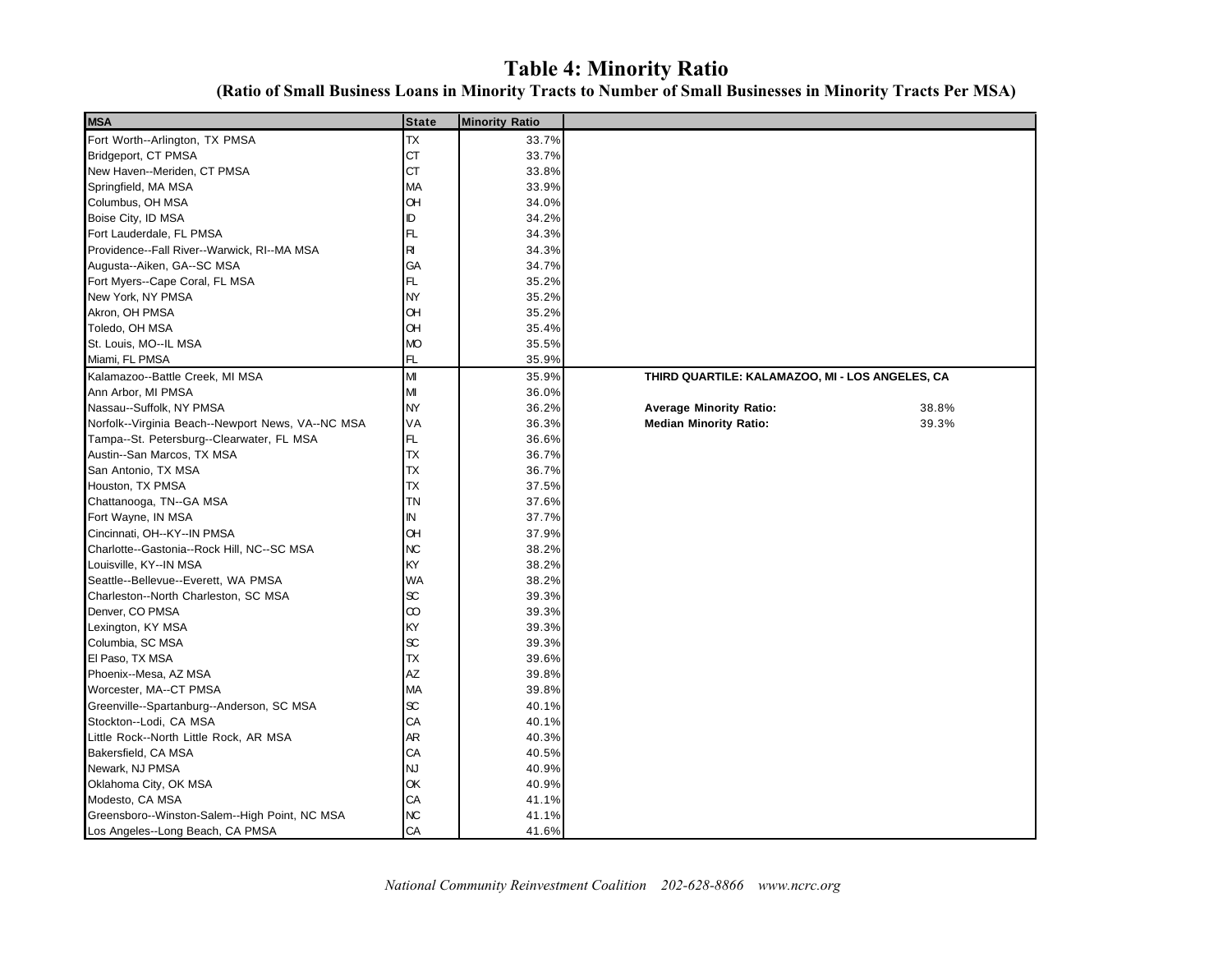## **Table 4: Minority Ratio**

**(Ratio of Small Business Loans in Minority Tracts to Number of Small Businesses in Minority Tracts Per MSA)**

| <b>MSA</b>                                        | <b>State</b> | <b>Minority Ratio</b> |                                                 |       |
|---------------------------------------------------|--------------|-----------------------|-------------------------------------------------|-------|
| Fort Worth--Arlington, TX PMSA                    | TX           | 33.7%                 |                                                 |       |
| Bridgeport, CT PMSA                               | <b>CT</b>    | 33.7%                 |                                                 |       |
| New Haven--Meriden, CT PMSA                       | <b>CT</b>    | 33.8%                 |                                                 |       |
| Springfield, MA MSA                               | MA           | 33.9%                 |                                                 |       |
| Columbus, OH MSA                                  | Œ            | 34.0%                 |                                                 |       |
| Boise City, ID MSA                                | ID           | 34.2%                 |                                                 |       |
| Fort Lauderdale, FL PMSA                          | FL           | 34.3%                 |                                                 |       |
| Providence--Fall River--Warwick, RI--MA MSA       | R            | 34.3%                 |                                                 |       |
| Augusta--Aiken, GA--SC MSA                        | GA           | 34.7%                 |                                                 |       |
| Fort Myers--Cape Coral, FL MSA                    | FL           | 35.2%                 |                                                 |       |
| New York, NY PMSA                                 | NY           | 35.2%                 |                                                 |       |
| Akron, OH PMSA                                    | Œ            | 35.2%                 |                                                 |       |
| Toledo, OH MSA                                    | Œ            | 35.4%                 |                                                 |       |
| St. Louis, MO--IL MSA                             | <b>MO</b>    | 35.5%                 |                                                 |       |
| Miami, FL PMSA                                    | FL           | 35.9%                 |                                                 |       |
| Kalamazoo--Battle Creek, MI MSA                   | MI           | 35.9%                 | THIRD QUARTILE: KALAMAZOO, MI - LOS ANGELES, CA |       |
| Ann Arbor, MI PMSA                                | М            | 36.0%                 |                                                 |       |
| Nassau--Suffolk, NY PMSA                          | <b>NY</b>    | 36.2%                 | <b>Average Minority Ratio:</b>                  | 38.8% |
| Norfolk--Virginia Beach--Newport News, VA--NC MSA | VA           | 36.3%                 | <b>Median Minority Ratio:</b>                   | 39.3% |
| Tampa--St. Petersburg--Clearwater, FL MSA         | FL           | 36.6%                 |                                                 |       |
| Austin--San Marcos, TX MSA                        | <b>TX</b>    | 36.7%                 |                                                 |       |
| San Antonio, TX MSA                               | ТX           | 36.7%                 |                                                 |       |
| Houston, TX PMSA                                  | ТX           | 37.5%                 |                                                 |       |
| Chattanooga, TN--GA MSA                           | ΤN           | 37.6%                 |                                                 |       |
| Fort Wayne, IN MSA                                | ΙN           | 37.7%                 |                                                 |       |
| Cincinnati, OH--KY--IN PMSA                       | Œ            | 37.9%                 |                                                 |       |
| Charlotte--Gastonia--Rock Hill, NC--SC MSA        | NC           | 38.2%                 |                                                 |       |
| Louisville, KY--IN MSA                            | KY           | 38.2%                 |                                                 |       |
| Seattle--Bellevue--Everett, WA PMSA               | WA           | 38.2%                 |                                                 |       |
| Charleston--North Charleston, SC MSA              | $\infty$     | 39.3%                 |                                                 |       |
| Denver, CO PMSA                                   | $\infty$     | 39.3%                 |                                                 |       |
| Lexington, KY MSA                                 | KY           | 39.3%                 |                                                 |       |
| Columbia, SC MSA                                  | $\infty$     | 39.3%                 |                                                 |       |
| El Paso, TX MSA                                   | <b>TX</b>    | 39.6%                 |                                                 |       |
| Phoenix--Mesa, AZ MSA                             | ΑZ           | 39.8%                 |                                                 |       |
| Worcester, MA--CT PMSA                            | MA           | 39.8%                 |                                                 |       |
| Greenville--Spartanburg--Anderson, SC MSA         | $\infty$     | 40.1%                 |                                                 |       |
| Stockton--Lodi, CA MSA                            | CA           | 40.1%                 |                                                 |       |
| Little Rock--North Little Rock, AR MSA            | AR           | 40.3%                 |                                                 |       |
| Bakersfield, CA MSA                               | CA           | 40.5%                 |                                                 |       |
| Newark, NJ PMSA                                   | NJ           | 40.9%                 |                                                 |       |
| Oklahoma City, OK MSA                             | ОК           | 40.9%                 |                                                 |       |
| Modesto, CA MSA                                   | CA           | 41.1%                 |                                                 |       |
| Greensboro--Winston-Salem--High Point, NC MSA     | NC           | 41.1%                 |                                                 |       |
| Los Angeles--Long Beach, CA PMSA                  | CA           | 41.6%                 |                                                 |       |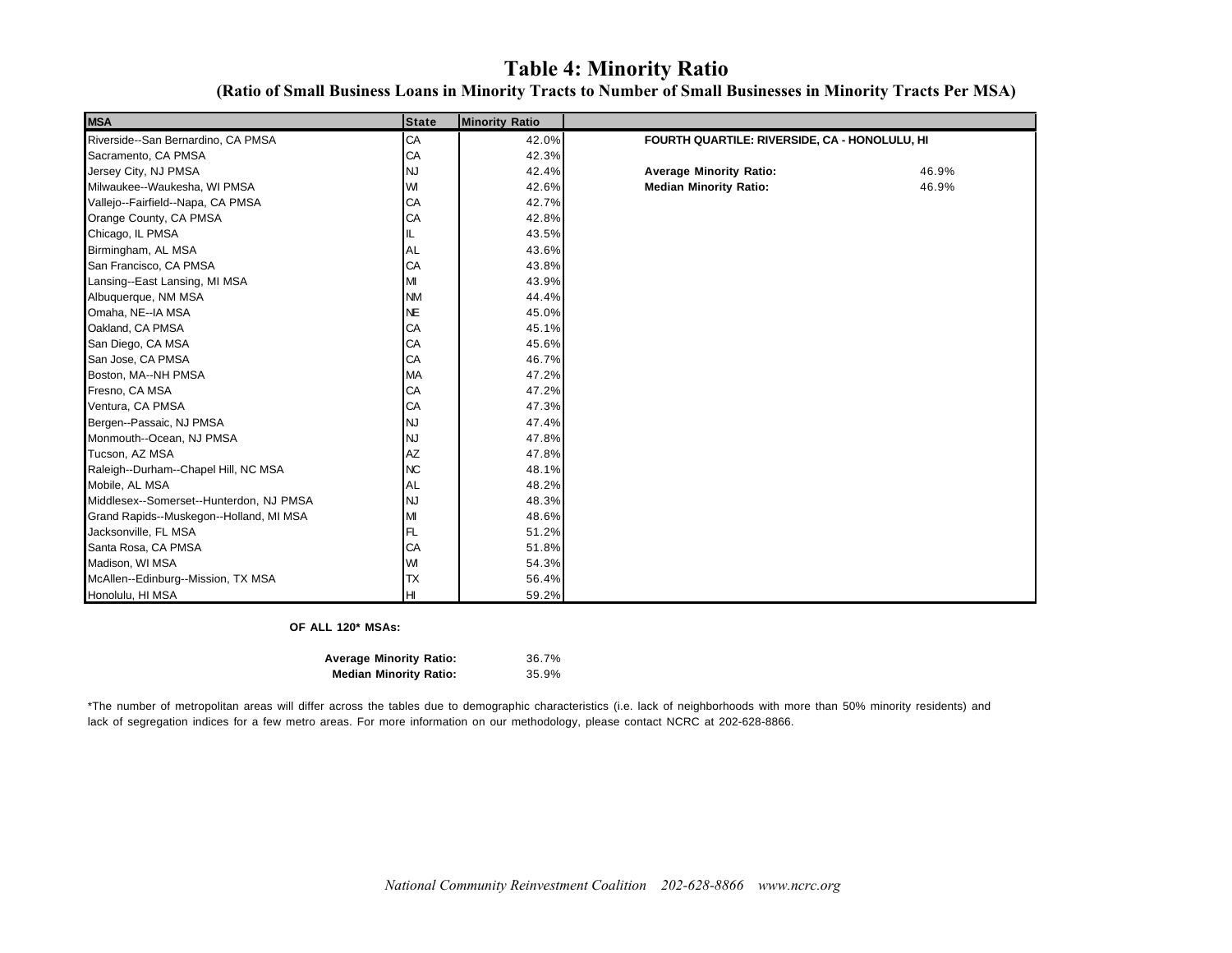### **Table 4: Minority Ratio**

| <b>MSA</b>                              | <b>State</b> | <b>Minority Ratio</b> |                                               |       |  |
|-----------------------------------------|--------------|-----------------------|-----------------------------------------------|-------|--|
| Riverside--San Bernardino, CA PMSA      | CA           | 42.0%                 | FOURTH QUARTILE: RIVERSIDE, CA - HONOLULU, HI |       |  |
| Sacramento, CA PMSA                     | CA           | 42.3%                 |                                               |       |  |
| Jersey City, NJ PMSA                    | <b>NJ</b>    | 42.4%                 | <b>Average Minority Ratio:</b>                | 46.9% |  |
| Milwaukee--Waukesha, WI PMSA            | WI           | 42.6%                 | <b>Median Minority Ratio:</b>                 | 46.9% |  |
| Vallejo--Fairfield--Napa, CA PMSA       | CA           | 42.7%                 |                                               |       |  |
| Orange County, CA PMSA                  | CA           | 42.8%                 |                                               |       |  |
| Chicago, IL PMSA                        | IL.          | 43.5%                 |                                               |       |  |
| Birmingham, AL MSA                      | AL           | 43.6%                 |                                               |       |  |
| San Francisco, CA PMSA                  | CA           | 43.8%                 |                                               |       |  |
| Lansing--East Lansing, MI MSA           | M            | 43.9%                 |                                               |       |  |
| Albuquerque, NM MSA                     | <b>NM</b>    | 44.4%                 |                                               |       |  |
| Omaha, NE--IA MSA                       | <b>NE</b>    | 45.0%                 |                                               |       |  |
| Oakland, CA PMSA                        | CA           | 45.1%                 |                                               |       |  |
| San Diego, CA MSA                       | CA           | 45.6%                 |                                               |       |  |
| San Jose, CA PMSA                       | CA           | 46.7%                 |                                               |       |  |
| Boston, MA--NH PMSA                     | <b>MA</b>    | 47.2%                 |                                               |       |  |
| Fresno, CA MSA                          | CA           | 47.2%                 |                                               |       |  |
| Ventura, CA PMSA                        | CA           | 47.3%                 |                                               |       |  |
| Bergen--Passaic, NJ PMSA                | <b>NJ</b>    | 47.4%                 |                                               |       |  |
| Monmouth--Ocean, NJ PMSA                | <b>NJ</b>    | 47.8%                 |                                               |       |  |
| Tucson, AZ MSA                          | AZ           | 47.8%                 |                                               |       |  |
| Raleigh--Durham--Chapel Hill, NC MSA    | <b>NC</b>    | 48.1%                 |                                               |       |  |
| Mobile, AL MSA                          | <b>AL</b>    | 48.2%                 |                                               |       |  |
| Middlesex--Somerset--Hunterdon, NJ PMSA | <b>NJ</b>    | 48.3%                 |                                               |       |  |
| Grand Rapids--Muskegon--Holland, MI MSA | M            | 48.6%                 |                                               |       |  |
| Jacksonville, FL MSA                    | FL           | 51.2%                 |                                               |       |  |
| Santa Rosa, CA PMSA                     | CA           | 51.8%                 |                                               |       |  |
| Madison, WI MSA                         | WI           | 54.3%                 |                                               |       |  |
| McAllen--Edinburg--Mission, TX MSA      | <b>TX</b>    | 56.4%                 |                                               |       |  |
| Honolulu, HI MSA                        | H            | 59.2%                 |                                               |       |  |

#### **OF ALL 120\* MSAs:**

| <b>Average Minority Ratio:</b> | 36.7% |
|--------------------------------|-------|
| <b>Median Minority Ratio:</b>  | 35.9% |

\*The number of metropolitan areas will differ across the tables due to demographic characteristics (i.e. lack of neighborhoods with more than 50% minority residents) and lack of segregation indices for a few metro areas. For more information on our methodology, please contact NCRC at 202-628-8866.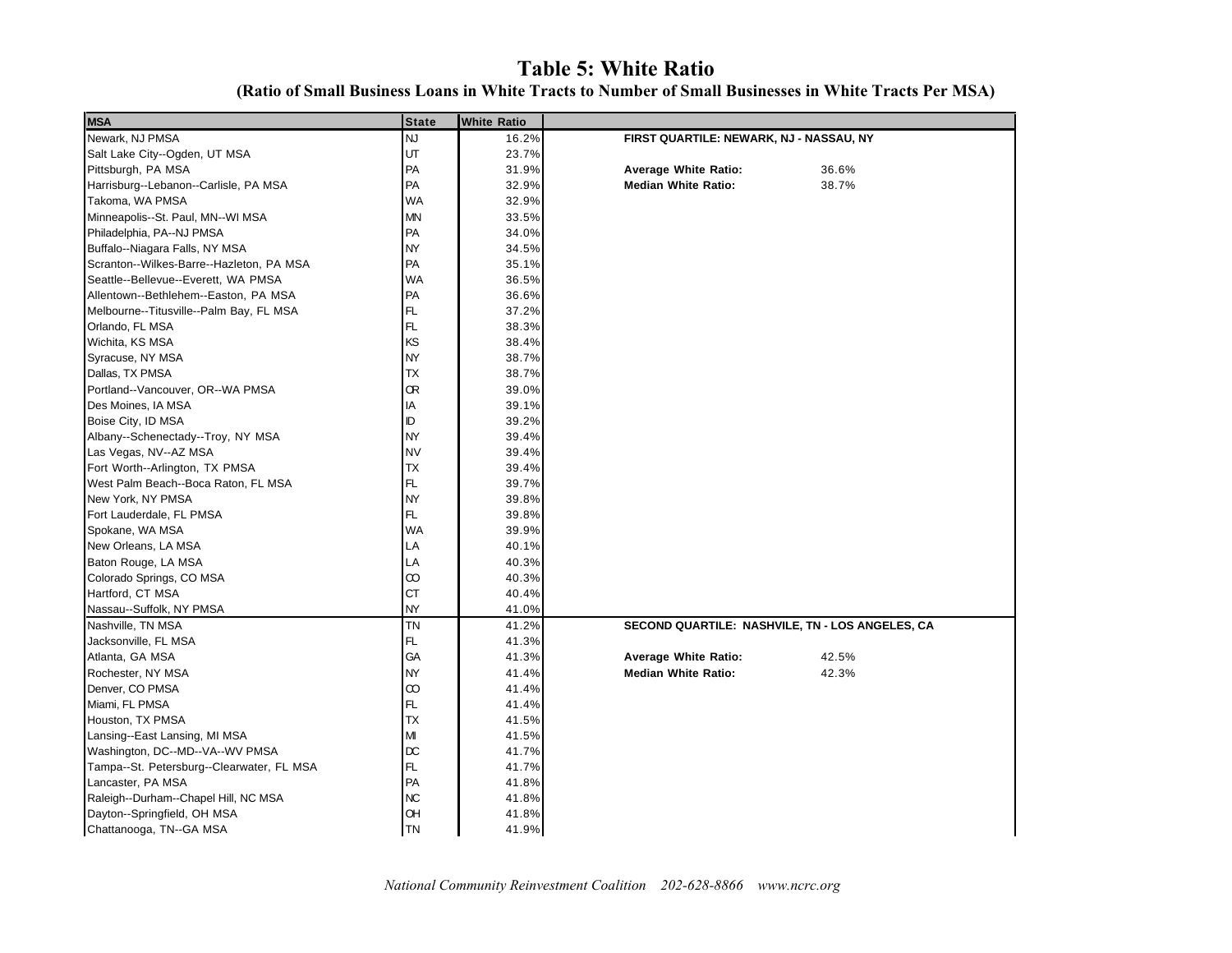## **Table 5: White Ratio**

| <b>MSA</b>                                | <b>State</b> | <b>White Ratio</b> |                                                 |
|-------------------------------------------|--------------|--------------------|-------------------------------------------------|
| Newark, NJ PMSA                           | <b>NJ</b>    | 16.2%              | FIRST QUARTILE: NEWARK, NJ - NASSAU, NY         |
| Salt Lake City--Ogden, UT MSA             | UT           | 23.7%              |                                                 |
| Pittsburgh, PA MSA                        | PA           | 31.9%              | <b>Average White Ratio:</b><br>36.6%            |
| Harrisburg--Lebanon--Carlisle, PA MSA     | PA           | 32.9%              | 38.7%<br><b>Median White Ratio:</b>             |
| Takoma, WA PMSA                           | <b>WA</b>    | 32.9%              |                                                 |
| Minneapolis--St. Paul, MN--WI MSA         | <b>MN</b>    | 33.5%              |                                                 |
| Philadelphia, PA--NJ PMSA                 | PA           | 34.0%              |                                                 |
| Buffalo--Niagara Falls, NY MSA            | <b>NY</b>    | 34.5%              |                                                 |
| Scranton--Wilkes-Barre--Hazleton, PA MSA  | PA           | 35.1%              |                                                 |
| Seattle--Bellevue--Everett, WA PMSA       | <b>WA</b>    | 36.5%              |                                                 |
| Allentown--Bethlehem--Easton, PA MSA      | PA           | 36.6%              |                                                 |
| Melbourne--Titusville--Palm Bay, FL MSA   | FL           | 37.2%              |                                                 |
| Orlando, FL MSA                           | FL           | 38.3%              |                                                 |
| Wichita, KS MSA                           | KS           | 38.4%              |                                                 |
| Syracuse, NY MSA                          | <b>NY</b>    | 38.7%              |                                                 |
| Dallas, TX PMSA                           | <b>TX</b>    | 38.7%              |                                                 |
| Portland--Vancouver, OR--WA PMSA          | Œ            | 39.0%              |                                                 |
| Des Moines, IA MSA                        | IA           | 39.1%              |                                                 |
| Boise City, ID MSA                        | ID           | 39.2%              |                                                 |
| Albany--Schenectady--Troy, NY MSA         | <b>NY</b>    | 39.4%              |                                                 |
| Las Vegas, NV--AZ MSA                     | <b>NV</b>    | 39.4%              |                                                 |
| Fort Worth--Arlington, TX PMSA            | <b>TX</b>    | 39.4%              |                                                 |
| West Palm Beach--Boca Raton, FL MSA       | <b>FL</b>    | 39.7%              |                                                 |
| New York, NY PMSA                         | <b>NY</b>    | 39.8%              |                                                 |
| Fort Lauderdale, FL PMSA                  | FL           | 39.8%              |                                                 |
| Spokane, WA MSA                           | <b>WA</b>    | 39.9%              |                                                 |
| New Orleans, LA MSA                       | LA           | 40.1%              |                                                 |
| Baton Rouge, LA MSA                       | LA           | 40.3%              |                                                 |
| Colorado Springs, CO MSA                  | $\infty$     | 40.3%              |                                                 |
| Hartford, CT MSA                          | <b>CT</b>    | 40.4%              |                                                 |
| Nassau--Suffolk, NY PMSA                  | <b>NY</b>    | 41.0%              |                                                 |
| Nashville, TN MSA                         | TN           | 41.2%              | SECOND QUARTILE: NASHVILE, TN - LOS ANGELES, CA |
| Jacksonville, FL MSA                      | FL.          | 41.3%              |                                                 |
| Atlanta, GA MSA                           | GA           | 41.3%              | <b>Average White Ratio:</b><br>42.5%            |
| Rochester, NY MSA                         | <b>NY</b>    | 41.4%              | 42.3%<br><b>Median White Ratio:</b>             |
| Denver, CO PMSA                           | $\infty$     | 41.4%              |                                                 |
| Miami, FL PMSA                            | FL           | 41.4%              |                                                 |
| Houston, TX PMSA                          | <b>TX</b>    | 41.5%              |                                                 |
| Lansing--East Lansing, MI MSA             | M            | 41.5%              |                                                 |
| Washington, DC--MD--VA--WV PMSA           | <b>DC</b>    | 41.7%              |                                                 |
| Tampa--St. Petersburg--Clearwater, FL MSA | FL           | 41.7%              |                                                 |
| Lancaster, PA MSA                         | PA           | 41.8%              |                                                 |
| Raleigh--Durham--Chapel Hill, NC MSA      | <b>NC</b>    | 41.8%              |                                                 |
| Dayton--Springfield, OH MSA               | OH           | 41.8%              |                                                 |
| Chattanooga, TN--GA MSA                   | ITN          | 41.9%              |                                                 |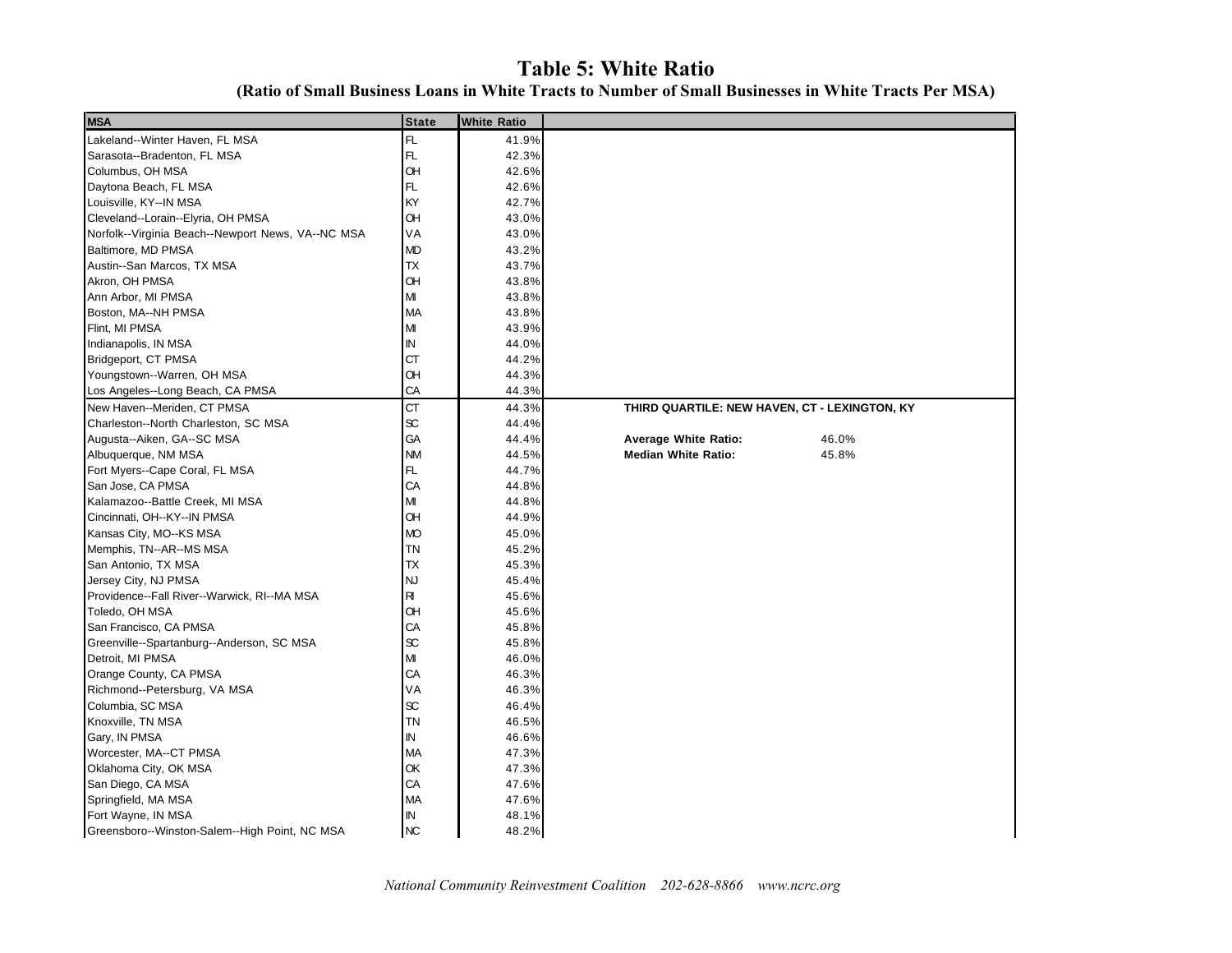### **Table 5: White Ratio**

**(Ratio of Small Business Loans in White Tracts to Number of Small Businesses in White Tracts Per MSA)**

| <b>MSA</b>                                        | <b>State</b>        | <b>White Ratio</b> |                                               |
|---------------------------------------------------|---------------------|--------------------|-----------------------------------------------|
| Lakeland--Winter Haven, FL MSA                    | FL.                 | 41.9%              |                                               |
| Sarasota--Bradenton, FL MSA                       | FL                  | 42.3%              |                                               |
| Columbus, OH MSA                                  | <b>OH</b>           | 42.6%              |                                               |
| Daytona Beach, FL MSA                             | FL                  | 42.6%              |                                               |
| Louisville, KY--IN MSA                            | KY                  | 42.7%              |                                               |
| Cleveland--Lorain--Elyria, OH PMSA                | <b>OH</b>           | 43.0%              |                                               |
| Norfolk--Virginia Beach--Newport News, VA--NC MSA | VA                  | 43.0%              |                                               |
| Baltimore, MD PMSA                                | <b>MD</b>           | 43.2%              |                                               |
| Austin--San Marcos, TX MSA                        | ТX                  | 43.7%              |                                               |
| Akron, OH PMSA                                    | <b>OH</b>           | 43.8%              |                                               |
| Ann Arbor, MI PMSA                                | MI                  | 43.8%              |                                               |
| Boston, MA--NH PMSA                               | MA                  | 43.8%              |                                               |
| Flint, MI PMSA                                    | M                   | 43.9%              |                                               |
| Indianapolis, IN MSA                              | ΙN                  | 44.0%              |                                               |
| Bridgeport, CT PMSA                               | <b>CT</b>           | 44.2%              |                                               |
| Youngstown--Warren, OH MSA                        | OH                  | 44.3%              |                                               |
| Los Angeles--Long Beach, CA PMSA                  | CA                  | 44.3%              |                                               |
| New Haven--Meriden, CT PMSA                       | <b>CT</b>           | 44.3%              | THIRD QUARTILE: NEW HAVEN, CT - LEXINGTON, KY |
| Charleston--North Charleston, SC MSA              | $\operatorname{sc}$ | 44.4%              |                                               |
| Augusta--Aiken, GA--SC MSA                        | GA                  | 44.4%              | <b>Average White Ratio:</b><br>46.0%          |
| Albuquerque, NM MSA                               | <b>NM</b>           | 44.5%              | <b>Median White Ratio:</b><br>45.8%           |
| Fort Myers--Cape Coral, FL MSA                    | FL                  | 44.7%              |                                               |
| San Jose, CA PMSA                                 | CA                  | 44.8%              |                                               |
| Kalamazoo--Battle Creek, MI MSA                   | MI                  | 44.8%              |                                               |
| Cincinnati, OH--KY--IN PMSA                       | <b>OH</b>           | 44.9%              |                                               |
| Kansas City, MO--KS MSA                           | <b>MO</b>           | 45.0%              |                                               |
| Memphis, TN--AR--MS MSA                           | <b>TN</b>           | 45.2%              |                                               |
| San Antonio, TX MSA                               | <b>TX</b>           | 45.3%              |                                               |
| Jersey City, NJ PMSA                              | <b>NJ</b>           | 45.4%              |                                               |
| Providence--Fall River--Warwick, RI--MA MSA       | R                   | 45.6%              |                                               |
| Toledo, OH MSA                                    | OH                  | 45.6%              |                                               |
| San Francisco, CA PMSA                            | CA                  | 45.8%              |                                               |
| Greenville--Spartanburg--Anderson, SC MSA         | $\infty$            | 45.8%              |                                               |
| Detroit, MI PMSA                                  | М                   | 46.0%              |                                               |
| Orange County, CA PMSA                            | CA                  | 46.3%              |                                               |
| Richmond--Petersburg, VA MSA                      | VA                  | 46.3%              |                                               |
| Columbia, SC MSA                                  | $\operatorname{sc}$ | 46.4%              |                                               |
| Knoxville, TN MSA                                 | <b>TN</b>           | 46.5%              |                                               |
| Gary, IN PMSA                                     | $\mathbb N$         | 46.6%              |                                               |
| Worcester, MA--CT PMSA                            | <b>MA</b>           | 47.3%              |                                               |
| Oklahoma City, OK MSA                             | OK                  | 47.3%              |                                               |
| San Diego, CA MSA                                 | CA                  | 47.6%              |                                               |
| Springfield, MA MSA                               | <b>MA</b>           | 47.6%              |                                               |
| Fort Wayne, IN MSA                                | $\sf IN$            | 48.1%              |                                               |
| Greensboro--Winston-Salem--High Point, NC MSA     | <b>NC</b>           | 48.2%              |                                               |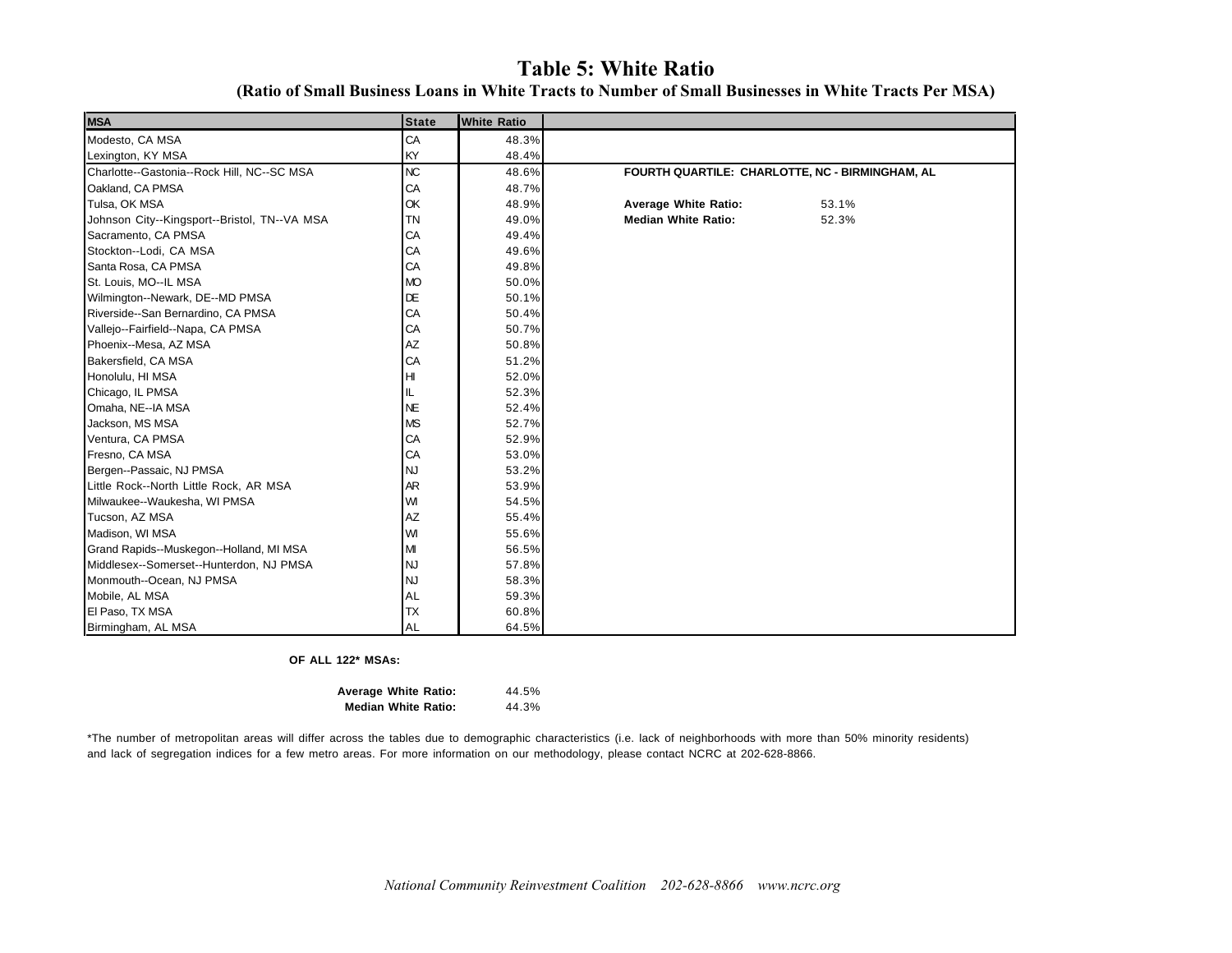### **Table 5: White Ratio**

**(Ratio of Small Business Loans in White Tracts to Number of Small Businesses in White Tracts Per MSA)**

| <b>MSA</b>                                   | <b>State</b> | <b>White Ratio</b> |                                                 |
|----------------------------------------------|--------------|--------------------|-------------------------------------------------|
| Modesto, CA MSA                              | CA           | 48.3%              |                                                 |
| Lexington, KY MSA                            | KY           | 48.4%              |                                                 |
| Charlotte--Gastonia--Rock Hill, NC--SC MSA   | <b>NC</b>    | 48.6%              | FOURTH QUARTILE: CHARLOTTE, NC - BIRMINGHAM, AL |
| Oakland, CA PMSA                             | CA           | 48.7%              |                                                 |
| Tulsa, OK MSA                                | OK           | 48.9%              | <b>Average White Ratio:</b><br>53.1%            |
| Johnson City--Kingsport--Bristol, TN--VA MSA | <b>TN</b>    | 49.0%              | <b>Median White Ratio:</b><br>52.3%             |
| Sacramento, CA PMSA                          | CA           | 49.4%              |                                                 |
| Stockton--Lodi, CA MSA                       | CA           | 49.6%              |                                                 |
| Santa Rosa, CA PMSA                          | CA           | 49.8%              |                                                 |
| St. Louis, MO--IL MSA                        | <b>MO</b>    | 50.0%              |                                                 |
| Wilmington--Newark, DE--MD PMSA              | DE           | 50.1%              |                                                 |
| Riverside--San Bernardino, CA PMSA           | CA           | 50.4%              |                                                 |
| Vallejo--Fairfield--Napa, CA PMSA            | CA           | 50.7%              |                                                 |
| Phoenix--Mesa, AZ MSA                        | AZ           | 50.8%              |                                                 |
| Bakersfield, CA MSA                          | CA           | 51.2%              |                                                 |
| Honolulu, HI MSA                             | HI           | 52.0%              |                                                 |
| Chicago, IL PMSA                             | IL           | 52.3%              |                                                 |
| Omaha, NE--IA MSA                            | <b>NE</b>    | 52.4%              |                                                 |
| Jackson, MS MSA                              | <b>MS</b>    | 52.7%              |                                                 |
| Ventura, CA PMSA                             | CA           | 52.9%              |                                                 |
| Fresno, CA MSA                               | CA           | 53.0%              |                                                 |
| Bergen--Passaic, NJ PMSA                     | <b>NJ</b>    | 53.2%              |                                                 |
| Little Rock--North Little Rock, AR MSA       | AR           | 53.9%              |                                                 |
| Milwaukee--Waukesha, WI PMSA                 | WI           | 54.5%              |                                                 |
| Tucson, AZ MSA                               | AZ           | 55.4%              |                                                 |
| Madison, WI MSA                              | WI           | 55.6%              |                                                 |
| Grand Rapids--Muskegon--Holland, MI MSA      | MI           | 56.5%              |                                                 |
| Middlesex--Somerset--Hunterdon, NJ PMSA      | <b>NJ</b>    | 57.8%              |                                                 |
| Monmouth--Ocean, NJ PMSA                     | <b>NJ</b>    | 58.3%              |                                                 |
| Mobile, AL MSA                               | <b>AL</b>    | 59.3%              |                                                 |
| El Paso, TX MSA                              | <b>TX</b>    | 60.8%              |                                                 |
| Birmingham, AL MSA                           | <b>AL</b>    | 64.5%              |                                                 |

#### **OF ALL 122\* MSAs:**

| <b>Average White Ratio:</b> |  | 44.5% |
|-----------------------------|--|-------|
| <b>Median White Ratio:</b>  |  | 44.3% |

\*The number of metropolitan areas will differ across the tables due to demographic characteristics (i.e. lack of neighborhoods with more than 50% minority residents) and lack of segregation indices for a few metro areas. For more information on our methodology, please contact NCRC at 202-628-8866.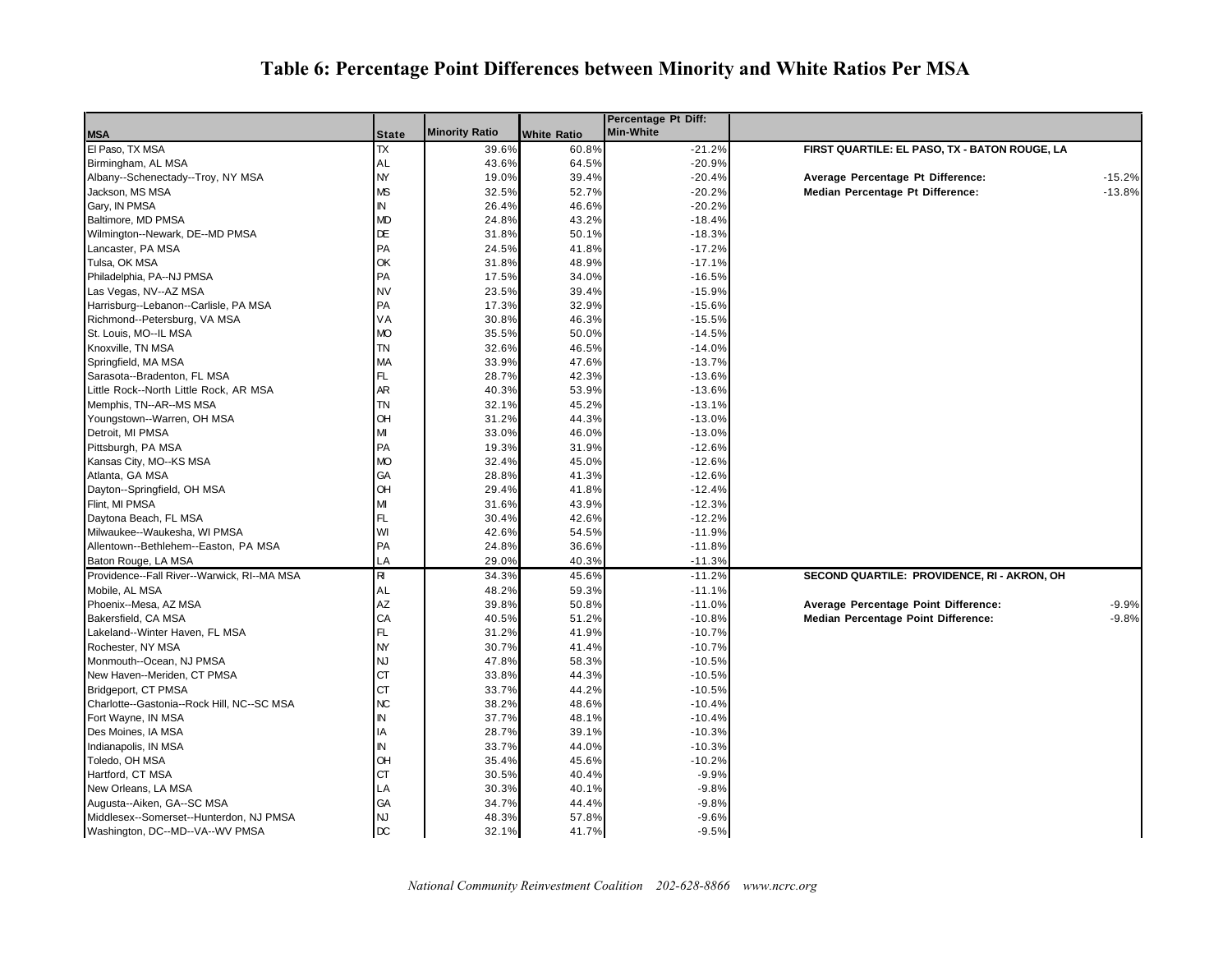### **Table 6: Percentage Point Differences between Minority and White Ratios Per MSA**

|                                             |                |                       |                    | Percentage Pt Diff: |                                                 |
|---------------------------------------------|----------------|-----------------------|--------------------|---------------------|-------------------------------------------------|
| <b>MSA</b>                                  | <b>State</b>   | <b>Minority Ratio</b> | <b>White Ratio</b> | Min-White           |                                                 |
| El Paso, TX MSA                             | TX             | 39.6%                 | 60.8%              | $-21.2%$            | FIRST QUARTILE: EL PASO, TX - BATON ROUGE, LA   |
| Birmingham, AL MSA                          | AL             | 43.6%                 | 64.5%              | $-20.9%$            |                                                 |
| Albany--Schenectady--Troy, NY MSA           | NY             | 19.0%                 | 39.4%              | $-20.4%$            | Average Percentage Pt Difference:<br>$-15.2%$   |
| Jackson, MS MSA                             | MS             | 32.5%                 | 52.7%              | $-20.2%$            | $-13.8%$<br>Median Percentage Pt Difference:    |
| Gary, IN PMSA                               | IN.            | 26.4%                 | 46.6%              | $-20.2%$            |                                                 |
| Baltimore, MD PMSA                          | MD             | 24.8%                 | 43.2%              | $-18.4%$            |                                                 |
| Wilmington--Newark, DE--MD PMSA             | DE             | 31.8%                 | 50.1%              | $-18.3%$            |                                                 |
| Lancaster, PA MSA                           | PA             | 24.5%                 | 41.8%              | $-17.2%$            |                                                 |
| Tulsa, OK MSA                               | ОK             | 31.8%                 | 48.9%              | $-17.1%$            |                                                 |
| Philadelphia, PA--NJ PMSA                   | PA             | 17.5%                 | 34.0%              | $-16.5%$            |                                                 |
| Las Vegas, NV--AZ MSA                       | NV             | 23.5%                 | 39.4%              | $-15.9%$            |                                                 |
| Harrisburg--Lebanon--Carlisle, PA MSA       | PA             | 17.3%                 | 32.9%              | $-15.6%$            |                                                 |
| Richmond--Petersburg, VA MSA                | VA             | 30.8%                 | 46.3%              | $-15.5%$            |                                                 |
| St. Louis, MO--IL MSA                       | <b>MO</b>      | 35.5%                 | 50.0%              | $-14.5%$            |                                                 |
| Knoxville, TN MSA                           | <b>TN</b>      | 32.6%                 | 46.5%              | $-14.0%$            |                                                 |
| Springfield, MA MSA                         | MA             | 33.9%                 | 47.6%              | $-13.7%$            |                                                 |
| Sarasota--Bradenton, FL MSA                 | FL             | 28.7%                 | 42.3%              | $-13.6%$            |                                                 |
| Little Rock--North Little Rock, AR MSA      | AR             | 40.3%                 | 53.9%              | $-13.6%$            |                                                 |
| Memphis, TN--AR--MS MSA                     | <b>TN</b>      | 32.1%                 | 45.2%              | $-13.1%$            |                                                 |
| Youngstown--Warren, OH MSA                  | OH             | 31.2%                 | 44.3%              | $-13.0%$            |                                                 |
| Detroit, MI PMSA                            | М              | 33.0%                 | 46.0%              | $-13.0%$            |                                                 |
| Pittsburgh, PA MSA                          | PA             | 19.3%                 | 31.9%              | $-12.6%$            |                                                 |
| Kansas City, MO--KS MSA                     | MО             | 32.4%                 | 45.0%              | $-12.6%$            |                                                 |
| Atlanta, GA MSA                             | GA             | 28.8%                 | 41.3%              | $-12.6%$            |                                                 |
| Dayton--Springfield, OH MSA                 | OH             | 29.4%                 | 41.8%              | $-12.4%$            |                                                 |
| Flint, MI PMSA                              | М              | 31.6%                 | 43.9%              | $-12.3%$            |                                                 |
| Daytona Beach, FL MSA                       | FL             | 30.4%                 | 42.6%              | $-12.2%$            |                                                 |
| Milwaukee--Waukesha, WI PMSA                | WI             | 42.6%                 | 54.5%              | $-11.9%$            |                                                 |
| Allentown--Bethlehem--Easton, PA MSA        | PA             | 24.8%                 | 36.6%              | $-11.8%$            |                                                 |
| Baton Rouge, LA MSA                         | LA             | 29.0%                 | 40.3%              | $-11.3%$            |                                                 |
| Providence--Fall River--Warwick, RI--MA MSA | R              | 34.3%                 | 45.6%              | $-11.2%$            | SECOND QUARTILE: PROVIDENCE, RI - AKRON, OH     |
| Mobile, AL MSA                              | AL             | 48.2%                 | 59.3%              | $-11.1%$            |                                                 |
| Phoenix--Mesa, AZ MSA                       | AΖ             | 39.8%                 | 50.8%              | $-11.0%$            | $-9.9%$<br>Average Percentage Point Difference: |
| Bakersfield, CA MSA                         | CA             | 40.5%                 | 51.2%              | $-10.8%$            | $-9.8%$<br>Median Percentage Point Difference:  |
| Lakeland--Winter Haven, FL MSA              | FL             | 31.2%                 | 41.9%              | $-10.7%$            |                                                 |
| Rochester, NY MSA                           | NY             | 30.7%                 | 41.4%              | $-10.7%$            |                                                 |
| Monmouth--Ocean, NJ PMSA                    | NJ             | 47.8%                 | 58.3%              | $-10.5%$            |                                                 |
| New Haven--Meriden, CT PMSA                 | СT             | 33.8%                 | 44.3%              | $-10.5%$            |                                                 |
| Bridgeport, CT PMSA                         | CТ             | 33.7%                 | 44.2%              | $-10.5%$            |                                                 |
| Charlotte--Gastonia--Rock Hill, NC--SC MSA  | NС             | 38.2%                 | 48.6%              | $-10.4%$            |                                                 |
| Fort Wayne, IN MSA                          | ΙN             | 37.7%                 | 48.1%              | $-10.4%$            |                                                 |
| Des Moines, IA MSA                          | ΙA             | 28.7%                 | 39.1%              | $-10.3%$            |                                                 |
| Indianapolis, IN MSA                        | IN.            | 33.7%                 | 44.0%              | $-10.3%$            |                                                 |
| Toledo, OH MSA                              | OH             | 35.4%                 | 45.6%              | $-10.2%$            |                                                 |
| Hartford, CT MSA                            | <b>CT</b>      | 30.5%                 | 40.4%              | $-9.9%$             |                                                 |
| New Orleans, LA MSA                         | LA             | 30.3%                 | 40.1%              | $-9.8%$             |                                                 |
| Augusta--Aiken, GA--SC MSA                  | GA             | 34.7%                 | 44.4%              | $-9.8%$             |                                                 |
| Middlesex--Somerset--Hunterdon, NJ PMSA     | <b>NJ</b>      | 48.3%                 | 57.8%              | $-9.6%$             |                                                 |
| Washington, DC--MD--VA--WV PMSA             | $\overline{C}$ | 32.1%                 | 41.7%              | $-9.5%$             |                                                 |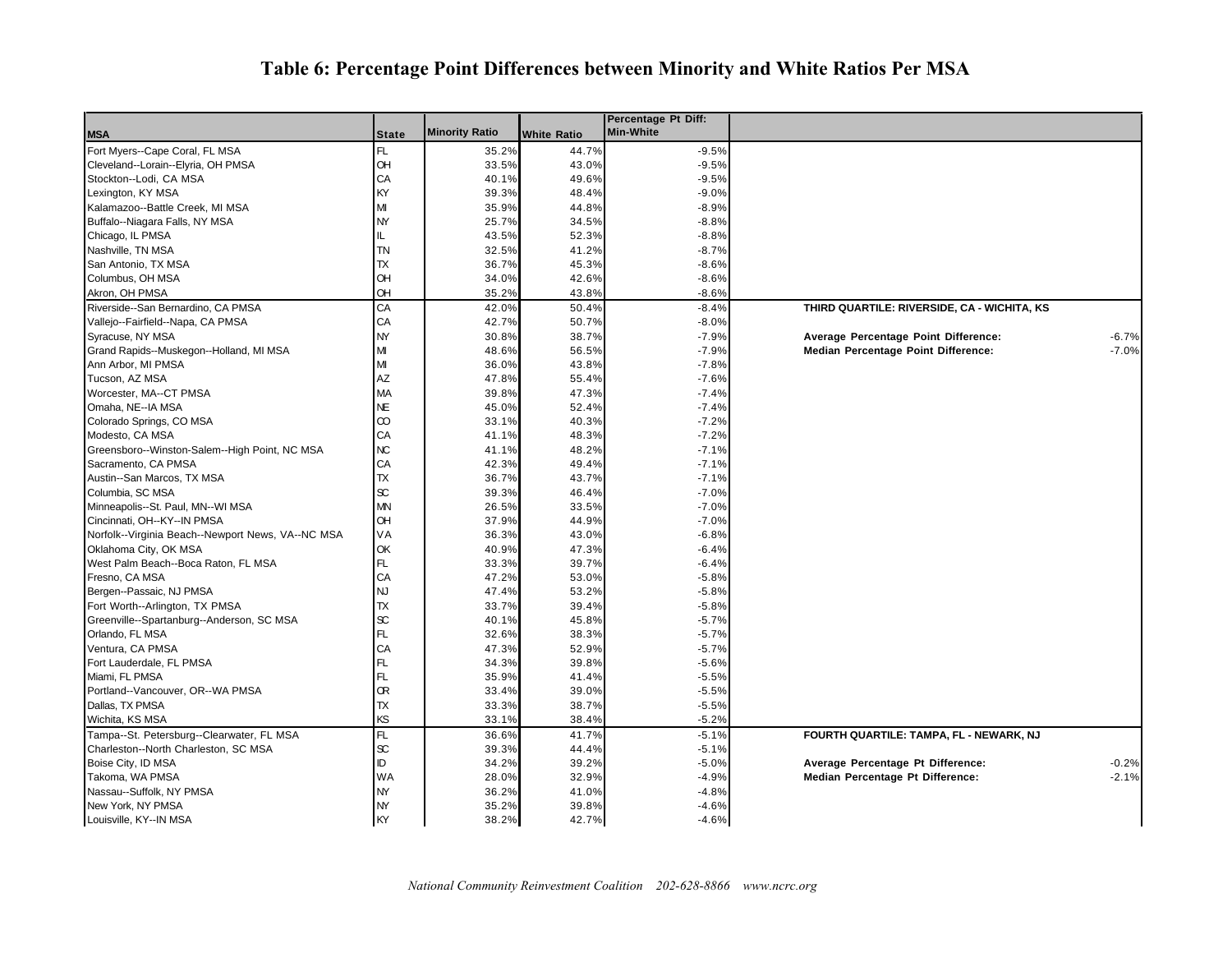### **Table 6: Percentage Point Differences between Minority and White Ratios Per MSA**

|                                                   |              |                       |             | Percentage Pt Diff: |                                                 |
|---------------------------------------------------|--------------|-----------------------|-------------|---------------------|-------------------------------------------------|
| <b>MSA</b>                                        | <b>State</b> | <b>Minority Ratio</b> | White Ratio | <b>Min-White</b>    |                                                 |
| Fort Myers--Cape Coral, FL MSA                    | FL.          | 35.2%                 | 44.7%       | $-9.5%$             |                                                 |
| Cleveland--Lorain--Elyria, OH PMSA                | OH           | 33.5%                 | 43.0%       | $-9.5%$             |                                                 |
| Stockton--Lodi, CA MSA                            | CA           | 40.1%                 | 49.6%       | $-9.5%$             |                                                 |
| Lexington, KY MSA                                 | KY           | 39.3%                 | 48.4%       | $-9.0%$             |                                                 |
| Kalamazoo--Battle Creek, MI MSA                   | м            | 35.9%                 | 44.8%       | $-8.9%$             |                                                 |
| Buffalo--Niagara Falls, NY MSA                    | NY           | 25.7%                 | 34.5%       | $-8.8%$             |                                                 |
| Chicago, IL PMSA                                  | IL           | 43.5%                 | 52.3%       | $-8.8%$             |                                                 |
| Nashville, TN MSA                                 | <b>TN</b>    | 32.5%                 | 41.2%       | $-8.7%$             |                                                 |
| San Antonio, TX MSA                               | TX           | 36.7%                 | 45.3%       | $-8.6%$             |                                                 |
| Columbus, OH MSA                                  | OH           | 34.0%                 | 42.6%       | $-8.6%$             |                                                 |
| Akron, OH PMSA                                    | OН           | 35.2%                 | 43.8%       | $-8.6%$             |                                                 |
| Riverside--San Bernardino, CA PMSA                | СA           | 42.0%                 | 50.4%       | $-8.4%$             | THIRD QUARTILE: RIVERSIDE, CA - WICHITA, KS     |
| Vallejo--Fairfield--Napa, CA PMSA                 | СA           | 42.7%                 | 50.7%       | $-8.0%$             |                                                 |
| Syracuse, NY MSA                                  | NY           | 30.8%                 | 38.7%       | $-7.9%$             | Average Percentage Point Difference:<br>$-6.7%$ |
| Grand Rapids--Muskegon--Holland, MI MSA           | МІ           | 48.6%                 | 56.5%       | $-7.9%$             | Median Percentage Point Difference:<br>$-7.0%$  |
| Ann Arbor, MI PMSA                                | М            | 36.0%                 | 43.8%       | $-7.8%$             |                                                 |
| Tucson, AZ MSA                                    | AΖ           | 47.8%                 | 55.4%       | $-7.6%$             |                                                 |
| Worcester, MA--CT PMSA                            | MA           | 39.8%                 | 47.3%       | $-7.4%$             |                                                 |
| Omaha, NE--IA MSA                                 | NE.          | 45.0%                 | 52.4%       | $-7.4%$             |                                                 |
| Colorado Springs, CO MSA                          | 8            | 33.1%                 | 40.3%       | $-7.2%$             |                                                 |
| Modesto, CA MSA                                   | СA           | 41.1%                 | 48.3%       | $-7.2%$             |                                                 |
| Greensboro--Winston-Salem--High Point, NC MSA     | NC           | 41.1%                 | 48.2%       | $-7.1%$             |                                                 |
| Sacramento, CA PMSA                               | СA           | 42.3%                 | 49.4%       | $-7.1%$             |                                                 |
| Austin--San Marcos, TX MSA                        | TX           | 36.7%                 | 43.7%       | $-7.1%$             |                                                 |
| Columbia, SC MSA                                  | æ            | 39.3%                 | 46.4%       | $-7.0%$             |                                                 |
| Minneapolis--St. Paul, MN--WI MSA                 | MN           | 26.5%                 | 33.5%       | $-7.0%$             |                                                 |
| Cincinnati, OH--KY--IN PMSA                       | OH           | 37.9%                 | 44.9%       | $-7.0%$             |                                                 |
| Norfolk--Virginia Beach--Newport News, VA--NC MSA | VA           | 36.3%                 | 43.0%       | $-6.8%$             |                                                 |
| Oklahoma City, OK MSA                             | ОК           | 40.9%                 | 47.3%       | $-6.4%$             |                                                 |
| West Palm Beach--Boca Raton, FL MSA               | FL           | 33.3%                 | 39.7%       | $-6.4%$             |                                                 |
| Fresno, CA MSA                                    | СA           | 47.2%                 | 53.0%       | $-5.8%$             |                                                 |
| Bergen--Passaic, NJ PMSA                          | NJ.          | 47.4%                 | 53.2%       | $-5.8%$             |                                                 |
| Fort Worth--Arlington, TX PMSA                    | TX           | 33.7%                 | 39.4%       | $-5.8%$             |                                                 |
| Greenville--Spartanburg--Anderson, SC MSA         | SC.          | 40.1%                 | 45.8%       | $-5.7%$             |                                                 |
| Orlando, FL MSA                                   | FL           | 32.6%                 | 38.3%       | $-5.7%$             |                                                 |
| Ventura, CA PMSA                                  | CA           | 47.3%                 | 52.9%       | $-5.7%$             |                                                 |
| Fort Lauderdale, FL PMSA                          | FL           | 34.3%                 | 39.8%       | $-5.6%$             |                                                 |
| Miami, FL PMSA                                    | FL           | 35.9%                 | 41.4%       |                     |                                                 |
| Portland--Vancouver, OR--WA PMSA                  | Œ            | 33.4%                 | 39.0%       | $-5.5%$             |                                                 |
|                                                   | TX           |                       |             | $-5.5%$             |                                                 |
| Dallas, TX PMSA                                   | KS           | 33.3%                 | 38.7%       | $-5.5%$             |                                                 |
| Wichita, KS MSA                                   |              | 33.1%                 | 38.4%       | $-5.2%$             |                                                 |
| Tampa--St. Petersburg--Clearwater, FL MSA         | FL           | 36.6%                 | 41.7%       | $-5.1%$             | FOURTH QUARTILE: TAMPA, FL - NEWARK, NJ         |
| Charleston--North Charleston, SC MSA              | œ            | 39.3%                 | 44.4%       | $-5.1%$             |                                                 |
| Boise City, ID MSA                                | ID           | 34.2%                 | 39.2%       | $-5.0%$             | $-0.2%$<br>Average Percentage Pt Difference:    |
| Takoma, WA PMSA                                   | WA           | 28.0%                 | 32.9%       | $-4.9%$             | $-2.1%$<br>Median Percentage Pt Difference:     |
| Nassau--Suffolk, NY PMSA                          | NY           | 36.2%                 | 41.0%       | $-4.8%$             |                                                 |
| New York, NY PMSA                                 | <b>NY</b>    | 35.2%                 | 39.8%       | $-4.6%$             |                                                 |
| Louisville, KY--IN MSA                            | KY           | 38.2%                 | 42.7%       | $-4.6%$             |                                                 |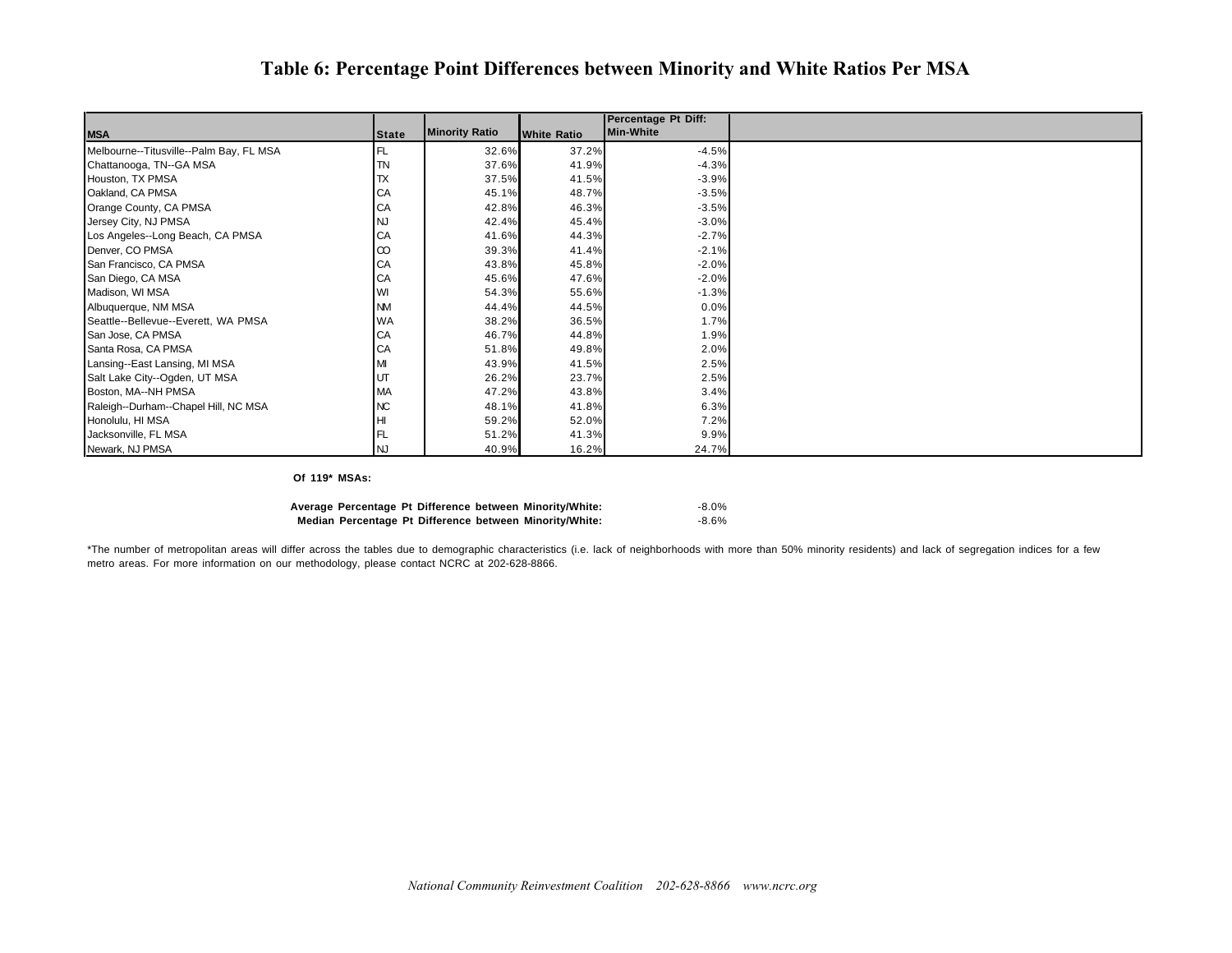#### **Table 6: Percentage Point Differences between Minority and White Ratios Per MSA**

|                                         |              |                       |                    | <b>Percentage Pt Diff:</b> |  |
|-----------------------------------------|--------------|-----------------------|--------------------|----------------------------|--|
| <b>MSA</b>                              | <b>State</b> | <b>Minority Ratio</b> | <b>White Ratio</b> | <b>Min-White</b>           |  |
| Melbourne--Titusville--Palm Bay, FL MSA | 'FL          | 32.6%                 | 37.2%              | $-4.5%$                    |  |
| Chattanooga, TN--GA MSA                 | TN           | 37.6%                 | 41.9%              | $-4.3%$                    |  |
| Houston, TX PMSA                        | TX           | 37.5%                 | 41.5%              | $-3.9%$                    |  |
| Oakland, CA PMSA                        | CA           | 45.1%                 | 48.7%              | $-3.5%$                    |  |
| Orange County, CA PMSA                  | CA           | 42.8%                 | 46.3%              | $-3.5%$                    |  |
| Jersey City, NJ PMSA                    |              | 42.4%                 | 45.4%              | $-3.0%$                    |  |
| Los Angeles--Long Beach, CA PMSA        | CA           | 41.6%                 | 44.3%              | $-2.7%$                    |  |
| Denver, CO PMSA                         | $\infty$     | 39.3%                 | 41.4%              | $-2.1%$                    |  |
| San Francisco, CA PMSA                  | CA           | 43.8%                 | 45.8%              | $-2.0%$                    |  |
| San Diego, CA MSA                       | CA           | 45.6%                 | 47.6%              | $-2.0%$                    |  |
| Madison, WI MSA                         |              | 54.3%                 | 55.6%              | $-1.3%$                    |  |
| Albuquerque, NM MSA                     | <b>NM</b>    | 44.4%                 | 44.5%              | 0.0%                       |  |
| Seattle--Bellevue--Everett, WA PMSA     | WA           | 38.2%                 | 36.5%              | 1.7%                       |  |
| San Jose, CA PMSA                       | CA           | 46.7%                 | 44.8%              | 1.9%                       |  |
| Santa Rosa, CA PMSA                     | CA           | 51.8%                 | 49.8%              | 2.0%                       |  |
| Lansing--East Lansing, MI MSA           |              | 43.9%                 | 41.5%              | 2.5%                       |  |
| Salt Lake City--Ogden, UT MSA           | UT           | 26.2%                 | 23.7%              | 2.5%                       |  |
| Boston, MA--NH PMSA                     | МA           | 47.2%                 | 43.8%              | 3.4%                       |  |
| Raleigh--Durham--Chapel Hill, NC MSA    | ИC           | 48.1%                 | 41.8%              | 6.3%                       |  |
| Honolulu, HI MSA                        | HI           | 59.2%                 | 52.0%              | 7.2%                       |  |
| Jacksonville, FL MSA                    |              | 51.2%                 | 41.3%              | 9.9%                       |  |
| Newark, NJ PMSA                         | NJ           | 40.9%                 | 16.2%              | 24.7%                      |  |

#### **Of 119\* MSAs:**

|  |  | Average Percentage Pt Difference between Minority/White: | $-8.0\%$ |
|--|--|----------------------------------------------------------|----------|
|  |  | Median Percentage Pt Difference between Minority/White:  | -8.6%    |

\*The number of metropolitan areas will differ across the tables due to demographic characteristics (i.e. lack of neighborhoods with more than 50% minority residents) and lack of segregation indices for a few metro areas. For more information on our methodology, please contact NCRC at 202-628-8866.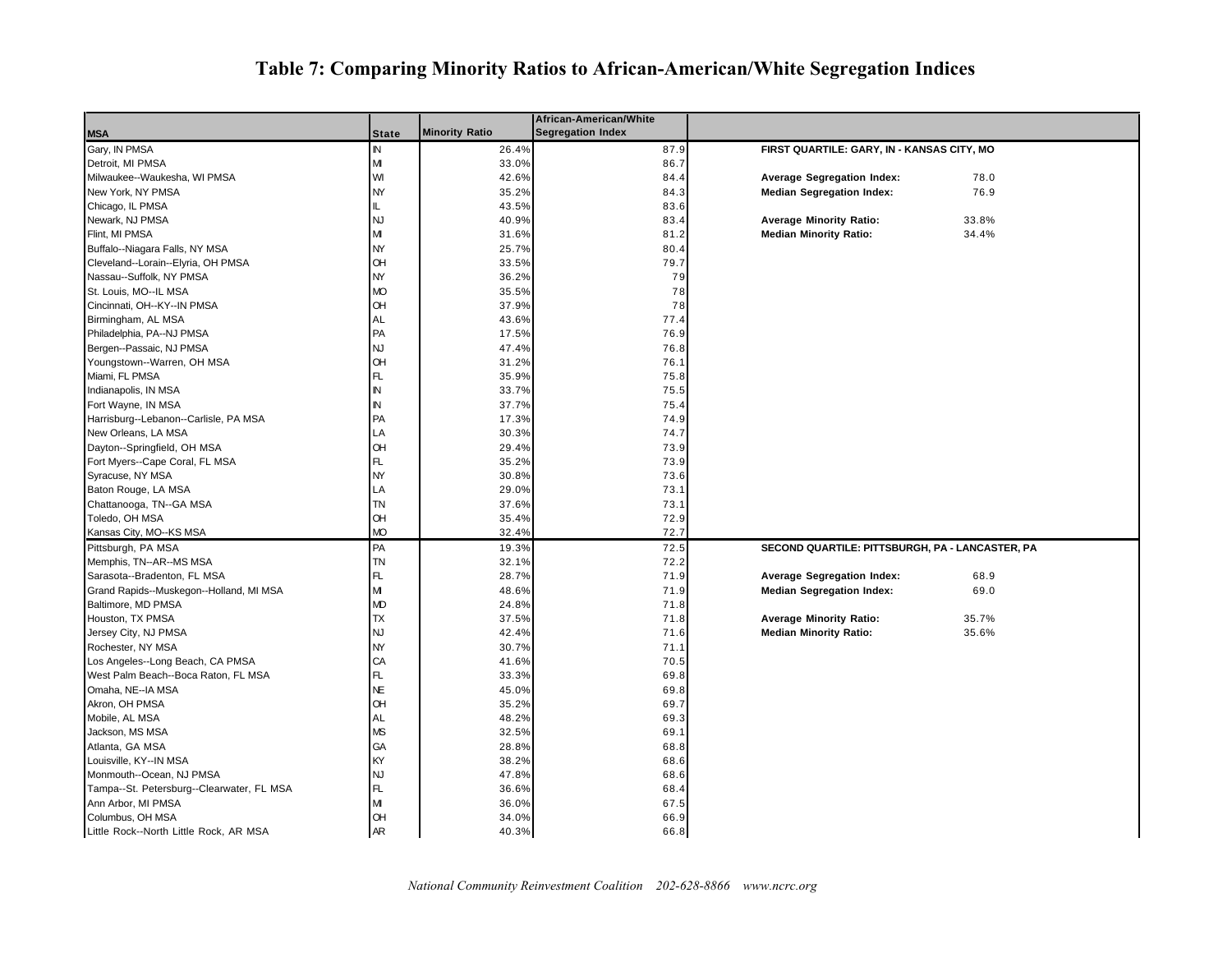## **Table 7: Comparing Minority Ratios to African-American/White Segregation Indices**

|                                           |              |                       | African-American/White   |                                                 |
|-------------------------------------------|--------------|-----------------------|--------------------------|-------------------------------------------------|
| <b>MSA</b>                                | <b>State</b> | <b>Minority Ratio</b> | <b>Segregation Index</b> |                                                 |
| Gary, IN PMSA                             | IN           | 26.4%                 | 87.9                     | FIRST QUARTILE: GARY, IN - KANSAS CITY, MO      |
| Detroit, MI PMSA                          | M            | 33.0%                 | 86.7                     |                                                 |
| Milwaukee--Waukesha, WI PMSA              | WI           | 42.6%                 | 84.4                     | <b>Average Segregation Index:</b><br>78.0       |
| New York, NY PMSA                         | <b>NY</b>    | 35.2%                 | 84.3                     | <b>Median Segregation Index:</b><br>76.9        |
| Chicago, IL PMSA                          | IL.          | 43.5%                 | 83.6                     |                                                 |
| Newark, NJ PMSA                           | <b>NJ</b>    | 40.9%                 | 83.4                     | 33.8%<br><b>Average Minority Ratio:</b>         |
| Flint, MI PMSA                            | M            | 31.6%                 | 81.2                     | <b>Median Minority Ratio:</b><br>34.4%          |
| Buffalo--Niagara Falls, NY MSA            | <b>NY</b>    | 25.7%                 | 80.4                     |                                                 |
| Cleveland--Lorain--Elyria, OH PMSA        | OH           | 33.5%                 | 79.7                     |                                                 |
| Nassau--Suffolk, NY PMSA                  | NY           | 36.2%                 | 79                       |                                                 |
| St. Louis, MO--IL MSA                     | <b>MO</b>    | 35.5%                 | 78                       |                                                 |
| Cincinnati, OH--KY--IN PMSA               | <b>OH</b>    | 37.9%                 | 78                       |                                                 |
| Birmingham, AL MSA                        | AL           | 43.6%                 | 77.4                     |                                                 |
| Philadelphia, PA--NJ PMSA                 | PA           | 17.5%                 | 76.9                     |                                                 |
| Bergen--Passaic, NJ PMSA                  | <b>NJ</b>    | 47.4%                 | 76.8                     |                                                 |
| Youngstown--Warren, OH MSA                | OH           | 31.2%                 | 76.1                     |                                                 |
| Miami, FL PMSA                            | FL.          | 35.9%                 | 75.8                     |                                                 |
| Indianapolis, IN MSA                      | IN           | 33.7%                 | 75.5                     |                                                 |
| Fort Wayne, IN MSA                        | N            | 37.7%                 | 75.4                     |                                                 |
| Harrisburg--Lebanon--Carlisle, PA MSA     | PA           | 17.3%                 | 74.9                     |                                                 |
| New Orleans, LA MSA                       | LA           | 30.3%                 | 74.7                     |                                                 |
| Dayton--Springfield, OH MSA               | <b>OH</b>    | 29.4%                 | 73.9                     |                                                 |
| Fort Myers--Cape Coral, FL MSA            | FL.          | 35.2%                 | 73.9                     |                                                 |
| Syracuse, NY MSA                          | <b>NY</b>    | 30.8%                 | 73.6                     |                                                 |
| Baton Rouge, LA MSA                       | LA           | 29.0%                 | 73.1                     |                                                 |
| Chattanooga, TN--GA MSA                   | TN           | 37.6%                 | 73.1                     |                                                 |
| Toledo, OH MSA                            | OН           | 35.4%                 | 72.9                     |                                                 |
| Kansas City, MO--KS MSA                   | MО           | 32.4%                 | 72.7                     |                                                 |
| Pittsburgh, PA MSA                        | PA           | 19.3%                 | 72.5                     | SECOND QUARTILE: PITTSBURGH, PA - LANCASTER, PA |
| Memphis, TN--AR--MS MSA                   | <b>TN</b>    | 32.1%                 | 72.2                     |                                                 |
| Sarasota--Bradenton, FL MSA               | FL           | 28.7%                 | 71.9                     | <b>Average Segregation Index:</b><br>68.9       |
| Grand Rapids--Muskegon--Holland, MI MSA   | М            | 48.6%                 | 71.9                     | <b>Median Segregation Index:</b><br>69.0        |
| Baltimore, MD PMSA                        | MD           | 24.8%                 | 71.8                     |                                                 |
| Houston, TX PMSA                          | <b>TX</b>    | 37.5%                 | 71.8                     | <b>Average Minority Ratio:</b><br>35.7%         |
| Jersey City, NJ PMSA                      | <b>NJ</b>    | 42.4%                 | 71.6                     | <b>Median Minority Ratio:</b><br>35.6%          |
| Rochester, NY MSA                         | <b>NY</b>    | 30.7%                 | 71.1                     |                                                 |
| Los Angeles--Long Beach, CA PMSA          | CA           | 41.6%                 | 70.5                     |                                                 |
| West Palm Beach--Boca Raton, FL MSA       | FL           | 33.3%                 | 69.8                     |                                                 |
| Omaha, NE--IA MSA                         | <b>NE</b>    | 45.0%                 | 69.8                     |                                                 |
| Akron, OH PMSA                            | OН           | 35.2%                 | 69.7                     |                                                 |
| Mobile, AL MSA                            | AL           | 48.2%                 | 69.3                     |                                                 |
| Jackson, MS MSA                           | MS           | 32.5%                 | 69.1                     |                                                 |
| Atlanta, GA MSA                           | GA           | 28.8%                 | 68.8                     |                                                 |
| Louisville, KY--IN MSA                    | KY           | 38.2%                 | 68.6                     |                                                 |
| Monmouth--Ocean, NJ PMSA                  | <b>NJ</b>    | 47.8%                 | 68.6                     |                                                 |
| Tampa--St. Petersburg--Clearwater, FL MSA | FL.          | 36.6%                 | 68.4                     |                                                 |
| Ann Arbor, MI PMSA                        | M            | 36.0%                 | 67.5                     |                                                 |
| Columbus, OH MSA                          | <b>OH</b>    | 34.0%                 | 66.9                     |                                                 |
| Little Rock--North Little Rock, AR MSA    | <b>AR</b>    | 40.3%                 | 66.8                     |                                                 |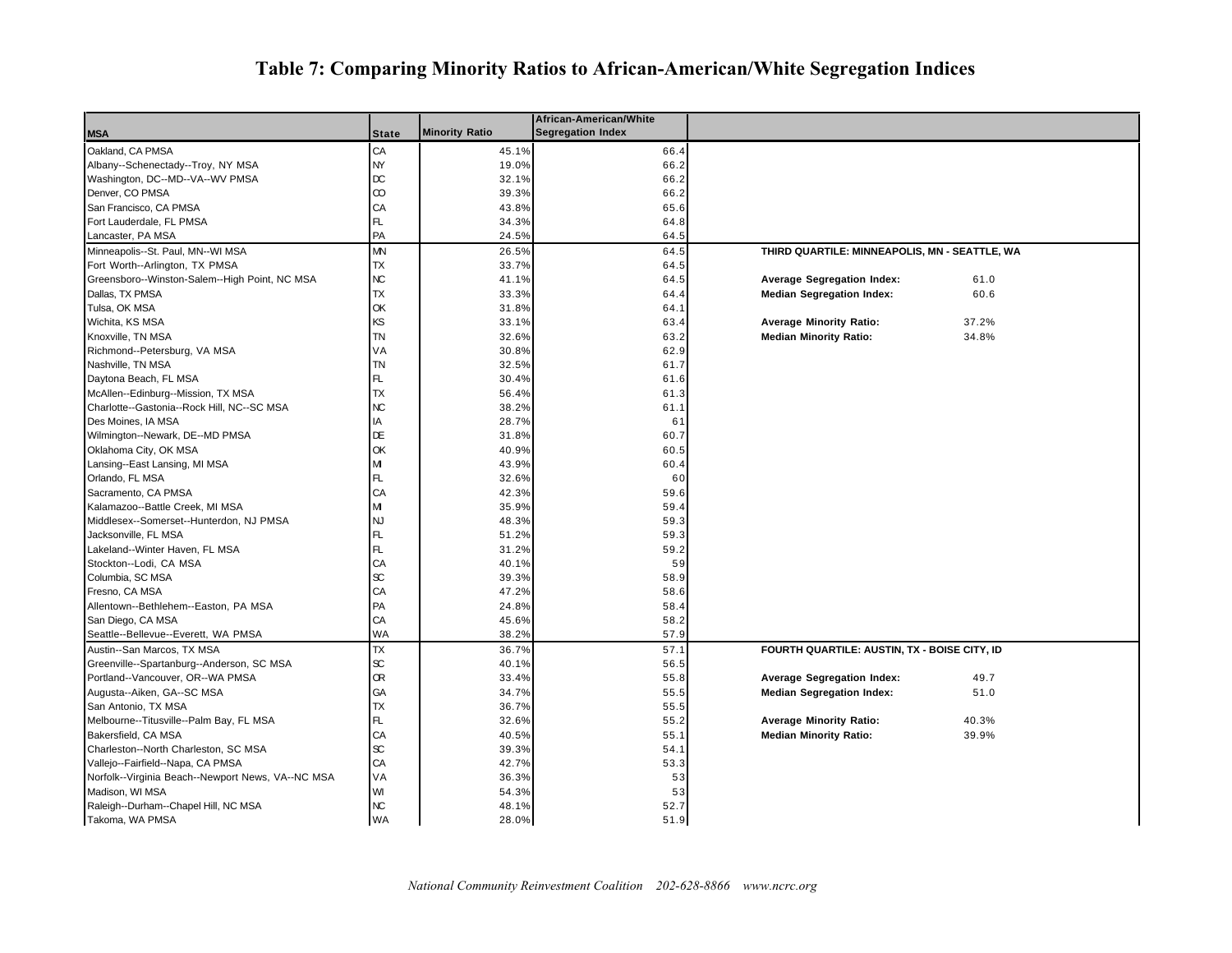## **Table 7: Comparing Minority Ratios to African-American/White Segregation Indices**

|                                                   |                     |                       | African-American/White   |                                               |       |
|---------------------------------------------------|---------------------|-----------------------|--------------------------|-----------------------------------------------|-------|
| <b>MSA</b>                                        | <b>State</b>        | <b>Minority Ratio</b> | <b>Segregation Index</b> |                                               |       |
| Oakland, CA PMSA                                  | СA                  | 45.1%                 | 66.4                     |                                               |       |
| Albany--Schenectady--Troy, NY MSA                 | NY                  | 19.0%                 | 66.2                     |                                               |       |
| Washington, DC--MD--VA--WV PMSA                   | $_{\text{DC}}$      | 32.1%                 | 66.2                     |                                               |       |
| Denver, CO PMSA                                   | $^\infty$           | 39.3%                 | 66.2                     |                                               |       |
| San Francisco, CA PMSA                            | CA                  | 43.8%                 | 65.6                     |                                               |       |
| Fort Lauderdale, FL PMSA                          | FL                  | 34.3%                 | 64.8                     |                                               |       |
| Lancaster, PA MSA                                 | PA                  | 24.5%                 | 64.5                     |                                               |       |
| Minneapolis--St. Paul, MN--WI MSA                 | <b>MN</b>           | 26.5%                 | 64.5                     | THIRD QUARTILE: MINNEAPOLIS, MN - SEATTLE, WA |       |
| Fort Worth--Arlington, TX PMSA                    | <b>TX</b>           | 33.7%                 | 64.5                     |                                               |       |
| Greensboro--Winston-Salem--High Point, NC MSA     | NC                  | 41.1%                 | 64.5                     | <b>Average Segregation Index:</b>             | 61.0  |
| Dallas, TX PMSA                                   | <b>TX</b>           | 33.3%                 | 64.4                     | <b>Median Segregation Index:</b>              | 60.6  |
| Tulsa, OK MSA                                     | OK                  | 31.8%                 | 64.1                     |                                               |       |
| Wichita, KS MSA                                   | ΚS                  | 33.1%                 | 63.4                     | <b>Average Minority Ratio:</b>                | 37.2% |
| Knoxville, TN MSA                                 | <b>TN</b>           | 32.6%                 | 63.2                     | <b>Median Minority Ratio:</b>                 | 34.8% |
| Richmond--Petersburg, VA MSA                      | VA                  | 30.8%                 | 62.9                     |                                               |       |
| Nashville, TN MSA                                 | TN                  | 32.5%                 | 61.7                     |                                               |       |
| Daytona Beach, FL MSA                             | FL.                 | 30.4%                 | 61.6                     |                                               |       |
| McAllen--Edinburg--Mission, TX MSA                | <b>TX</b>           | 56.4%                 | 61.3                     |                                               |       |
| Charlotte--Gastonia--Rock Hill, NC--SC MSA        | КC                  | 38.2%                 | 61.1                     |                                               |       |
| Des Moines, IA MSA                                | IA                  | 28.7%                 | 61                       |                                               |       |
| Wilmington--Newark, DE--MD PMSA                   | DE                  | 31.8%                 | 60.7                     |                                               |       |
| Oklahoma City, OK MSA                             | ОK                  | 40.9%                 | 60.5                     |                                               |       |
| Lansing--East Lansing, MI MSA                     | M                   | 43.9%                 | 60.4                     |                                               |       |
| Orlando, FL MSA                                   | FL                  | 32.6%                 | 60                       |                                               |       |
| Sacramento, CA PMSA                               | CA                  | 42.3%                 | 59.6                     |                                               |       |
| Kalamazoo--Battle Creek, MI MSA                   | M                   | 35.9%                 | 59.4                     |                                               |       |
| Middlesex--Somerset--Hunterdon, NJ PMSA           | <b>NJ</b>           | 48.3%                 | 59.3                     |                                               |       |
| Jacksonville, FL MSA                              | FL.                 | 51.2%                 | 59.3                     |                                               |       |
| Lakeland--Winter Haven, FL MSA                    | FL                  | 31.2%                 | 59.2                     |                                               |       |
| Stockton--Lodi, CA MSA                            | CA                  | 40.1%                 | 59                       |                                               |       |
| Columbia, SC MSA                                  | $\infty$            | 39.3%                 | 58.9                     |                                               |       |
| Fresno, CA MSA                                    | CA                  | 47.2%                 | 58.6                     |                                               |       |
| Allentown--Bethlehem--Easton, PA MSA              | PA                  | 24.8%                 | 58.4                     |                                               |       |
| San Diego, CA MSA                                 | CA                  | 45.6%                 | 58.2                     |                                               |       |
| Seattle--Bellevue--Everett, WA PMSA               | WA                  | 38.2%                 | 57.9                     |                                               |       |
| Austin--San Marcos, TX MSA                        | ТX                  | 36.7%                 | 57.1                     | FOURTH QUARTILE: AUSTIN, TX - BOISE CITY, ID  |       |
| Greenville--Spartanburg--Anderson, SC MSA         | $\operatorname{sc}$ | 40.1%                 | 56.5                     |                                               |       |
|                                                   | Œ                   |                       |                          |                                               |       |
| Portland--Vancouver, OR--WA PMSA                  | GA                  | 33.4%                 | 55.8                     | <b>Average Segregation Index:</b>             | 49.7  |
| Augusta--Aiken, GA--SC MSA                        |                     | 34.7%                 | 55.5                     | <b>Median Segregation Index:</b>              | 51.0  |
| San Antonio, TX MSA                               | ТX                  | 36.7%                 | 55.5                     |                                               |       |
| Melbourne--Titusville--Palm Bay, FL MSA           | FL                  | 32.6%                 | 55.2                     | <b>Average Minority Ratio:</b>                | 40.3% |
| Bakersfield, CA MSA                               | CA                  | 40.5%                 | 55.1                     | <b>Median Minority Ratio:</b>                 | 39.9% |
| Charleston--North Charleston, SC MSA              | $\infty$            | 39.3%                 | 54.1                     |                                               |       |
| Vallejo--Fairfield--Napa, CA PMSA                 | CA                  | 42.7%                 | 53.3                     |                                               |       |
| Norfolk--Virginia Beach--Newport News, VA--NC MSA | VA                  | 36.3%                 | 53                       |                                               |       |
| Madison, WI MSA                                   | WI                  | 54.3%                 | 53                       |                                               |       |
| Raleigh--Durham--Chapel Hill, NC MSA              | NC                  | 48.1%                 | 52.7                     |                                               |       |
| Takoma, WA PMSA                                   | <b>WA</b>           | 28.0%                 | 51.9                     |                                               |       |